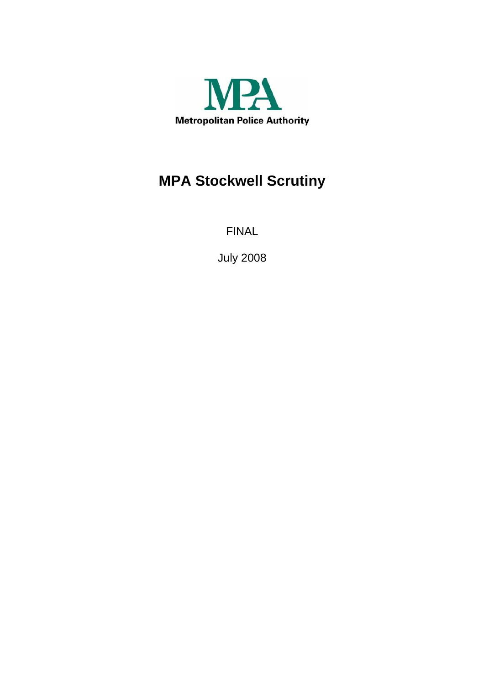

# **MPA Stockwell Scrutiny**

FINAL

July 2008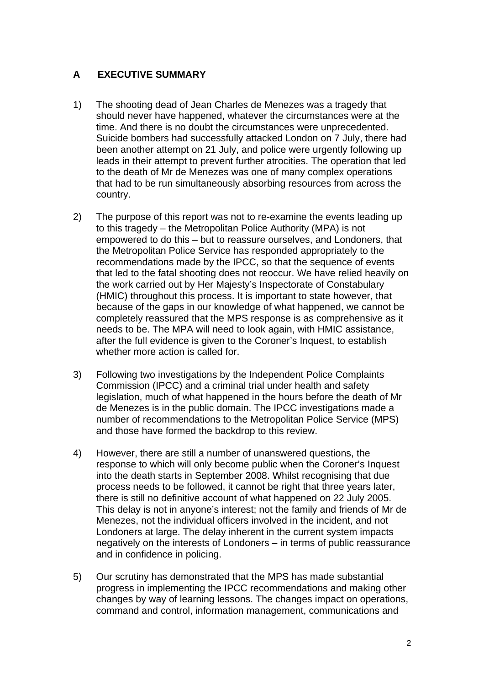# **A EXECUTIVE SUMMARY**

- 1) The shooting dead of Jean Charles de Menezes was a tragedy that should never have happened, whatever the circumstances were at the time. And there is no doubt the circumstances were unprecedented. Suicide bombers had successfully attacked London on 7 July, there had been another attempt on 21 July, and police were urgently following up leads in their attempt to prevent further atrocities. The operation that led to the death of Mr de Menezes was one of many complex operations that had to be run simultaneously absorbing resources from across the country.
- 2) The purpose of this report was not to re-examine the events leading up to this tragedy – the Metropolitan Police Authority (MPA) is not empowered to do this – but to reassure ourselves, and Londoners, that the Metropolitan Police Service has responded appropriately to the recommendations made by the IPCC, so that the sequence of events that led to the fatal shooting does not reoccur. We have relied heavily on the work carried out by Her Majesty's Inspectorate of Constabulary (HMIC) throughout this process. It is important to state however, that because of the gaps in our knowledge of what happened, we cannot be completely reassured that the MPS response is as comprehensive as it needs to be. The MPA will need to look again, with HMIC assistance, after the full evidence is given to the Coroner's Inquest, to establish whether more action is called for.
- 3) Following two investigations by the Independent Police Complaints Commission (IPCC) and a criminal trial under health and safety legislation, much of what happened in the hours before the death of Mr de Menezes is in the public domain. The IPCC investigations made a number of recommendations to the Metropolitan Police Service (MPS) and those have formed the backdrop to this review.
- 4) However, there are still a number of unanswered questions, the response to which will only become public when the Coroner's Inquest into the death starts in September 2008. Whilst recognising that due process needs to be followed, it cannot be right that three years later, there is still no definitive account of what happened on 22 July 2005. This delay is not in anyone's interest; not the family and friends of Mr de Menezes, not the individual officers involved in the incident, and not Londoners at large. The delay inherent in the current system impacts negatively on the interests of Londoners – in terms of public reassurance and in confidence in policing.
- 5) Our scrutiny has demonstrated that the MPS has made substantial progress in implementing the IPCC recommendations and making other changes by way of learning lessons. The changes impact on operations, command and control, information management, communications and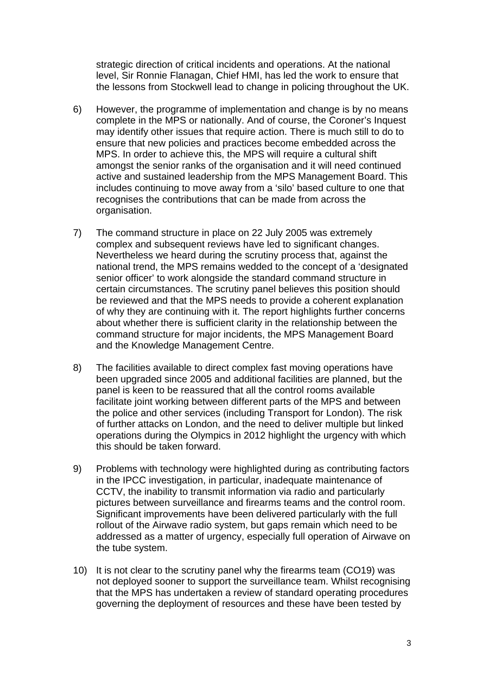strategic direction of critical incidents and operations. At the national level, Sir Ronnie Flanagan, Chief HMI, has led the work to ensure that the lessons from Stockwell lead to change in policing throughout the UK.

- 6) However, the programme of implementation and change is by no means complete in the MPS or nationally. And of course, the Coroner's Inquest may identify other issues that require action. There is much still to do to ensure that new policies and practices become embedded across the MPS. In order to achieve this, the MPS will require a cultural shift amongst the senior ranks of the organisation and it will need continued active and sustained leadership from the MPS Management Board. This includes continuing to move away from a 'silo' based culture to one that recognises the contributions that can be made from across the organisation.
- 7) The command structure in place on 22 July 2005 was extremely complex and subsequent reviews have led to significant changes. Nevertheless we heard during the scrutiny process that, against the national trend, the MPS remains wedded to the concept of a 'designated senior officer' to work alongside the standard command structure in certain circumstances. The scrutiny panel believes this position should be reviewed and that the MPS needs to provide a coherent explanation of why they are continuing with it. The report highlights further concerns about whether there is sufficient clarity in the relationship between the command structure for major incidents, the MPS Management Board and the Knowledge Management Centre.
- 8) The facilities available to direct complex fast moving operations have been upgraded since 2005 and additional facilities are planned, but the panel is keen to be reassured that all the control rooms available facilitate joint working between different parts of the MPS and between the police and other services (including Transport for London). The risk of further attacks on London, and the need to deliver multiple but linked operations during the Olympics in 2012 highlight the urgency with which this should be taken forward.
- 9) Problems with technology were highlighted during as contributing factors in the IPCC investigation, in particular, inadequate maintenance of CCTV, the inability to transmit information via radio and particularly pictures between surveillance and firearms teams and the control room. Significant improvements have been delivered particularly with the full rollout of the Airwave radio system, but gaps remain which need to be addressed as a matter of urgency, especially full operation of Airwave on the tube system.
- 10) It is not clear to the scrutiny panel why the firearms team (CO19) was not deployed sooner to support the surveillance team. Whilst recognising that the MPS has undertaken a review of standard operating procedures governing the deployment of resources and these have been tested by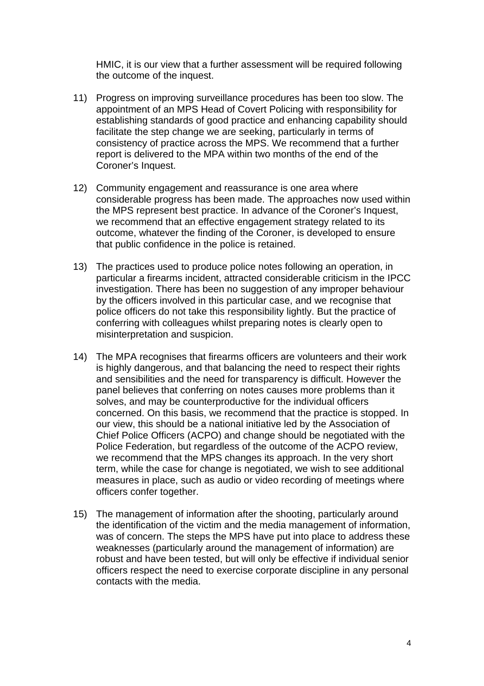HMIC, it is our view that a further assessment will be required following the outcome of the inquest.

- 11) Progress on improving surveillance procedures has been too slow. The appointment of an MPS Head of Covert Policing with responsibility for establishing standards of good practice and enhancing capability should facilitate the step change we are seeking, particularly in terms of consistency of practice across the MPS. We recommend that a further report is delivered to the MPA within two months of the end of the Coroner's Inquest.
- 12) Community engagement and reassurance is one area where considerable progress has been made. The approaches now used within the MPS represent best practice. In advance of the Coroner's Inquest, we recommend that an effective engagement strategy related to its outcome, whatever the finding of the Coroner, is developed to ensure that public confidence in the police is retained.
- 13) The practices used to produce police notes following an operation, in particular a firearms incident, attracted considerable criticism in the IPCC investigation. There has been no suggestion of any improper behaviour by the officers involved in this particular case, and we recognise that police officers do not take this responsibility lightly. But the practice of conferring with colleagues whilst preparing notes is clearly open to misinterpretation and suspicion.
- 14) The MPA recognises that firearms officers are volunteers and their work is highly dangerous, and that balancing the need to respect their rights and sensibilities and the need for transparency is difficult. However the panel believes that conferring on notes causes more problems than it solves, and may be counterproductive for the individual officers concerned. On this basis, we recommend that the practice is stopped. In our view, this should be a national initiative led by the Association of Chief Police Officers (ACPO) and change should be negotiated with the Police Federation, but regardless of the outcome of the ACPO review, we recommend that the MPS changes its approach. In the very short term, while the case for change is negotiated, we wish to see additional measures in place, such as audio or video recording of meetings where officers confer together.
- 15) The management of information after the shooting, particularly around the identification of the victim and the media management of information, was of concern. The steps the MPS have put into place to address these weaknesses (particularly around the management of information) are robust and have been tested, but will only be effective if individual senior officers respect the need to exercise corporate discipline in any personal contacts with the media.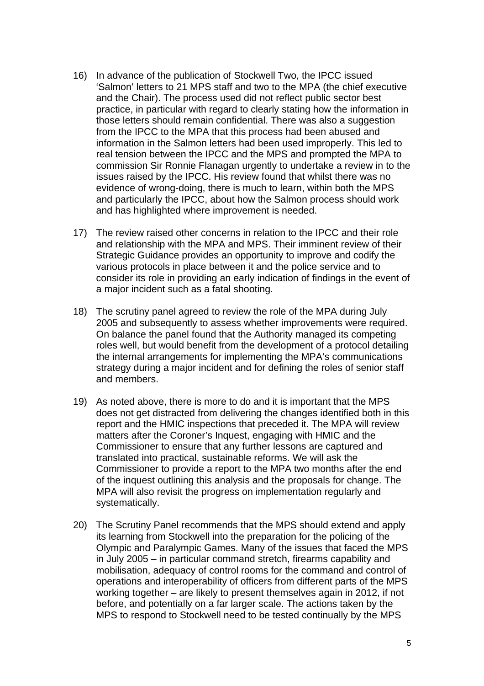- 16) In advance of the publication of Stockwell Two, the IPCC issued 'Salmon' letters to 21 MPS staff and two to the MPA (the chief executive and the Chair). The process used did not reflect public sector best practice, in particular with regard to clearly stating how the information in those letters should remain confidential. There was also a suggestion from the IPCC to the MPA that this process had been abused and information in the Salmon letters had been used improperly. This led to real tension between the IPCC and the MPS and prompted the MPA to commission Sir Ronnie Flanagan urgently to undertake a review in to the issues raised by the IPCC. His review found that whilst there was no evidence of wrong-doing, there is much to learn, within both the MPS and particularly the IPCC, about how the Salmon process should work and has highlighted where improvement is needed.
- 17) The review raised other concerns in relation to the IPCC and their role and relationship with the MPA and MPS. Their imminent review of their Strategic Guidance provides an opportunity to improve and codify the various protocols in place between it and the police service and to consider its role in providing an early indication of findings in the event of a major incident such as a fatal shooting.
- 18) The scrutiny panel agreed to review the role of the MPA during July 2005 and subsequently to assess whether improvements were required. On balance the panel found that the Authority managed its competing roles well, but would benefit from the development of a protocol detailing the internal arrangements for implementing the MPA's communications strategy during a major incident and for defining the roles of senior staff and members.
- 19) As noted above, there is more to do and it is important that the MPS does not get distracted from delivering the changes identified both in this report and the HMIC inspections that preceded it. The MPA will review matters after the Coroner's Inquest, engaging with HMIC and the Commissioner to ensure that any further lessons are captured and translated into practical, sustainable reforms. We will ask the Commissioner to provide a report to the MPA two months after the end of the inquest outlining this analysis and the proposals for change. The MPA will also revisit the progress on implementation regularly and systematically.
- 20) The Scrutiny Panel recommends that the MPS should extend and apply its learning from Stockwell into the preparation for the policing of the Olympic and Paralympic Games. Many of the issues that faced the MPS in July 2005 – in particular command stretch, firearms capability and mobilisation, adequacy of control rooms for the command and control of operations and interoperability of officers from different parts of the MPS working together – are likely to present themselves again in 2012, if not before, and potentially on a far larger scale. The actions taken by the MPS to respond to Stockwell need to be tested continually by the MPS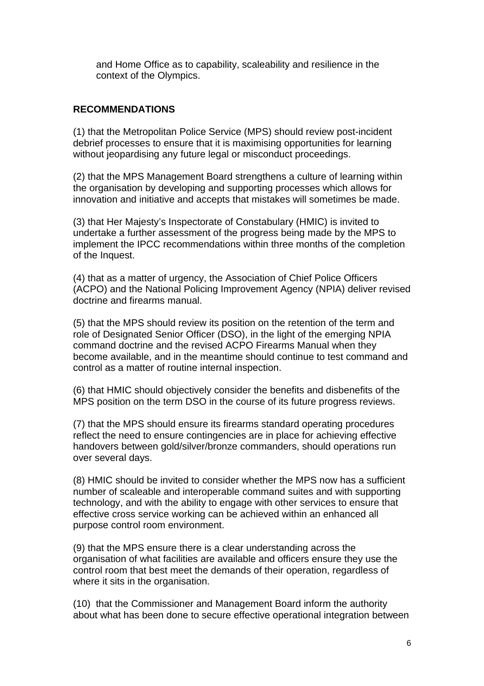and Home Office as to capability, scaleability and resilience in the context of the Olympics.

#### **RECOMMENDATIONS**

(1) that the Metropolitan Police Service (MPS) should review post-incident debrief processes to ensure that it is maximising opportunities for learning without jeopardising any future legal or misconduct proceedings.

(2) that the MPS Management Board strengthens a culture of learning within the organisation by developing and supporting processes which allows for innovation and initiative and accepts that mistakes will sometimes be made.

(3) that Her Majesty's Inspectorate of Constabulary (HMIC) is invited to undertake a further assessment of the progress being made by the MPS to implement the IPCC recommendations within three months of the completion of the Inquest.

(4) that as a matter of urgency, the Association of Chief Police Officers (ACPO) and the National Policing Improvement Agency (NPIA) deliver revised doctrine and firearms manual.

(5) that the MPS should review its position on the retention of the term and role of Designated Senior Officer (DSO), in the light of the emerging NPIA command doctrine and the revised ACPO Firearms Manual when they become available, and in the meantime should continue to test command and control as a matter of routine internal inspection.

(6) that HMIC should objectively consider the benefits and disbenefits of the MPS position on the term DSO in the course of its future progress reviews.

(7) that the MPS should ensure its firearms standard operating procedures reflect the need to ensure contingencies are in place for achieving effective handovers between gold/silver/bronze commanders, should operations run over several days.

(8) HMIC should be invited to consider whether the MPS now has a sufficient number of scaleable and interoperable command suites and with supporting technology, and with the ability to engage with other services to ensure that effective cross service working can be achieved within an enhanced all purpose control room environment.

(9) that the MPS ensure there is a clear understanding across the organisation of what facilities are available and officers ensure they use the control room that best meet the demands of their operation, regardless of where it sits in the organisation.

(10) that the Commissioner and Management Board inform the authority about what has been done to secure effective operational integration between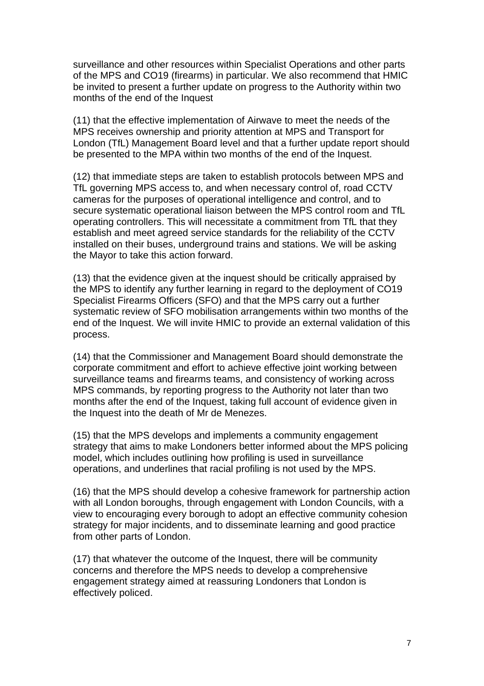surveillance and other resources within Specialist Operations and other parts of the MPS and CO19 (firearms) in particular. We also recommend that HMIC be invited to present a further update on progress to the Authority within two months of the end of the Inquest

(11) that the effective implementation of Airwave to meet the needs of the MPS receives ownership and priority attention at MPS and Transport for London (TfL) Management Board level and that a further update report should be presented to the MPA within two months of the end of the Inquest.

(12) that immediate steps are taken to establish protocols between MPS and TfL governing MPS access to, and when necessary control of, road CCTV cameras for the purposes of operational intelligence and control, and to secure systematic operational liaison between the MPS control room and TfL operating controllers. This will necessitate a commitment from TfL that they establish and meet agreed service standards for the reliability of the CCTV installed on their buses, underground trains and stations. We will be asking the Mayor to take this action forward.

(13) that the evidence given at the inquest should be critically appraised by the MPS to identify any further learning in regard to the deployment of CO19 Specialist Firearms Officers (SFO) and that the MPS carry out a further systematic review of SFO mobilisation arrangements within two months of the end of the Inquest. We will invite HMIC to provide an external validation of this process.

(14) that the Commissioner and Management Board should demonstrate the corporate commitment and effort to achieve effective joint working between surveillance teams and firearms teams, and consistency of working across MPS commands, by reporting progress to the Authority not later than two months after the end of the Inquest, taking full account of evidence given in the Inquest into the death of Mr de Menezes.

(15) that the MPS develops and implements a community engagement strategy that aims to make Londoners better informed about the MPS policing model, which includes outlining how profiling is used in surveillance operations, and underlines that racial profiling is not used by the MPS.

(16) that the MPS should develop a cohesive framework for partnership action with all London boroughs, through engagement with London Councils, with a view to encouraging every borough to adopt an effective community cohesion strategy for major incidents, and to disseminate learning and good practice from other parts of London.

(17) that whatever the outcome of the Inquest, there will be community concerns and therefore the MPS needs to develop a comprehensive engagement strategy aimed at reassuring Londoners that London is effectively policed.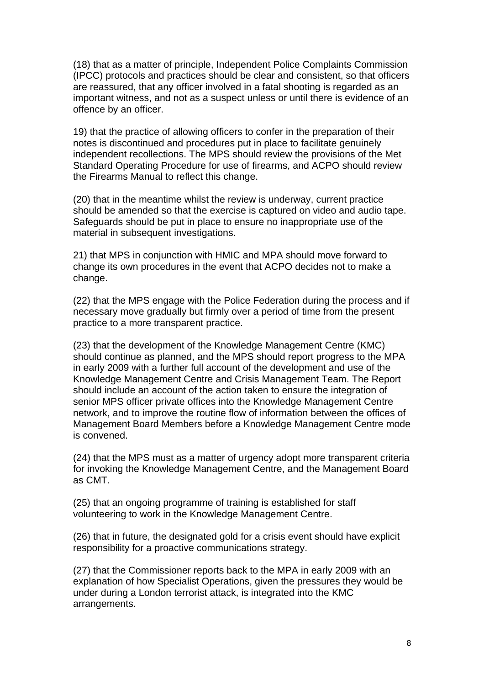(18) that as a matter of principle, Independent Police Complaints Commission (IPCC) protocols and practices should be clear and consistent, so that officers are reassured, that any officer involved in a fatal shooting is regarded as an important witness, and not as a suspect unless or until there is evidence of an offence by an officer.

19) that the practice of allowing officers to confer in the preparation of their notes is discontinued and procedures put in place to facilitate genuinely independent recollections. The MPS should review the provisions of the Met Standard Operating Procedure for use of firearms, and ACPO should review the Firearms Manual to reflect this change.

(20) that in the meantime whilst the review is underway, current practice should be amended so that the exercise is captured on video and audio tape. Safeguards should be put in place to ensure no inappropriate use of the material in subsequent investigations.

21) that MPS in conjunction with HMIC and MPA should move forward to change its own procedures in the event that ACPO decides not to make a change.

(22) that the MPS engage with the Police Federation during the process and if necessary move gradually but firmly over a period of time from the present practice to a more transparent practice.

(23) that the development of the Knowledge Management Centre (KMC) should continue as planned, and the MPS should report progress to the MPA in early 2009 with a further full account of the development and use of the Knowledge Management Centre and Crisis Management Team. The Report should include an account of the action taken to ensure the integration of senior MPS officer private offices into the Knowledge Management Centre network, and to improve the routine flow of information between the offices of Management Board Members before a Knowledge Management Centre mode is convened.

(24) that the MPS must as a matter of urgency adopt more transparent criteria for invoking the Knowledge Management Centre, and the Management Board as CMT.

(25) that an ongoing programme of training is established for staff volunteering to work in the Knowledge Management Centre.

(26) that in future, the designated gold for a crisis event should have explicit responsibility for a proactive communications strategy.

(27) that the Commissioner reports back to the MPA in early 2009 with an explanation of how Specialist Operations, given the pressures they would be under during a London terrorist attack, is integrated into the KMC arrangements.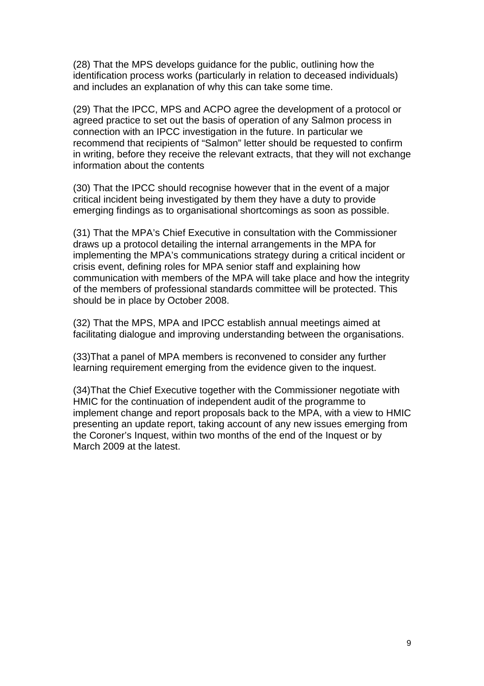(28) That the MPS develops guidance for the public, outlining how the identification process works (particularly in relation to deceased individuals) and includes an explanation of why this can take some time.

(29) That the IPCC, MPS and ACPO agree the development of a protocol or agreed practice to set out the basis of operation of any Salmon process in connection with an IPCC investigation in the future. In particular we recommend that recipients of "Salmon" letter should be requested to confirm in writing, before they receive the relevant extracts, that they will not exchange information about the contents

(30) That the IPCC should recognise however that in the event of a major critical incident being investigated by them they have a duty to provide emerging findings as to organisational shortcomings as soon as possible.

(31) That the MPA's Chief Executive in consultation with the Commissioner draws up a protocol detailing the internal arrangements in the MPA for implementing the MPA's communications strategy during a critical incident or crisis event, defining roles for MPA senior staff and explaining how communication with members of the MPA will take place and how the integrity of the members of professional standards committee will be protected. This should be in place by October 2008.

(32) That the MPS, MPA and IPCC establish annual meetings aimed at facilitating dialogue and improving understanding between the organisations.

(33)That a panel of MPA members is reconvened to consider any further learning requirement emerging from the evidence given to the inquest.

(34)That the Chief Executive together with the Commissioner negotiate with HMIC for the continuation of independent audit of the programme to implement change and report proposals back to the MPA, with a view to HMIC presenting an update report, taking account of any new issues emerging from the Coroner's Inquest, within two months of the end of the Inquest or by March 2009 at the latest.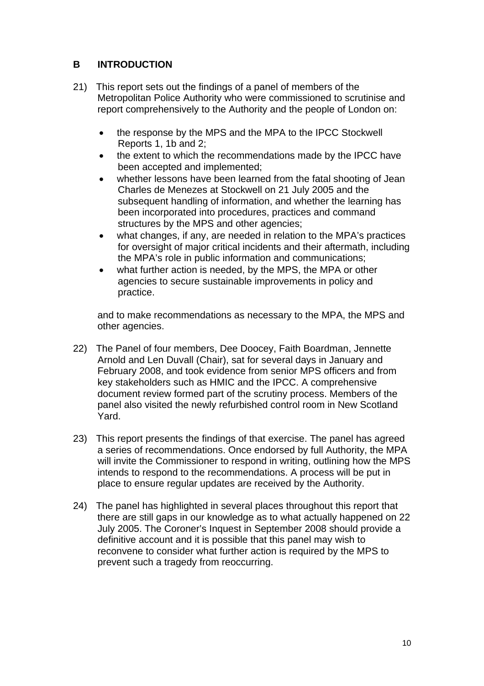# **B INTRODUCTION**

- 21) This report sets out the findings of a panel of members of the Metropolitan Police Authority who were commissioned to scrutinise and report comprehensively to the Authority and the people of London on:
	- the response by the MPS and the MPA to the IPCC Stockwell Reports 1, 1b and 2;
	- the extent to which the recommendations made by the IPCC have been accepted and implemented;
	- whether lessons have been learned from the fatal shooting of Jean Charles de Menezes at Stockwell on 21 July 2005 and the subsequent handling of information, and whether the learning has been incorporated into procedures, practices and command structures by the MPS and other agencies;
	- what changes, if any, are needed in relation to the MPA's practices for oversight of major critical incidents and their aftermath, including the MPA's role in public information and communications;
	- what further action is needed, by the MPS, the MPA or other agencies to secure sustainable improvements in policy and practice.

and to make recommendations as necessary to the MPA, the MPS and other agencies.

- 22) The Panel of four members, Dee Doocey, Faith Boardman, Jennette Arnold and Len Duvall (Chair), sat for several days in January and February 2008, and took evidence from senior MPS officers and from key stakeholders such as HMIC and the IPCC. A comprehensive document review formed part of the scrutiny process. Members of the panel also visited the newly refurbished control room in New Scotland Yard.
- 23) This report presents the findings of that exercise. The panel has agreed a series of recommendations. Once endorsed by full Authority, the MPA will invite the Commissioner to respond in writing, outlining how the MPS intends to respond to the recommendations. A process will be put in place to ensure regular updates are received by the Authority.
- 24) The panel has highlighted in several places throughout this report that there are still gaps in our knowledge as to what actually happened on 22 July 2005. The Coroner's Inquest in September 2008 should provide a definitive account and it is possible that this panel may wish to reconvene to consider what further action is required by the MPS to prevent such a tragedy from reoccurring.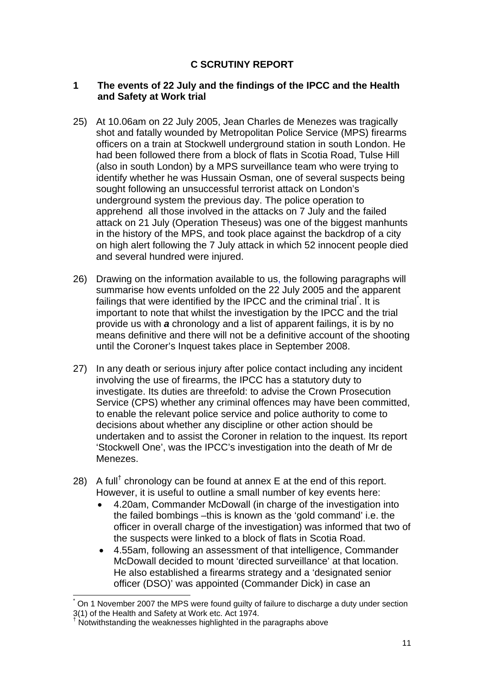# **C SCRUTINY REPORT**

#### **1 The events of 22 July and the findings of the IPCC and the Health and Safety at Work trial**

- 25) At 10.06am on 22 July 2005, Jean Charles de Menezes was tragically shot and fatally wounded by Metropolitan Police Service (MPS) firearms officers on a train at Stockwell underground station in south London. He had been followed there from a block of flats in Scotia Road, Tulse Hill (also in south London) by a MPS surveillance team who were trying to identify whether he was Hussain Osman, one of several suspects being sought following an unsuccessful terrorist attack on London's underground system the previous day. The police operation to apprehend all those involved in the attacks on 7 July and the failed attack on 21 July (Operation Theseus) was one of the biggest manhunts in the history of the MPS, and took place against the backdrop of a city on high alert following the 7 July attack in which 52 innocent people died and several hundred were injured.
- 26) Drawing on the information available to us, the following paragraphs will summarise how events unfolded on the 22 July 2005 and the apparent failings that were identified by the IPCC and the criminal trial<sup>\*</sup>. It is important to note that whilst the investigation by the IPCC and the trial provide us with *a* chronology and a list of apparent failings, it is by no means definitive and there will not be a definitive account of the shooting until the Coroner's Inquest takes place in September 2008.
- 27) In any death or serious injury after police contact including any incident involving the use of firearms, the IPCC has a statutory duty to investigate. Its duties are threefold: to advise the Crown Prosecution Service (CPS) whether any criminal offences may have been committed, to enable the relevant police service and police authority to come to decisions about whether any discipline or other action should be undertaken and to assist the Coroner in relation to the inquest. Its report 'Stockwell One', was the IPCC's investigation into the death of Mr de Menezes.
- 28) A full<sup>†</sup> chronology can be found at annex  $E$  at the end of this report. However, it is useful to outline a small number of key events here:
	- 4.20am, Commander McDowall (in charge of the investigation into the failed bombings –this is known as the 'gold command' i.e. the officer in overall charge of the investigation) was informed that two of the suspects were linked to a block of flats in Scotia Road.
	- 4.55am, following an assessment of that intelligence, Commander McDowall decided to mount 'directed surveillance' at that location. He also established a firearms strategy and a 'designated senior officer (DSO)' was appointed (Commander Dick) in case an

l

<sup>\*</sup> On 1 November 2007 the MPS were found guilty of failure to discharge a duty under section 3(1) of the Health and Safety at Work etc. Act 1974.

<sup>†</sup> Notwithstanding the weaknesses highlighted in the paragraphs above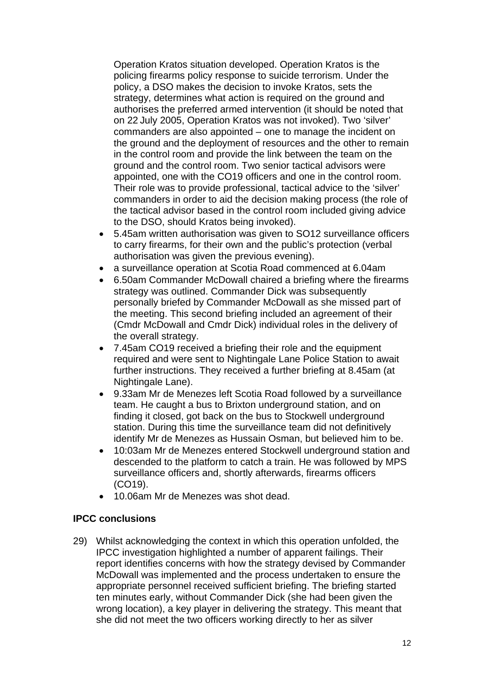Operation Kratos situation developed. Operation Kratos is the policing firearms policy response to suicide terrorism. Under the policy, a DSO makes the decision to invoke Kratos, sets the strategy, determines what action is required on the ground and authorises the preferred armed intervention (it should be noted that on 22 July 2005, Operation Kratos was not invoked). Two 'silver' commanders are also appointed – one to manage the incident on the ground and the deployment of resources and the other to remain in the control room and provide the link between the team on the ground and the control room. Two senior tactical advisors were appointed, one with the CO19 officers and one in the control room. Their role was to provide professional, tactical advice to the 'silver' commanders in order to aid the decision making process (the role of the tactical advisor based in the control room included giving advice to the DSO, should Kratos being invoked).

- 5.45am written authorisation was given to SO12 surveillance officers to carry firearms, for their own and the public's protection (verbal authorisation was given the previous evening).
- a surveillance operation at Scotia Road commenced at 6.04am
- 6.50am Commander McDowall chaired a briefing where the firearms strategy was outlined. Commander Dick was subsequently personally briefed by Commander McDowall as she missed part of the meeting. This second briefing included an agreement of their (Cmdr McDowall and Cmdr Dick) individual roles in the delivery of the overall strategy.
- 7.45am CO19 received a briefing their role and the equipment required and were sent to Nightingale Lane Police Station to await further instructions. They received a further briefing at 8.45am (at Nightingale Lane).
- 9.33am Mr de Menezes left Scotia Road followed by a surveillance team. He caught a bus to Brixton underground station, and on finding it closed, got back on the bus to Stockwell underground station. During this time the surveillance team did not definitively identify Mr de Menezes as Hussain Osman, but believed him to be.
- 10:03am Mr de Menezes entered Stockwell underground station and descended to the platform to catch a train. He was followed by MPS surveillance officers and, shortly afterwards, firearms officers (CO19).
- 10.06am Mr de Menezes was shot dead.

# **IPCC conclusions**

29) Whilst acknowledging the context in which this operation unfolded, the IPCC investigation highlighted a number of apparent failings. Their report identifies concerns with how the strategy devised by Commander McDowall was implemented and the process undertaken to ensure the appropriate personnel received sufficient briefing. The briefing started ten minutes early, without Commander Dick (she had been given the wrong location), a key player in delivering the strategy. This meant that she did not meet the two officers working directly to her as silver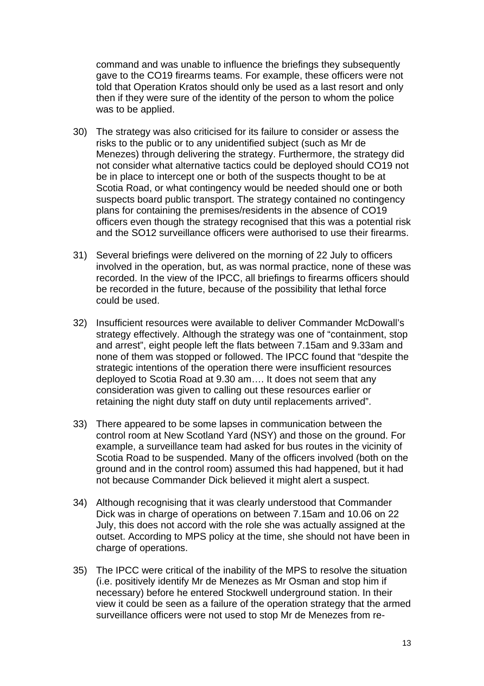command and was unable to influence the briefings they subsequently gave to the CO19 firearms teams. For example, these officers were not told that Operation Kratos should only be used as a last resort and only then if they were sure of the identity of the person to whom the police was to be applied.

- 30) The strategy was also criticised for its failure to consider or assess the risks to the public or to any unidentified subject (such as Mr de Menezes) through delivering the strategy. Furthermore, the strategy did not consider what alternative tactics could be deployed should CO19 not be in place to intercept one or both of the suspects thought to be at Scotia Road, or what contingency would be needed should one or both suspects board public transport. The strategy contained no contingency plans for containing the premises/residents in the absence of CO19 officers even though the strategy recognised that this was a potential risk and the SO12 surveillance officers were authorised to use their firearms.
- 31) Several briefings were delivered on the morning of 22 July to officers involved in the operation, but, as was normal practice, none of these was recorded. In the view of the IPCC, all briefings to firearms officers should be recorded in the future, because of the possibility that lethal force could be used.
- 32) Insufficient resources were available to deliver Commander McDowall's strategy effectively. Although the strategy was one of "containment, stop and arrest", eight people left the flats between 7.15am and 9.33am and none of them was stopped or followed. The IPCC found that "despite the strategic intentions of the operation there were insufficient resources deployed to Scotia Road at 9.30 am…. It does not seem that any consideration was given to calling out these resources earlier or retaining the night duty staff on duty until replacements arrived".
- 33) There appeared to be some lapses in communication between the control room at New Scotland Yard (NSY) and those on the ground. For example, a surveillance team had asked for bus routes in the vicinity of Scotia Road to be suspended. Many of the officers involved (both on the ground and in the control room) assumed this had happened, but it had not because Commander Dick believed it might alert a suspect.
- 34) Although recognising that it was clearly understood that Commander Dick was in charge of operations on between 7.15am and 10.06 on 22 July, this does not accord with the role she was actually assigned at the outset. According to MPS policy at the time, she should not have been in charge of operations.
- 35) The IPCC were critical of the inability of the MPS to resolve the situation (i.e. positively identify Mr de Menezes as Mr Osman and stop him if necessary) before he entered Stockwell underground station. In their view it could be seen as a failure of the operation strategy that the armed surveillance officers were not used to stop Mr de Menezes from re-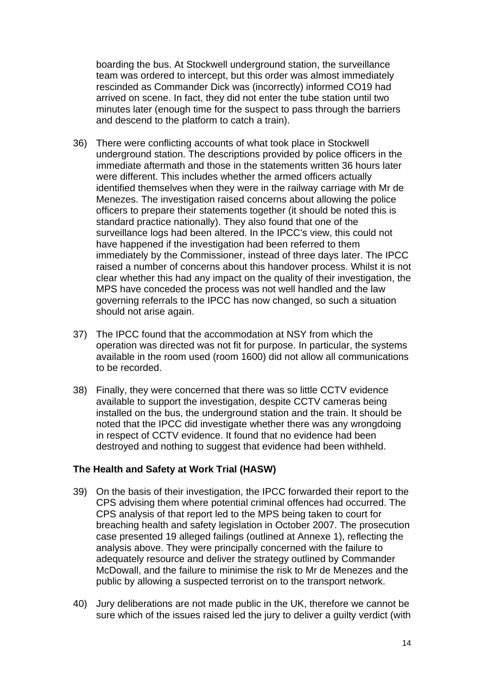boarding the bus. At Stockwell underground station, the surveillance team was ordered to intercept, but this order was almost immediately rescinded as Commander Dick was (incorrectly) informed CO19 had arrived on scene. In fact, they did not enter the tube station until two minutes later (enough time for the suspect to pass through the barriers and descend to the platform to catch a train).

- 36) There were conflicting accounts of what took place in Stockwell underground station. The descriptions provided by police officers in the immediate aftermath and those in the statements written 36 hours later were different. This includes whether the armed officers actually identified themselves when they were in the railway carriage with Mr de Menezes. The investigation raised concerns about allowing the police officers to prepare their statements together (it should be noted this is standard practice nationally). They also found that one of the surveillance logs had been altered. In the IPCC's view, this could not have happened if the investigation had been referred to them immediately by the Commissioner, instead of three days later. The IPCC raised a number of concerns about this handover process. Whilst it is not clear whether this had any impact on the quality of their investigation, the MPS have conceded the process was not well handled and the law governing referrals to the IPCC has now changed, so such a situation should not arise again.
- 37) The IPCC found that the accommodation at NSY from which the operation was directed was not fit for purpose. In particular, the systems available in the room used (room 1600) did not allow all communications to be recorded.
- 38) Finally, they were concerned that there was so little CCTV evidence available to support the investigation, despite CCTV cameras being installed on the bus, the underground station and the train. It should be noted that the IPCC did investigate whether there was any wrongdoing in respect of CCTV evidence. It found that no evidence had been destroyed and nothing to suggest that evidence had been withheld.

#### **The Health and Safety at Work Trial (HASW)**

- 39) On the basis of their investigation, the IPCC forwarded their report to the CPS advising them where potential criminal offences had occurred. The CPS analysis of that report led to the MPS being taken to court for breaching health and safety legislation in October 2007. The prosecution case presented 19 alleged failings (outlined at Annexe 1), reflecting the analysis above. They were principally concerned with the failure to adequately resource and deliver the strategy outlined by Commander McDowall, and the failure to minimise the risk to Mr de Menezes and the public by allowing a suspected terrorist on to the transport network.
- 40) Jury deliberations are not made public in the UK, therefore we cannot be sure which of the issues raised led the jury to deliver a guilty verdict (with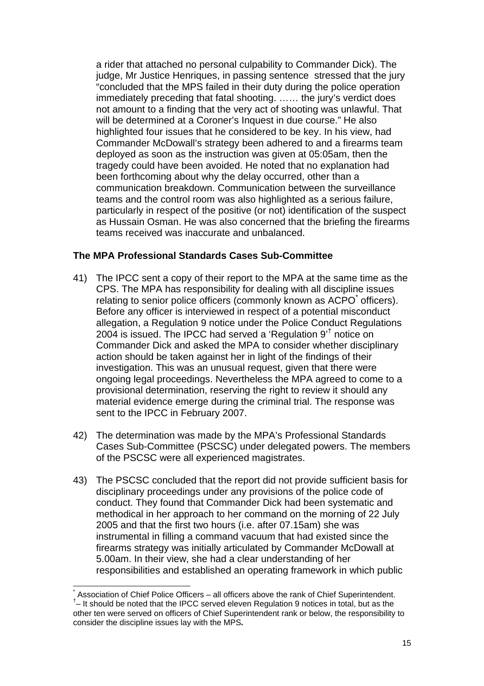a rider that attached no personal culpability to Commander Dick). The judge, Mr Justice Henriques, in passing sentence stressed that the jury "concluded that the MPS failed in their duty during the police operation immediately preceding that fatal shooting. …… the jury's verdict does not amount to a finding that the very act of shooting was unlawful. That will be determined at a Coroner's Inquest in due course." He also highlighted four issues that he considered to be key. In his view, had Commander McDowall's strategy been adhered to and a firearms team deployed as soon as the instruction was given at 05:05am, then the tragedy could have been avoided. He noted that no explanation had been forthcoming about why the delay occurred, other than a communication breakdown. Communication between the surveillance teams and the control room was also highlighted as a serious failure, particularly in respect of the positive (or not) identification of the suspect as Hussain Osman. He was also concerned that the briefing the firearms teams received was inaccurate and unbalanced.

## **The MPA Professional Standards Cases Sub-Committee**

- 41) The IPCC sent a copy of their report to the MPA at the same time as the CPS. The MPA has responsibility for dealing with all discipline issues relating to senior police officers (commonly known as ACPO<sup>\*</sup> officers). Before any officer is interviewed in respect of a potential misconduct allegation, a Regulation 9 notice under the Police Conduct Regulations 2004 is issued. The IPCC had served a 'Regulation  $9'$ <sup>†</sup> notice on Commander Dick and asked the MPA to consider whether disciplinary action should be taken against her in light of the findings of their investigation. This was an unusual request, given that there were ongoing legal proceedings. Nevertheless the MPA agreed to come to a provisional determination, reserving the right to review it should any material evidence emerge during the criminal trial. The response was sent to the IPCC in February 2007.
- 42) The determination was made by the MPA's Professional Standards Cases Sub-Committee (PSCSC) under delegated powers. The members of the PSCSC were all experienced magistrates.
- 43) The PSCSC concluded that the report did not provide sufficient basis for disciplinary proceedings under any provisions of the police code of conduct. They found that Commander Dick had been systematic and methodical in her approach to her command on the morning of 22 July 2005 and that the first two hours (i.e. after 07.15am) she was instrumental in filling a command vacuum that had existed since the firearms strategy was initially articulated by Commander McDowall at 5.00am. In their view, she had a clear understanding of her responsibilities and established an operating framework in which public

 $\overline{a}$ 

<sup>\*</sup> Association of Chief Police Officers – all officers above the rank of Chief Superintendent. † *–* It should be noted that the IPCC served eleven Regulation 9 notices in total, but as the other ten were served on officers of Chief Superintendent rank or below, the responsibility to consider the discipline issues lay with the MPS*.*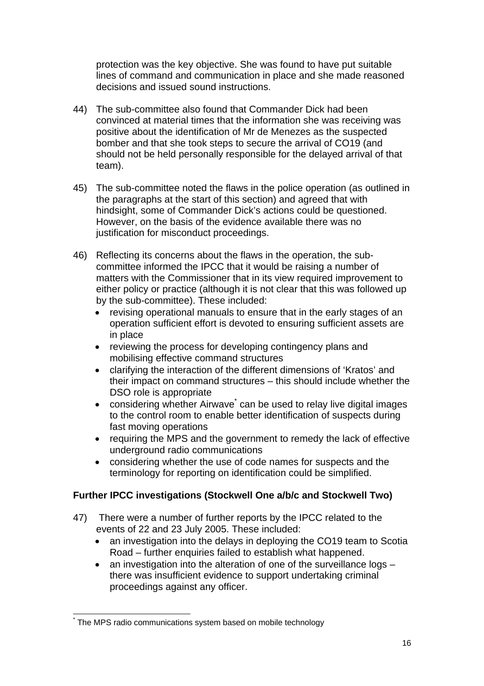protection was the key objective. She was found to have put suitable lines of command and communication in place and she made reasoned decisions and issued sound instructions.

- 44) The sub-committee also found that Commander Dick had been convinced at material times that the information she was receiving was positive about the identification of Mr de Menezes as the suspected bomber and that she took steps to secure the arrival of CO19 (and should not be held personally responsible for the delayed arrival of that team).
- 45) The sub-committee noted the flaws in the police operation (as outlined in the paragraphs at the start of this section) and agreed that with hindsight, some of Commander Dick's actions could be questioned. However, on the basis of the evidence available there was no justification for misconduct proceedings.
- 46) Reflecting its concerns about the flaws in the operation, the subcommittee informed the IPCC that it would be raising a number of matters with the Commissioner that in its view required improvement to either policy or practice (although it is not clear that this was followed up by the sub-committee). These included:
	- revising operational manuals to ensure that in the early stages of an operation sufficient effort is devoted to ensuring sufficient assets are in place
	- reviewing the process for developing contingency plans and mobilising effective command structures
	- clarifying the interaction of the different dimensions of 'Kratos' and their impact on command structures – this should include whether the DSO role is appropriate
	- considering whether Airwave can be used to relay live digital images to the control room to enable better identification of suspects during fast moving operations
	- requiring the MPS and the government to remedy the lack of effective underground radio communications
	- considering whether the use of code names for suspects and the terminology for reporting on identification could be simplified.

# **Further IPCC investigations (Stockwell One a/b/c and Stockwell Two)**

- 47) There were a number of further reports by the IPCC related to the events of 22 and 23 July 2005. These included:
	- an investigation into the delays in deploving the CO19 team to Scotia Road – further enquiries failed to establish what happened.
	- an investigation into the alteration of one of the surveillance logs there was insufficient evidence to support undertaking criminal proceedings against any officer.

 $\overline{a}$ \* The MPS radio communications system based on mobile technology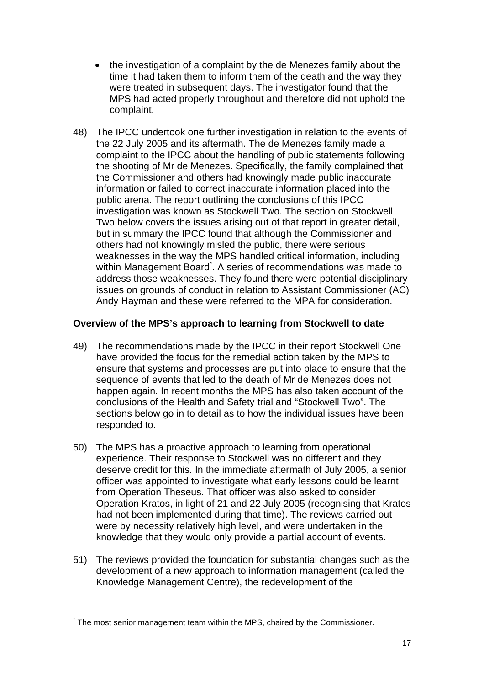- the investigation of a complaint by the de Menezes family about the time it had taken them to inform them of the death and the way they were treated in subsequent days. The investigator found that the MPS had acted properly throughout and therefore did not uphold the complaint.
- 48) The IPCC undertook one further investigation in relation to the events of the 22 July 2005 and its aftermath. The de Menezes family made a complaint to the IPCC about the handling of public statements following the shooting of Mr de Menezes. Specifically, the family complained that the Commissioner and others had knowingly made public inaccurate information or failed to correct inaccurate information placed into the public arena. The report outlining the conclusions of this IPCC investigation was known as Stockwell Two. The section on Stockwell Two below covers the issues arising out of that report in greater detail, but in summary the IPCC found that although the Commissioner and others had not knowingly misled the public, there were serious weaknesses in the way the MPS handled critical information, including within Management Board<sup>\*</sup>. A series of recommendations was made to address those weaknesses. They found there were potential disciplinary issues on grounds of conduct in relation to Assistant Commissioner (AC) Andy Hayman and these were referred to the MPA for consideration.

# **Overview of the MPS's approach to learning from Stockwell to date**

- 49) The recommendations made by the IPCC in their report Stockwell One have provided the focus for the remedial action taken by the MPS to ensure that systems and processes are put into place to ensure that the sequence of events that led to the death of Mr de Menezes does not happen again. In recent months the MPS has also taken account of the conclusions of the Health and Safety trial and "Stockwell Two". The sections below go in to detail as to how the individual issues have been responded to.
- 50) The MPS has a proactive approach to learning from operational experience. Their response to Stockwell was no different and they deserve credit for this. In the immediate aftermath of July 2005, a senior officer was appointed to investigate what early lessons could be learnt from Operation Theseus. That officer was also asked to consider Operation Kratos, in light of 21 and 22 July 2005 (recognising that Kratos had not been implemented during that time). The reviews carried out were by necessity relatively high level, and were undertaken in the knowledge that they would only provide a partial account of events.
- 51) The reviews provided the foundation for substantial changes such as the development of a new approach to information management (called the Knowledge Management Centre), the redevelopment of the

 $\overline{a}$ \* The most senior management team within the MPS, chaired by the Commissioner.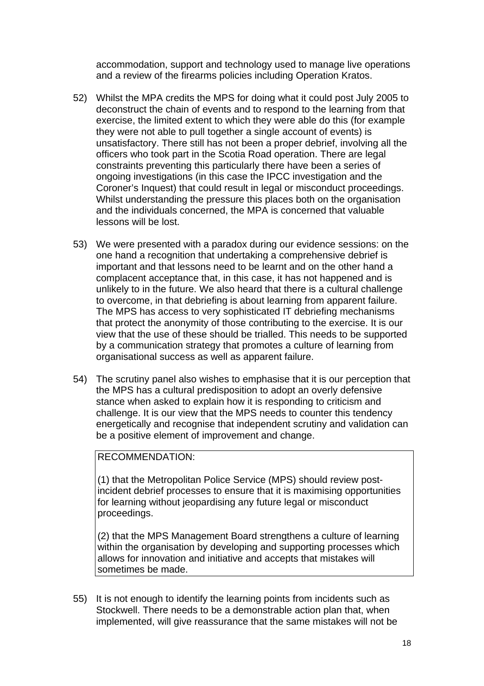accommodation, support and technology used to manage live operations and a review of the firearms policies including Operation Kratos.

- 52) Whilst the MPA credits the MPS for doing what it could post July 2005 to deconstruct the chain of events and to respond to the learning from that exercise, the limited extent to which they were able do this (for example they were not able to pull together a single account of events) is unsatisfactory. There still has not been a proper debrief, involving all the officers who took part in the Scotia Road operation. There are legal constraints preventing this particularly there have been a series of ongoing investigations (in this case the IPCC investigation and the Coroner's Inquest) that could result in legal or misconduct proceedings. Whilst understanding the pressure this places both on the organisation and the individuals concerned, the MPA is concerned that valuable lessons will be lost.
- 53) We were presented with a paradox during our evidence sessions: on the one hand a recognition that undertaking a comprehensive debrief is important and that lessons need to be learnt and on the other hand a complacent acceptance that, in this case, it has not happened and is unlikely to in the future. We also heard that there is a cultural challenge to overcome, in that debriefing is about learning from apparent failure. The MPS has access to very sophisticated IT debriefing mechanisms that protect the anonymity of those contributing to the exercise. It is our view that the use of these should be trialled. This needs to be supported by a communication strategy that promotes a culture of learning from organisational success as well as apparent failure.
- 54) The scrutiny panel also wishes to emphasise that it is our perception that the MPS has a cultural predisposition to adopt an overly defensive stance when asked to explain how it is responding to criticism and challenge. It is our view that the MPS needs to counter this tendency energetically and recognise that independent scrutiny and validation can be a positive element of improvement and change.

#### RECOMMENDATION:

(1) that the Metropolitan Police Service (MPS) should review postincident debrief processes to ensure that it is maximising opportunities for learning without jeopardising any future legal or misconduct proceedings.

(2) that the MPS Management Board strengthens a culture of learning within the organisation by developing and supporting processes which allows for innovation and initiative and accepts that mistakes will sometimes be made.

55) It is not enough to identify the learning points from incidents such as Stockwell. There needs to be a demonstrable action plan that, when implemented, will give reassurance that the same mistakes will not be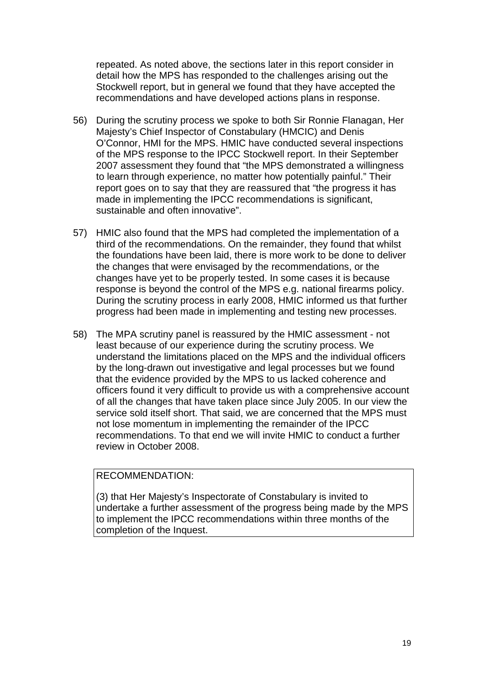repeated. As noted above, the sections later in this report consider in detail how the MPS has responded to the challenges arising out the Stockwell report, but in general we found that they have accepted the recommendations and have developed actions plans in response.

- 56) During the scrutiny process we spoke to both Sir Ronnie Flanagan, Her Majesty's Chief Inspector of Constabulary (HMCIC) and Denis O'Connor, HMI for the MPS. HMIC have conducted several inspections of the MPS response to the IPCC Stockwell report. In their September 2007 assessment they found that "the MPS demonstrated a willingness to learn through experience, no matter how potentially painful." Their report goes on to say that they are reassured that "the progress it has made in implementing the IPCC recommendations is significant, sustainable and often innovative".
- 57) HMIC also found that the MPS had completed the implementation of a third of the recommendations. On the remainder, they found that whilst the foundations have been laid, there is more work to be done to deliver the changes that were envisaged by the recommendations, or the changes have yet to be properly tested. In some cases it is because response is beyond the control of the MPS e.g. national firearms policy. During the scrutiny process in early 2008, HMIC informed us that further progress had been made in implementing and testing new processes.
- 58) The MPA scrutiny panel is reassured by the HMIC assessment not least because of our experience during the scrutiny process. We understand the limitations placed on the MPS and the individual officers by the long-drawn out investigative and legal processes but we found that the evidence provided by the MPS to us lacked coherence and officers found it very difficult to provide us with a comprehensive account of all the changes that have taken place since July 2005. In our view the service sold itself short. That said, we are concerned that the MPS must not lose momentum in implementing the remainder of the IPCC recommendations. To that end we will invite HMIC to conduct a further review in October 2008.

#### RECOMMENDATION:

(3) that Her Majesty's Inspectorate of Constabulary is invited to undertake a further assessment of the progress being made by the MPS to implement the IPCC recommendations within three months of the completion of the Inquest.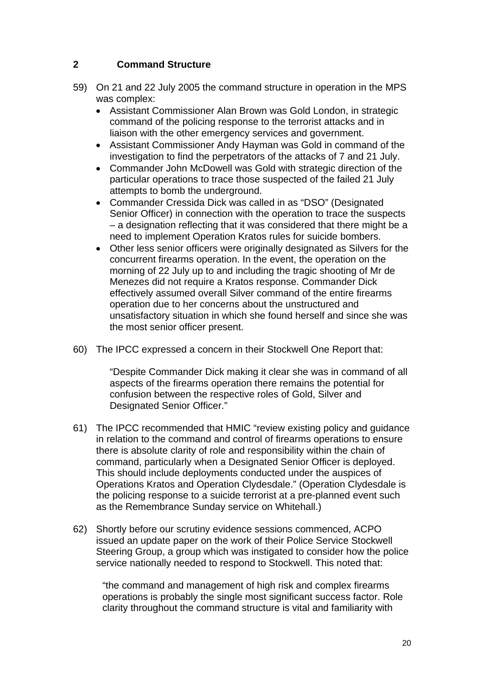# **2 Command Structure**

- 59) On 21 and 22 July 2005 the command structure in operation in the MPS was complex:
	- Assistant Commissioner Alan Brown was Gold London, in strategic command of the policing response to the terrorist attacks and in liaison with the other emergency services and government.
	- Assistant Commissioner Andy Hayman was Gold in command of the investigation to find the perpetrators of the attacks of 7 and 21 July.
	- Commander John McDowell was Gold with strategic direction of the particular operations to trace those suspected of the failed 21 July attempts to bomb the underground.
	- Commander Cressida Dick was called in as "DSO" (Designated Senior Officer) in connection with the operation to trace the suspects – a designation reflecting that it was considered that there might be a need to implement Operation Kratos rules for suicide bombers.
	- Other less senior officers were originally designated as Silvers for the concurrent firearms operation. In the event, the operation on the morning of 22 July up to and including the tragic shooting of Mr de Menezes did not require a Kratos response. Commander Dick effectively assumed overall Silver command of the entire firearms operation due to her concerns about the unstructured and unsatisfactory situation in which she found herself and since she was the most senior officer present.
- 60) The IPCC expressed a concern in their Stockwell One Report that:

"Despite Commander Dick making it clear she was in command of all aspects of the firearms operation there remains the potential for confusion between the respective roles of Gold, Silver and Designated Senior Officer."

- 61) The IPCC recommended that HMIC "review existing policy and guidance in relation to the command and control of firearms operations to ensure there is absolute clarity of role and responsibility within the chain of command, particularly when a Designated Senior Officer is deployed. This should include deployments conducted under the auspices of Operations Kratos and Operation Clydesdale." (Operation Clydesdale is the policing response to a suicide terrorist at a pre-planned event such as the Remembrance Sunday service on Whitehall.)
- 62) Shortly before our scrutiny evidence sessions commenced, ACPO issued an update paper on the work of their Police Service Stockwell Steering Group, a group which was instigated to consider how the police service nationally needed to respond to Stockwell. This noted that:

"the command and management of high risk and complex firearms operations is probably the single most significant success factor. Role clarity throughout the command structure is vital and familiarity with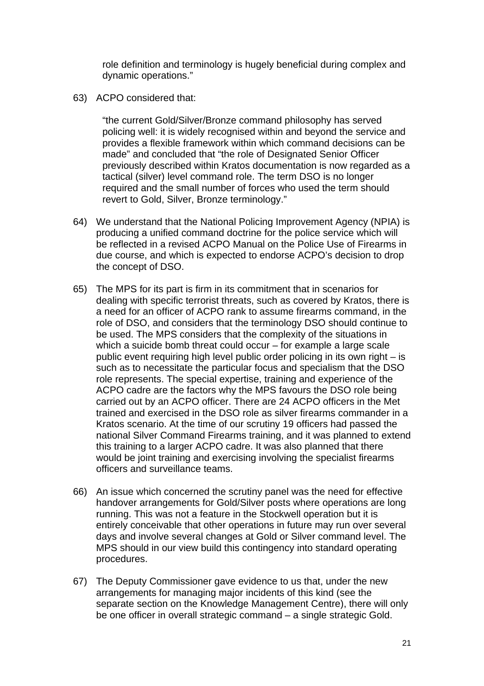role definition and terminology is hugely beneficial during complex and dynamic operations."

63) ACPO considered that:

"the current Gold/Silver/Bronze command philosophy has served policing well: it is widely recognised within and beyond the service and provides a flexible framework within which command decisions can be made" and concluded that "the role of Designated Senior Officer previously described within Kratos documentation is now regarded as a tactical (silver) level command role. The term DSO is no longer required and the small number of forces who used the term should revert to Gold, Silver, Bronze terminology."

- 64) We understand that the National Policing Improvement Agency (NPIA) is producing a unified command doctrine for the police service which will be reflected in a revised ACPO Manual on the Police Use of Firearms in due course, and which is expected to endorse ACPO's decision to drop the concept of DSO.
- 65) The MPS for its part is firm in its commitment that in scenarios for dealing with specific terrorist threats, such as covered by Kratos, there is a need for an officer of ACPO rank to assume firearms command, in the role of DSO, and considers that the terminology DSO should continue to be used. The MPS considers that the complexity of the situations in which a suicide bomb threat could occur – for example a large scale public event requiring high level public order policing in its own right – is such as to necessitate the particular focus and specialism that the DSO role represents. The special expertise, training and experience of the ACPO cadre are the factors why the MPS favours the DSO role being carried out by an ACPO officer. There are 24 ACPO officers in the Met trained and exercised in the DSO role as silver firearms commander in a Kratos scenario. At the time of our scrutiny 19 officers had passed the national Silver Command Firearms training, and it was planned to extend this training to a larger ACPO cadre. It was also planned that there would be joint training and exercising involving the specialist firearms officers and surveillance teams.
- 66) An issue which concerned the scrutiny panel was the need for effective handover arrangements for Gold/Silver posts where operations are long running. This was not a feature in the Stockwell operation but it is entirely conceivable that other operations in future may run over several days and involve several changes at Gold or Silver command level. The MPS should in our view build this contingency into standard operating procedures.
- 67) The Deputy Commissioner gave evidence to us that, under the new arrangements for managing major incidents of this kind (see the separate section on the Knowledge Management Centre), there will only be one officer in overall strategic command – a single strategic Gold.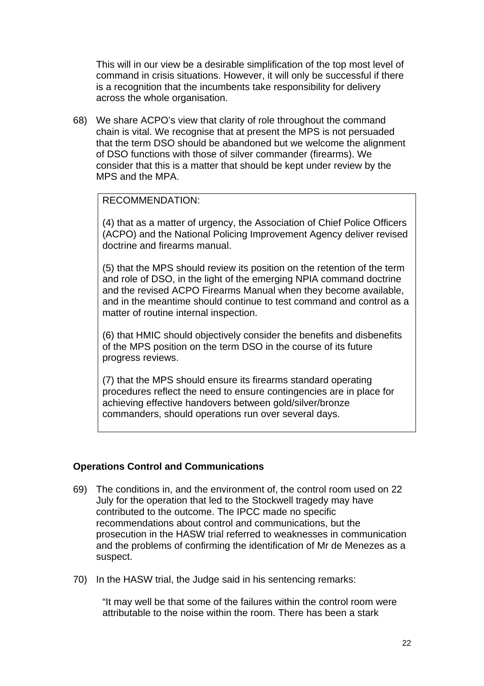This will in our view be a desirable simplification of the top most level of command in crisis situations. However, it will only be successful if there is a recognition that the incumbents take responsibility for delivery across the whole organisation.

68) We share ACPO's view that clarity of role throughout the command chain is vital. We recognise that at present the MPS is not persuaded that the term DSO should be abandoned but we welcome the alignment of DSO functions with those of silver commander (firearms). We consider that this is a matter that should be kept under review by the MPS and the MPA.

## RECOMMENDATION:

(4) that as a matter of urgency, the Association of Chief Police Officers (ACPO) and the National Policing Improvement Agency deliver revised doctrine and firearms manual.

(5) that the MPS should review its position on the retention of the term and role of DSO, in the light of the emerging NPIA command doctrine and the revised ACPO Firearms Manual when they become available, and in the meantime should continue to test command and control as a matter of routine internal inspection.

(6) that HMIC should objectively consider the benefits and disbenefits of the MPS position on the term DSO in the course of its future progress reviews.

(7) that the MPS should ensure its firearms standard operating procedures reflect the need to ensure contingencies are in place for achieving effective handovers between gold/silver/bronze commanders, should operations run over several days.

# **Operations Control and Communications**

- 69) The conditions in, and the environment of, the control room used on 22 July for the operation that led to the Stockwell tragedy may have contributed to the outcome. The IPCC made no specific recommendations about control and communications, but the prosecution in the HASW trial referred to weaknesses in communication and the problems of confirming the identification of Mr de Menezes as a suspect.
- 70) In the HASW trial, the Judge said in his sentencing remarks:

"It may well be that some of the failures within the control room were attributable to the noise within the room. There has been a stark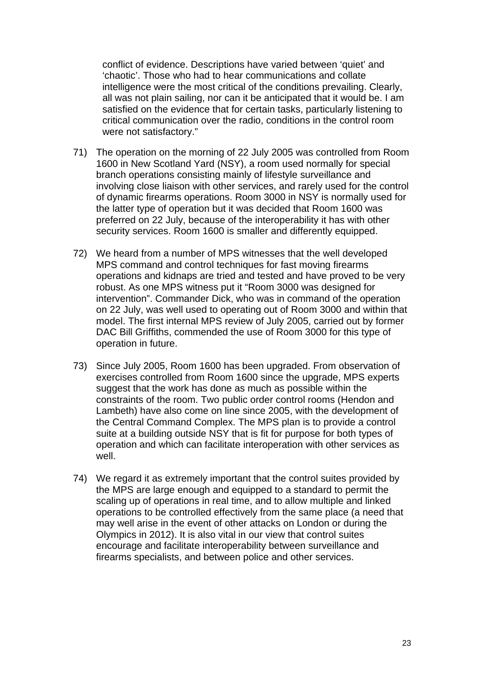conflict of evidence. Descriptions have varied between 'quiet' and 'chaotic'. Those who had to hear communications and collate intelligence were the most critical of the conditions prevailing. Clearly, all was not plain sailing, nor can it be anticipated that it would be. I am satisfied on the evidence that for certain tasks, particularly listening to critical communication over the radio, conditions in the control room were not satisfactory."

- 71) The operation on the morning of 22 July 2005 was controlled from Room 1600 in New Scotland Yard (NSY), a room used normally for special branch operations consisting mainly of lifestyle surveillance and involving close liaison with other services, and rarely used for the control of dynamic firearms operations. Room 3000 in NSY is normally used for the latter type of operation but it was decided that Room 1600 was preferred on 22 July, because of the interoperability it has with other security services. Room 1600 is smaller and differently equipped.
- 72) We heard from a number of MPS witnesses that the well developed MPS command and control techniques for fast moving firearms operations and kidnaps are tried and tested and have proved to be very robust. As one MPS witness put it "Room 3000 was designed for intervention". Commander Dick, who was in command of the operation on 22 July, was well used to operating out of Room 3000 and within that model. The first internal MPS review of July 2005, carried out by former DAC Bill Griffiths, commended the use of Room 3000 for this type of operation in future.
- 73) Since July 2005, Room 1600 has been upgraded. From observation of exercises controlled from Room 1600 since the upgrade, MPS experts suggest that the work has done as much as possible within the constraints of the room. Two public order control rooms (Hendon and Lambeth) have also come on line since 2005, with the development of the Central Command Complex. The MPS plan is to provide a control suite at a building outside NSY that is fit for purpose for both types of operation and which can facilitate interoperation with other services as well.
- 74) We regard it as extremely important that the control suites provided by the MPS are large enough and equipped to a standard to permit the scaling up of operations in real time, and to allow multiple and linked operations to be controlled effectively from the same place (a need that may well arise in the event of other attacks on London or during the Olympics in 2012). It is also vital in our view that control suites encourage and facilitate interoperability between surveillance and firearms specialists, and between police and other services.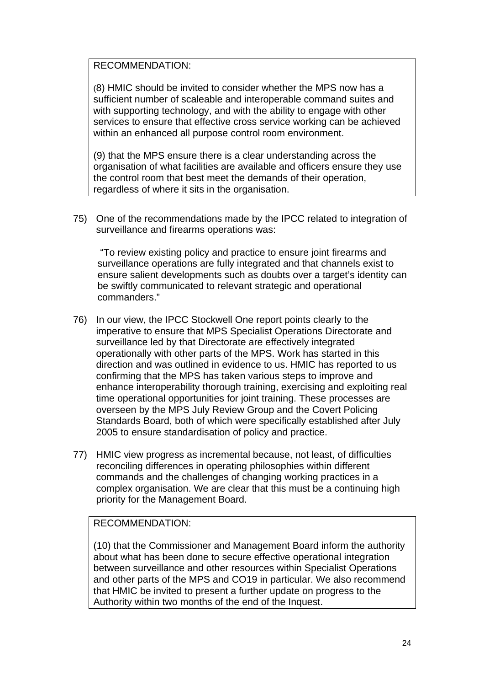## RECOMMENDATION:

(8) HMIC should be invited to consider whether the MPS now has a sufficient number of scaleable and interoperable command suites and with supporting technology, and with the ability to engage with other services to ensure that effective cross service working can be achieved within an enhanced all purpose control room environment.

(9) that the MPS ensure there is a clear understanding across the organisation of what facilities are available and officers ensure they use the control room that best meet the demands of their operation, regardless of where it sits in the organisation.

75) One of the recommendations made by the IPCC related to integration of surveillance and firearms operations was:

 "To review existing policy and practice to ensure joint firearms and surveillance operations are fully integrated and that channels exist to ensure salient developments such as doubts over a target's identity can be swiftly communicated to relevant strategic and operational commanders."

- 76) In our view, the IPCC Stockwell One report points clearly to the imperative to ensure that MPS Specialist Operations Directorate and surveillance led by that Directorate are effectively integrated operationally with other parts of the MPS. Work has started in this direction and was outlined in evidence to us. HMIC has reported to us confirming that the MPS has taken various steps to improve and enhance interoperability thorough training, exercising and exploiting real time operational opportunities for joint training. These processes are overseen by the MPS July Review Group and the Covert Policing Standards Board, both of which were specifically established after July 2005 to ensure standardisation of policy and practice.
- 77) HMIC view progress as incremental because, not least, of difficulties reconciling differences in operating philosophies within different commands and the challenges of changing working practices in a complex organisation. We are clear that this must be a continuing high priority for the Management Board.

#### RECOMMENDATION:

(10) that the Commissioner and Management Board inform the authority about what has been done to secure effective operational integration between surveillance and other resources within Specialist Operations and other parts of the MPS and CO19 in particular. We also recommend that HMIC be invited to present a further update on progress to the Authority within two months of the end of the Inquest.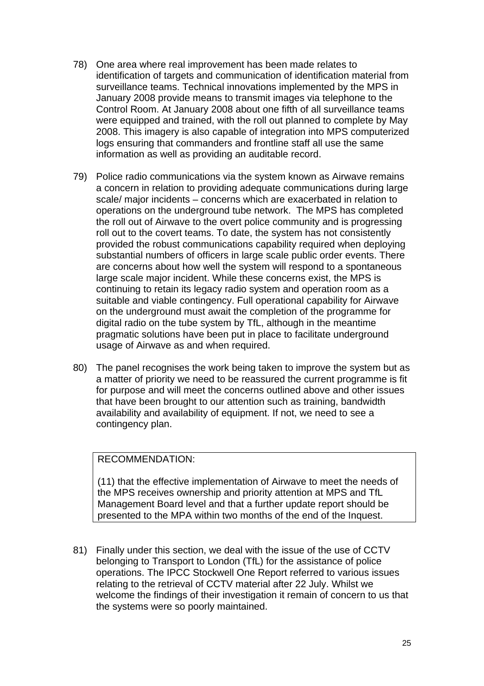- 78) One area where real improvement has been made relates to identification of targets and communication of identification material from surveillance teams. Technical innovations implemented by the MPS in January 2008 provide means to transmit images via telephone to the Control Room. At January 2008 about one fifth of all surveillance teams were equipped and trained, with the roll out planned to complete by May 2008. This imagery is also capable of integration into MPS computerized logs ensuring that commanders and frontline staff all use the same information as well as providing an auditable record.
- 79) Police radio communications via the system known as Airwave remains a concern in relation to providing adequate communications during large scale/ major incidents – concerns which are exacerbated in relation to operations on the underground tube network. The MPS has completed the roll out of Airwave to the overt police community and is progressing roll out to the covert teams. To date, the system has not consistently provided the robust communications capability required when deploying substantial numbers of officers in large scale public order events. There are concerns about how well the system will respond to a spontaneous large scale major incident. While these concerns exist, the MPS is continuing to retain its legacy radio system and operation room as a suitable and viable contingency. Full operational capability for Airwave on the underground must await the completion of the programme for digital radio on the tube system by TfL, although in the meantime pragmatic solutions have been put in place to facilitate underground usage of Airwave as and when required.
- 80) The panel recognises the work being taken to improve the system but as a matter of priority we need to be reassured the current programme is fit for purpose and will meet the concerns outlined above and other issues that have been brought to our attention such as training, bandwidth availability and availability of equipment. If not, we need to see a contingency plan.

# RECOMMENDATION:

(11) that the effective implementation of Airwave to meet the needs of the MPS receives ownership and priority attention at MPS and TfL Management Board level and that a further update report should be presented to the MPA within two months of the end of the Inquest.

81) Finally under this section, we deal with the issue of the use of CCTV belonging to Transport to London (TfL) for the assistance of police operations. The IPCC Stockwell One Report referred to various issues relating to the retrieval of CCTV material after 22 July. Whilst we welcome the findings of their investigation it remain of concern to us that the systems were so poorly maintained.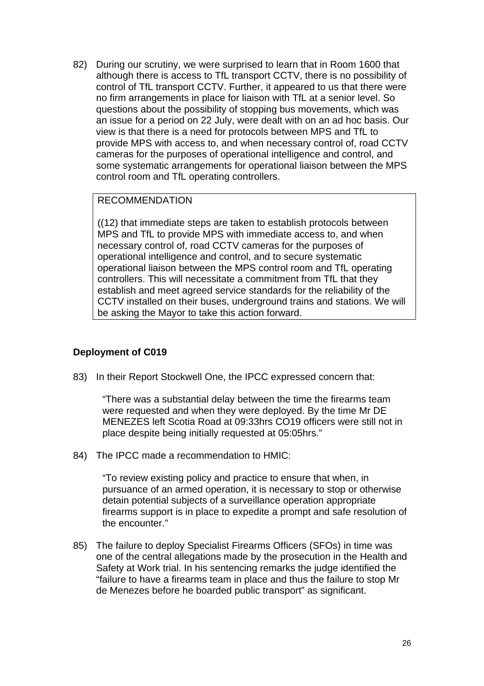82) During our scrutiny, we were surprised to learn that in Room 1600 that although there is access to TfL transport CCTV, there is no possibility of control of TfL transport CCTV. Further, it appeared to us that there were no firm arrangements in place for liaison with TfL at a senior level. So questions about the possibility of stopping bus movements, which was an issue for a period on 22 July, were dealt with on an ad hoc basis. Our view is that there is a need for protocols between MPS and TfL to provide MPS with access to, and when necessary control of, road CCTV cameras for the purposes of operational intelligence and control, and some systematic arrangements for operational liaison between the MPS control room and TfL operating controllers.

## RECOMMENDATION

((12) that immediate steps are taken to establish protocols between MPS and TfL to provide MPS with immediate access to, and when necessary control of, road CCTV cameras for the purposes of operational intelligence and control, and to secure systematic operational liaison between the MPS control room and TfL operating controllers. This will necessitate a commitment from TfL that they establish and meet agreed service standards for the reliability of the CCTV installed on their buses, underground trains and stations. We will be asking the Mayor to take this action forward.

# **Deployment of C019**

83) In their Report Stockwell One, the IPCC expressed concern that:

"There was a substantial delay between the time the firearms team were requested and when they were deployed. By the time Mr DE MENEZES left Scotia Road at 09:33hrs CO19 officers were still not in place despite being initially requested at 05:05hrs."

84) The IPCC made a recommendation to HMIC:

"To review existing policy and practice to ensure that when, in pursuance of an armed operation, it is necessary to stop or otherwise detain potential subjects of a surveillance operation appropriate firearms support is in place to expedite a prompt and safe resolution of the encounter."

85) The failure to deploy Specialist Firearms Officers (SFOs) in time was one of the central allegations made by the prosecution in the Health and Safety at Work trial. In his sentencing remarks the judge identified the "failure to have a firearms team in place and thus the failure to stop Mr de Menezes before he boarded public transport" as significant.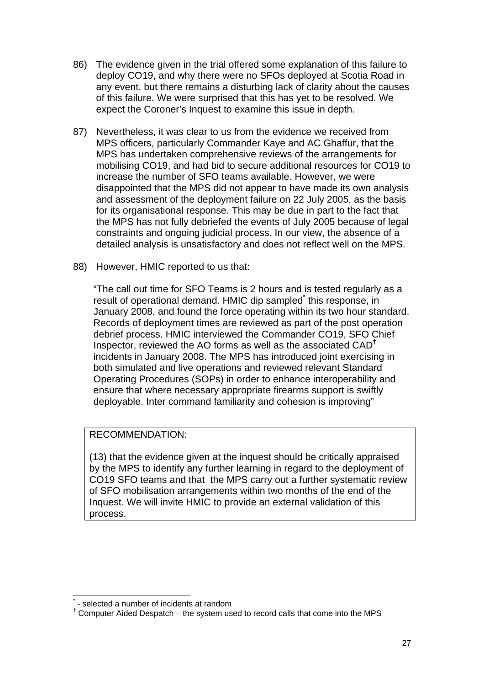- 86) The evidence given in the trial offered some explanation of this failure to deploy CO19, and why there were no SFOs deployed at Scotia Road in any event, but there remains a disturbing lack of clarity about the causes of this failure. We were surprised that this has yet to be resolved. We expect the Coroner's Inquest to examine this issue in depth.
- 87) Nevertheless, it was clear to us from the evidence we received from MPS officers, particularly Commander Kaye and AC Ghaffur, that the MPS has undertaken comprehensive reviews of the arrangements for mobilising CO19, and had bid to secure additional resources for CO19 to increase the number of SFO teams available. However, we were disappointed that the MPS did not appear to have made its own analysis and assessment of the deployment failure on 22 July 2005, as the basis for its organisational response. This may be due in part to the fact that the MPS has not fully debriefed the events of July 2005 because of legal constraints and ongoing judicial process. In our view, the absence of a detailed analysis is unsatisfactory and does not reflect well on the MPS.
- 88) However, HMIC reported to us that:

"The call out time for SFO Teams is 2 hours and is tested regularly as a result of operational demand. HMIC dip sampled<sup>\*</sup> this response, in January 2008, and found the force operating within its two hour standard. Records of deployment times are reviewed as part of the post operation debrief process. HMIC interviewed the Commander CO19, SFO Chief Inspector, reviewed the AO forms as well as the associated CAD† incidents in January 2008. The MPS has introduced joint exercising in both simulated and live operations and reviewed relevant Standard Operating Procedures (SOPs) in order to enhance interoperability and ensure that where necessary appropriate firearms support is swiftly deployable. Inter command familiarity and cohesion is improving"

# RECOMMENDATION:

(13) that the evidence given at the inquest should be critically appraised by the MPS to identify any further learning in regard to the deployment of CO19 SFO teams and that the MPS carry out a further systematic review of SFO mobilisation arrangements within two months of the end of the Inquest. We will invite HMIC to provide an external validation of this process.

l \* - selected a number of incidents at random

<sup>&</sup>lt;sup>†</sup> Computer Aided Despatch – the system used to record calls that come into the MPS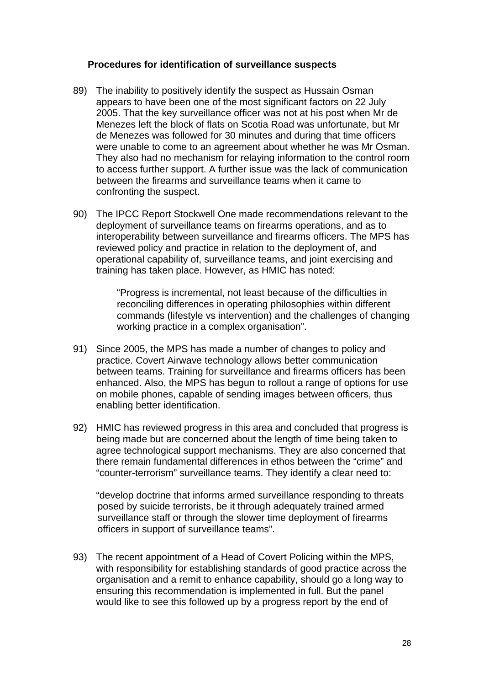#### **Procedures for identification of surveillance suspects**

- 89) The inability to positively identify the suspect as Hussain Osman appears to have been one of the most significant factors on 22 July 2005. That the key surveillance officer was not at his post when Mr de Menezes left the block of flats on Scotia Road was unfortunate, but Mr de Menezes was followed for 30 minutes and during that time officers were unable to come to an agreement about whether he was Mr Osman. They also had no mechanism for relaying information to the control room to access further support. A further issue was the lack of communication between the firearms and surveillance teams when it came to confronting the suspect.
- 90) The IPCC Report Stockwell One made recommendations relevant to the deployment of surveillance teams on firearms operations, and as to interoperability between surveillance and firearms officers. The MPS has reviewed policy and practice in relation to the deployment of, and operational capability of, surveillance teams, and joint exercising and training has taken place. However, as HMIC has noted:

"Progress is incremental, not least because of the difficulties in reconciling differences in operating philosophies within different commands (lifestyle vs intervention) and the challenges of changing working practice in a complex organisation".

- 91) Since 2005, the MPS has made a number of changes to policy and practice. Covert Airwave technology allows better communication between teams. Training for surveillance and firearms officers has been enhanced. Also, the MPS has begun to rollout a range of options for use on mobile phones, capable of sending images between officers, thus enabling better identification.
- 92) HMIC has reviewed progress in this area and concluded that progress is being made but are concerned about the length of time being taken to agree technological support mechanisms. They are also concerned that there remain fundamental differences in ethos between the "crime" and "counter-terrorism" surveillance teams. They identify a clear need to:

"develop doctrine that informs armed surveillance responding to threats posed by suicide terrorists, be it through adequately trained armed surveillance staff or through the slower time deployment of firearms officers in support of surveillance teams".

93) The recent appointment of a Head of Covert Policing within the MPS, with responsibility for establishing standards of good practice across the organisation and a remit to enhance capability, should go a long way to ensuring this recommendation is implemented in full. But the panel would like to see this followed up by a progress report by the end of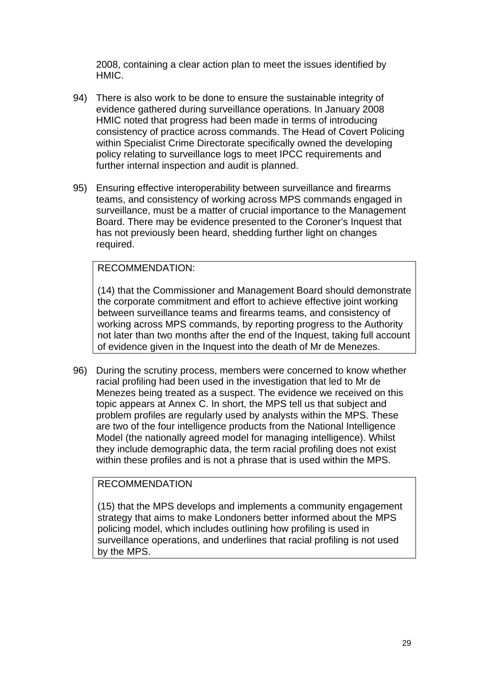2008, containing a clear action plan to meet the issues identified by HMIC.

- 94) There is also work to be done to ensure the sustainable integrity of evidence gathered during surveillance operations. In January 2008 HMIC noted that progress had been made in terms of introducing consistency of practice across commands. The Head of Covert Policing within Specialist Crime Directorate specifically owned the developing policy relating to surveillance logs to meet IPCC requirements and further internal inspection and audit is planned.
- 95) Ensuring effective interoperability between surveillance and firearms teams, and consistency of working across MPS commands engaged in surveillance, must be a matter of crucial importance to the Management Board. There may be evidence presented to the Coroner's Inquest that has not previously been heard, shedding further light on changes required.

#### RECOMMENDATION:

(14) that the Commissioner and Management Board should demonstrate the corporate commitment and effort to achieve effective joint working between surveillance teams and firearms teams, and consistency of working across MPS commands, by reporting progress to the Authority not later than two months after the end of the Inquest, taking full account of evidence given in the Inquest into the death of Mr de Menezes.

96) During the scrutiny process, members were concerned to know whether racial profiling had been used in the investigation that led to Mr de Menezes being treated as a suspect. The evidence we received on this topic appears at Annex C. In short, the MPS tell us that subject and problem profiles are regularly used by analysts within the MPS. These are two of the four intelligence products from the National Intelligence Model (the nationally agreed model for managing intelligence). Whilst they include demographic data, the term racial profiling does not exist within these profiles and is not a phrase that is used within the MPS.

#### RECOMMENDATION

(15) that the MPS develops and implements a community engagement strategy that aims to make Londoners better informed about the MPS policing model, which includes outlining how profiling is used in surveillance operations, and underlines that racial profiling is not used by the MPS.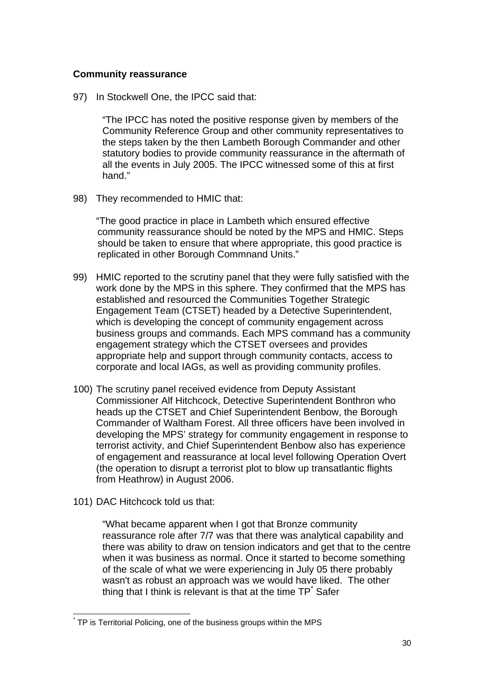#### **Community reassurance**

97) In Stockwell One, the IPCC said that:

"The IPCC has noted the positive response given by members of the Community Reference Group and other community representatives to the steps taken by the then Lambeth Borough Commander and other statutory bodies to provide community reassurance in the aftermath of all the events in July 2005. The IPCC witnessed some of this at first hand"

98) They recommended to HMIC that:

"The good practice in place in Lambeth which ensured effective community reassurance should be noted by the MPS and HMIC. Steps should be taken to ensure that where appropriate, this good practice is replicated in other Borough Commnand Units."

- 99) HMIC reported to the scrutiny panel that they were fully satisfied with the work done by the MPS in this sphere. They confirmed that the MPS has established and resourced the Communities Together Strategic Engagement Team (CTSET) headed by a Detective Superintendent, which is developing the concept of community engagement across business groups and commands. Each MPS command has a community engagement strategy which the CTSET oversees and provides appropriate help and support through community contacts, access to corporate and local IAGs, as well as providing community profiles.
- 100) The scrutiny panel received evidence from Deputy Assistant Commissioner Alf Hitchcock, Detective Superintendent Bonthron who heads up the CTSET and Chief Superintendent Benbow, the Borough Commander of Waltham Forest. All three officers have been involved in developing the MPS' strategy for community engagement in response to terrorist activity, and Chief Superintendent Benbow also has experience of engagement and reassurance at local level following Operation Overt (the operation to disrupt a terrorist plot to blow up transatlantic flights from Heathrow) in August 2006.
- 101) DAC Hitchcock told us that:

"What became apparent when I got that Bronze community reassurance role after 7/7 was that there was analytical capability and there was ability to draw on tension indicators and get that to the centre when it was business as normal. Once it started to become something of the scale of what we were experiencing in July 05 there probably wasn't as robust an approach was we would have liked. The other thing that I think is relevant is that at the time  $\text{TP}^*$  Safer

 $\overline{a}$ \* TP is Territorial Policing, one of the business groups within the MPS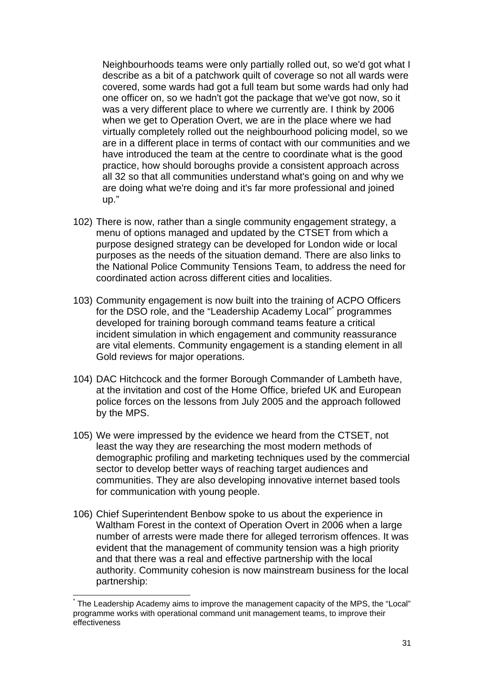Neighbourhoods teams were only partially rolled out, so we'd got what I describe as a bit of a patchwork quilt of coverage so not all wards were covered, some wards had got a full team but some wards had only had one officer on, so we hadn't got the package that we've got now, so it was a very different place to where we currently are. I think by 2006 when we get to Operation Overt, we are in the place where we had virtually completely rolled out the neighbourhood policing model, so we are in a different place in terms of contact with our communities and we have introduced the team at the centre to coordinate what is the good practice, how should boroughs provide a consistent approach across all 32 so that all communities understand what's going on and why we are doing what we're doing and it's far more professional and joined up."

- 102) There is now, rather than a single community engagement strategy, a menu of options managed and updated by the CTSET from which a purpose designed strategy can be developed for London wide or local purposes as the needs of the situation demand. There are also links to the National Police Community Tensions Team, to address the need for coordinated action across different cities and localities.
- 103) Community engagement is now built into the training of ACPO Officers for the DSO role, and the "Leadership Academy Local" programmes developed for training borough command teams feature a critical incident simulation in which engagement and community reassurance are vital elements. Community engagement is a standing element in all Gold reviews for major operations.
- 104) DAC Hitchcock and the former Borough Commander of Lambeth have, at the invitation and cost of the Home Office, briefed UK and European police forces on the lessons from July 2005 and the approach followed by the MPS.
- 105) We were impressed by the evidence we heard from the CTSET, not least the way they are researching the most modern methods of demographic profiling and marketing techniques used by the commercial sector to develop better ways of reaching target audiences and communities. They are also developing innovative internet based tools for communication with young people.
- 106) Chief Superintendent Benbow spoke to us about the experience in Waltham Forest in the context of Operation Overt in 2006 when a large number of arrests were made there for alleged terrorism offences. It was evident that the management of community tension was a high priority and that there was a real and effective partnership with the local authority. Community cohesion is now mainstream business for the local partnership:

l \* The Leadership Academy aims to improve the management capacity of the MPS, the "Local" programme works with operational command unit management teams, to improve their effectiveness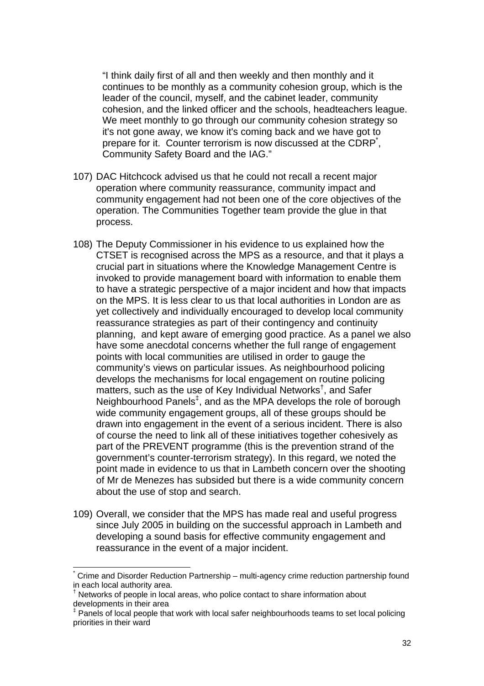"I think daily first of all and then weekly and then monthly and it continues to be monthly as a community cohesion group, which is the leader of the council, myself, and the cabinet leader, community cohesion, and the linked officer and the schools, headteachers league. We meet monthly to go through our community cohesion strategy so it's not gone away, we know it's coming back and we have got to prepare for it. Counter terrorism is now discussed at the CDRP<sup>\*</sup>, Community Safety Board and the IAG."

- 107) DAC Hitchcock advised us that he could not recall a recent major operation where community reassurance, community impact and community engagement had not been one of the core objectives of the operation. The Communities Together team provide the glue in that process.
- 108) The Deputy Commissioner in his evidence to us explained how the CTSET is recognised across the MPS as a resource, and that it plays a crucial part in situations where the Knowledge Management Centre is invoked to provide management board with information to enable them to have a strategic perspective of a major incident and how that impacts on the MPS. It is less clear to us that local authorities in London are as yet collectively and individually encouraged to develop local community reassurance strategies as part of their contingency and continuity planning, and kept aware of emerging good practice. As a panel we also have some anecdotal concerns whether the full range of engagement points with local communities are utilised in order to gauge the community's views on particular issues. As neighbourhood policing develops the mechanisms for local engagement on routine policing matters, such as the use of Key Individual Networks<sup>†</sup>, and Safer Neighbourhood Panels<sup>‡</sup>, and as the MPA develops the role of borough wide community engagement groups, all of these groups should be drawn into engagement in the event of a serious incident. There is also of course the need to link all of these initiatives together cohesively as part of the PREVENT programme (this is the prevention strand of the government's counter-terrorism strategy). In this regard, we noted the point made in evidence to us that in Lambeth concern over the shooting of Mr de Menezes has subsided but there is a wide community concern about the use of stop and search.
- 109) Overall, we consider that the MPS has made real and useful progress since July 2005 in building on the successful approach in Lambeth and developing a sound basis for effective community engagement and reassurance in the event of a major incident.

l

<sup>\*</sup> Crime and Disorder Reduction Partnership – multi-agency crime reduction partnership found in each local authority area.

<sup>&</sup>lt;sup>†</sup> Networks of people in local areas, who police contact to share information about developments in their area

<sup>‡</sup> Panels of local people that work with local safer neighbourhoods teams to set local policing priorities in their ward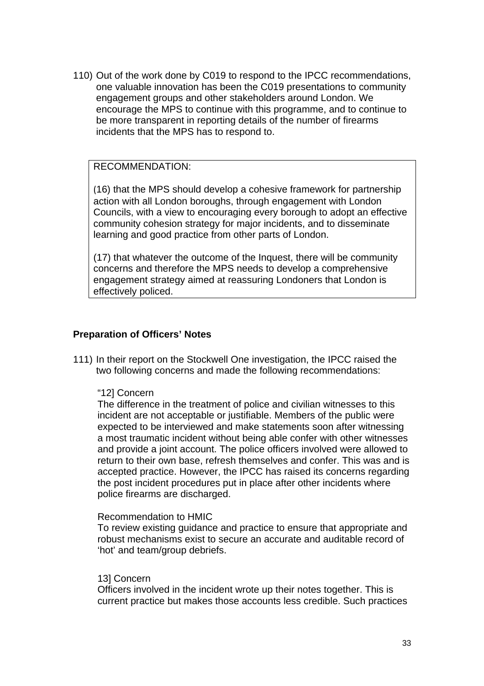110) Out of the work done by C019 to respond to the IPCC recommendations, one valuable innovation has been the C019 presentations to community engagement groups and other stakeholders around London. We encourage the MPS to continue with this programme, and to continue to be more transparent in reporting details of the number of firearms incidents that the MPS has to respond to.

# RECOMMENDATION:

(16) that the MPS should develop a cohesive framework for partnership action with all London boroughs, through engagement with London Councils, with a view to encouraging every borough to adopt an effective community cohesion strategy for major incidents, and to disseminate learning and good practice from other parts of London.

(17) that whatever the outcome of the Inquest, there will be community concerns and therefore the MPS needs to develop a comprehensive engagement strategy aimed at reassuring Londoners that London is effectively policed.

#### **Preparation of Officers' Notes**

111) In their report on the Stockwell One investigation, the IPCC raised the two following concerns and made the following recommendations:

#### "12] Concern

The difference in the treatment of police and civilian witnesses to this incident are not acceptable or justifiable. Members of the public were expected to be interviewed and make statements soon after witnessing a most traumatic incident without being able confer with other witnesses and provide a joint account. The police officers involved were allowed to return to their own base, refresh themselves and confer. This was and is accepted practice. However, the IPCC has raised its concerns regarding the post incident procedures put in place after other incidents where police firearms are discharged.

#### Recommendation to HMIC

To review existing guidance and practice to ensure that appropriate and robust mechanisms exist to secure an accurate and auditable record of 'hot' and team/group debriefs.

#### 13] Concern

Officers involved in the incident wrote up their notes together. This is current practice but makes those accounts less credible. Such practices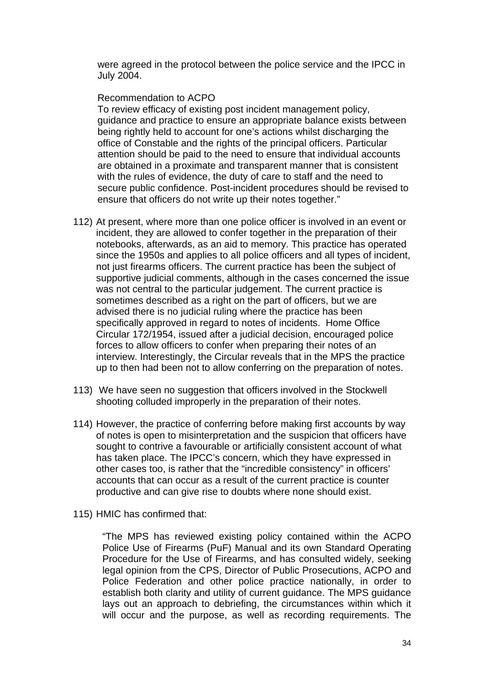were agreed in the protocol between the police service and the IPCC in July 2004.

#### Recommendation to ACPO

To review efficacy of existing post incident management policy, guidance and practice to ensure an appropriate balance exists between being rightly held to account for one's actions whilst discharging the office of Constable and the rights of the principal officers. Particular attention should be paid to the need to ensure that individual accounts are obtained in a proximate and transparent manner that is consistent with the rules of evidence, the duty of care to staff and the need to secure public confidence. Post-incident procedures should be revised to ensure that officers do not write up their notes together."

- 112) At present, where more than one police officer is involved in an event or incident, they are allowed to confer together in the preparation of their notebooks, afterwards, as an aid to memory. This practice has operated since the 1950s and applies to all police officers and all types of incident, not just firearms officers. The current practice has been the subject of supportive judicial comments, although in the cases concerned the issue was not central to the particular judgement. The current practice is sometimes described as a right on the part of officers, but we are advised there is no judicial ruling where the practice has been specifically approved in regard to notes of incidents. Home Office Circular 172/1954, issued after a judicial decision, encouraged police forces to allow officers to confer when preparing their notes of an interview. Interestingly, the Circular reveals that in the MPS the practice up to then had been not to allow conferring on the preparation of notes.
- 113) We have seen no suggestion that officers involved in the Stockwell shooting colluded improperly in the preparation of their notes.
- 114) However, the practice of conferring before making first accounts by way of notes is open to misinterpretation and the suspicion that officers have sought to contrive a favourable or artificially consistent account of what has taken place. The IPCC's concern, which they have expressed in other cases too, is rather that the "incredible consistency" in officers' accounts that can occur as a result of the current practice is counter productive and can give rise to doubts where none should exist.
- 115) HMIC has confirmed that:

"The MPS has reviewed existing policy contained within the ACPO Police Use of Firearms (PuF) Manual and its own Standard Operating Procedure for the Use of Firearms, and has consulted widely, seeking legal opinion from the CPS, Director of Public Prosecutions, ACPO and Police Federation and other police practice nationally, in order to establish both clarity and utility of current guidance. The MPS guidance lays out an approach to debriefing, the circumstances within which it will occur and the purpose, as well as recording requirements. The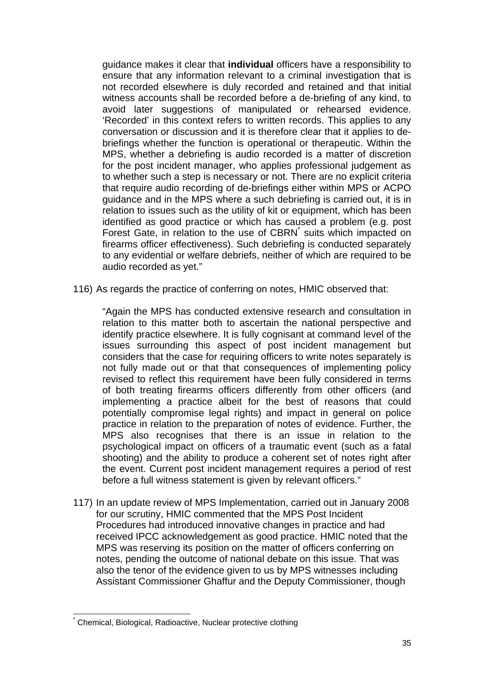guidance makes it clear that **individual** officers have a responsibility to ensure that any information relevant to a criminal investigation that is not recorded elsewhere is duly recorded and retained and that initial witness accounts shall be recorded before a de-briefing of any kind, to avoid later suggestions of manipulated or rehearsed evidence. 'Recorded' in this context refers to written records. This applies to any conversation or discussion and it is therefore clear that it applies to debriefings whether the function is operational or therapeutic. Within the MPS, whether a debriefing is audio recorded is a matter of discretion for the post incident manager, who applies professional judgement as to whether such a step is necessary or not. There are no explicit criteria that require audio recording of de-briefings either within MPS or ACPO guidance and in the MPS where a such debriefing is carried out, it is in relation to issues such as the utility of kit or equipment, which has been identified as good practice or which has caused a problem (e.g. post Forest Gate, in relation to the use of CBRN<sup>\*</sup> suits which impacted on firearms officer effectiveness). Such debriefing is conducted separately to any evidential or welfare debriefs, neither of which are required to be audio recorded as yet."

116) As regards the practice of conferring on notes, HMIC observed that:

"Again the MPS has conducted extensive research and consultation in relation to this matter both to ascertain the national perspective and identify practice elsewhere. It is fully cognisant at command level of the issues surrounding this aspect of post incident management but considers that the case for requiring officers to write notes separately is not fully made out or that that consequences of implementing policy revised to reflect this requirement have been fully considered in terms of both treating firearms officers differently from other officers (and implementing a practice albeit for the best of reasons that could potentially compromise legal rights) and impact in general on police practice in relation to the preparation of notes of evidence. Further, the MPS also recognises that there is an issue in relation to the psychological impact on officers of a traumatic event (such as a fatal shooting) and the ability to produce a coherent set of notes right after the event. Current post incident management requires a period of rest before a full witness statement is given by relevant officers."

117) In an update review of MPS Implementation, carried out in January 2008 for our scrutiny, HMIC commented that the MPS Post Incident Procedures had introduced innovative changes in practice and had received IPCC acknowledgement as good practice. HMIC noted that the MPS was reserving its position on the matter of officers conferring on notes, pending the outcome of national debate on this issue. That was also the tenor of the evidence given to us by MPS witnesses including Assistant Commissioner Ghaffur and the Deputy Commissioner, though

 $\overline{a}$ 

<sup>\*</sup> Chemical, Biological, Radioactive, Nuclear protective clothing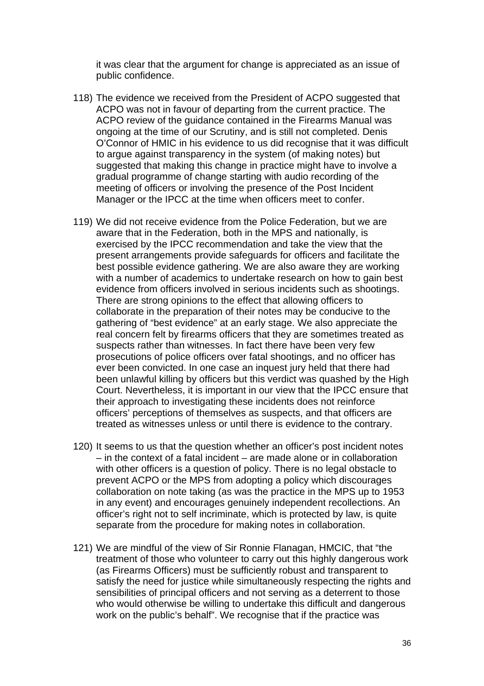it was clear that the argument for change is appreciated as an issue of public confidence.

- 118) The evidence we received from the President of ACPO suggested that ACPO was not in favour of departing from the current practice. The ACPO review of the guidance contained in the Firearms Manual was ongoing at the time of our Scrutiny, and is still not completed. Denis O'Connor of HMIC in his evidence to us did recognise that it was difficult to argue against transparency in the system (of making notes) but suggested that making this change in practice might have to involve a gradual programme of change starting with audio recording of the meeting of officers or involving the presence of the Post Incident Manager or the IPCC at the time when officers meet to confer.
- 119) We did not receive evidence from the Police Federation, but we are aware that in the Federation, both in the MPS and nationally, is exercised by the IPCC recommendation and take the view that the present arrangements provide safeguards for officers and facilitate the best possible evidence gathering. We are also aware they are working with a number of academics to undertake research on how to gain best evidence from officers involved in serious incidents such as shootings. There are strong opinions to the effect that allowing officers to collaborate in the preparation of their notes may be conducive to the gathering of "best evidence" at an early stage. We also appreciate the real concern felt by firearms officers that they are sometimes treated as suspects rather than witnesses. In fact there have been very few prosecutions of police officers over fatal shootings, and no officer has ever been convicted. In one case an inquest jury held that there had been unlawful killing by officers but this verdict was quashed by the High Court. Nevertheless, it is important in our view that the IPCC ensure that their approach to investigating these incidents does not reinforce officers' perceptions of themselves as suspects, and that officers are treated as witnesses unless or until there is evidence to the contrary.
- 120) It seems to us that the question whether an officer's post incident notes – in the context of a fatal incident – are made alone or in collaboration with other officers is a question of policy. There is no legal obstacle to prevent ACPO or the MPS from adopting a policy which discourages collaboration on note taking (as was the practice in the MPS up to 1953 in any event) and encourages genuinely independent recollections. An officer's right not to self incriminate, which is protected by law, is quite separate from the procedure for making notes in collaboration.
- 121) We are mindful of the view of Sir Ronnie Flanagan, HMCIC, that "the treatment of those who volunteer to carry out this highly dangerous work (as Firearms Officers) must be sufficiently robust and transparent to satisfy the need for justice while simultaneously respecting the rights and sensibilities of principal officers and not serving as a deterrent to those who would otherwise be willing to undertake this difficult and dangerous work on the public's behalf". We recognise that if the practice was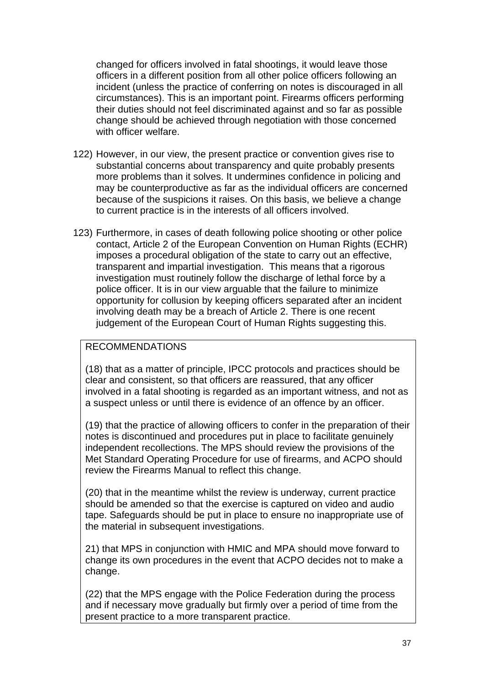changed for officers involved in fatal shootings, it would leave those officers in a different position from all other police officers following an incident (unless the practice of conferring on notes is discouraged in all circumstances). This is an important point. Firearms officers performing their duties should not feel discriminated against and so far as possible change should be achieved through negotiation with those concerned with officer welfare.

- 122) However, in our view, the present practice or convention gives rise to substantial concerns about transparency and quite probably presents more problems than it solves. It undermines confidence in policing and may be counterproductive as far as the individual officers are concerned because of the suspicions it raises. On this basis, we believe a change to current practice is in the interests of all officers involved.
- 123) Furthermore, in cases of death following police shooting or other police contact, Article 2 of the European Convention on Human Rights (ECHR) imposes a procedural obligation of the state to carry out an effective, transparent and impartial investigation. This means that a rigorous investigation must routinely follow the discharge of lethal force by a police officer. It is in our view arguable that the failure to minimize opportunity for collusion by keeping officers separated after an incident involving death may be a breach of Article 2. There is one recent judgement of the European Court of Human Rights suggesting this.

# RECOMMENDATIONS

(18) that as a matter of principle, IPCC protocols and practices should be clear and consistent, so that officers are reassured, that any officer involved in a fatal shooting is regarded as an important witness, and not as a suspect unless or until there is evidence of an offence by an officer.

(19) that the practice of allowing officers to confer in the preparation of their notes is discontinued and procedures put in place to facilitate genuinely independent recollections. The MPS should review the provisions of the Met Standard Operating Procedure for use of firearms, and ACPO should review the Firearms Manual to reflect this change.

(20) that in the meantime whilst the review is underway, current practice should be amended so that the exercise is captured on video and audio tape. Safeguards should be put in place to ensure no inappropriate use of the material in subsequent investigations.

21) that MPS in conjunction with HMIC and MPA should move forward to change its own procedures in the event that ACPO decides not to make a change.

(22) that the MPS engage with the Police Federation during the process and if necessary move gradually but firmly over a period of time from the present practice to a more transparent practice.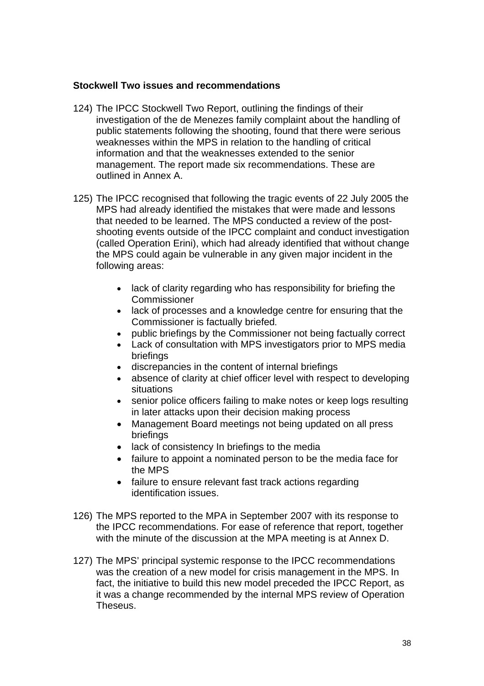### **Stockwell Two issues and recommendations**

- 124) The IPCC Stockwell Two Report, outlining the findings of their investigation of the de Menezes family complaint about the handling of public statements following the shooting, found that there were serious weaknesses within the MPS in relation to the handling of critical information and that the weaknesses extended to the senior management. The report made six recommendations. These are outlined in Annex A.
- 125) The IPCC recognised that following the tragic events of 22 July 2005 the MPS had already identified the mistakes that were made and lessons that needed to be learned. The MPS conducted a review of the postshooting events outside of the IPCC complaint and conduct investigation (called Operation Erini), which had already identified that without change the MPS could again be vulnerable in any given major incident in the following areas:
	- lack of clarity regarding who has responsibility for briefing the Commissioner
	- lack of processes and a knowledge centre for ensuring that the Commissioner is factually briefed.
	- public briefings by the Commissioner not being factually correct
	- Lack of consultation with MPS investigators prior to MPS media briefings
	- discrepancies in the content of internal briefings
	- absence of clarity at chief officer level with respect to developing situations
	- senior police officers failing to make notes or keep logs resulting in later attacks upon their decision making process
	- Management Board meetings not being updated on all press briefings
	- lack of consistency In briefings to the media
	- failure to appoint a nominated person to be the media face for the MPS
	- failure to ensure relevant fast track actions regarding identification issues.
- 126) The MPS reported to the MPA in September 2007 with its response to the IPCC recommendations. For ease of reference that report, together with the minute of the discussion at the MPA meeting is at Annex D.
- 127) The MPS' principal systemic response to the IPCC recommendations was the creation of a new model for crisis management in the MPS. In fact, the initiative to build this new model preceded the IPCC Report, as it was a change recommended by the internal MPS review of Operation Theseus.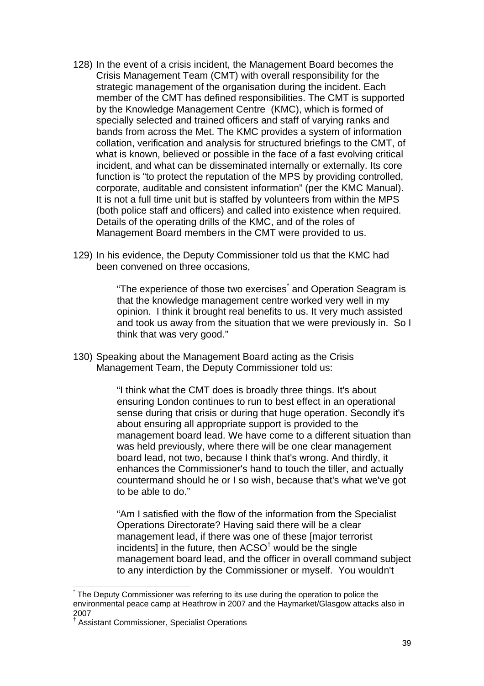- 128) In the event of a crisis incident, the Management Board becomes the Crisis Management Team (CMT) with overall responsibility for the strategic management of the organisation during the incident. Each member of the CMT has defined responsibilities. The CMT is supported by the Knowledge Management Centre (KMC), which is formed of specially selected and trained officers and staff of varying ranks and bands from across the Met. The KMC provides a system of information collation, verification and analysis for structured briefings to the CMT, of what is known, believed or possible in the face of a fast evolving critical incident, and what can be disseminated internally or externally. Its core function is "to protect the reputation of the MPS by providing controlled, corporate, auditable and consistent information" (per the KMC Manual). It is not a full time unit but is staffed by volunteers from within the MPS (both police staff and officers) and called into existence when required. Details of the operating drills of the KMC, and of the roles of Management Board members in the CMT were provided to us.
- 129) In his evidence, the Deputy Commissioner told us that the KMC had been convened on three occasions,

"The experience of those two exercises<sup>\*</sup> and Operation Seagram is that the knowledge management centre worked very well in my opinion. I think it brought real benefits to us. It very much assisted and took us away from the situation that we were previously in. So I think that was very good."

130) Speaking about the Management Board acting as the Crisis Management Team, the Deputy Commissioner told us:

> "I think what the CMT does is broadly three things. It's about ensuring London continues to run to best effect in an operational sense during that crisis or during that huge operation. Secondly it's about ensuring all appropriate support is provided to the management board lead. We have come to a different situation than was held previously, where there will be one clear management board lead, not two, because I think that's wrong. And thirdly, it enhances the Commissioner's hand to touch the tiller, and actually countermand should he or I so wish, because that's what we've got to be able to do."

> "Am I satisfied with the flow of the information from the Specialist Operations Directorate? Having said there will be a clear management lead, if there was one of these [major terrorist incidents] in the future, then  $ACSO<sup>†</sup>$  would be the single management board lead, and the officer in overall command subject to any interdiction by the Commissioner or myself. You wouldn't

 $\overline{a}$ 

<sup>\*</sup> The Deputy Commissioner was referring to its use during the operation to police the environmental peace camp at Heathrow in 2007 and the Haymarket/Glasgow attacks also in 2007

<sup>†</sup> Assistant Commissioner, Specialist Operations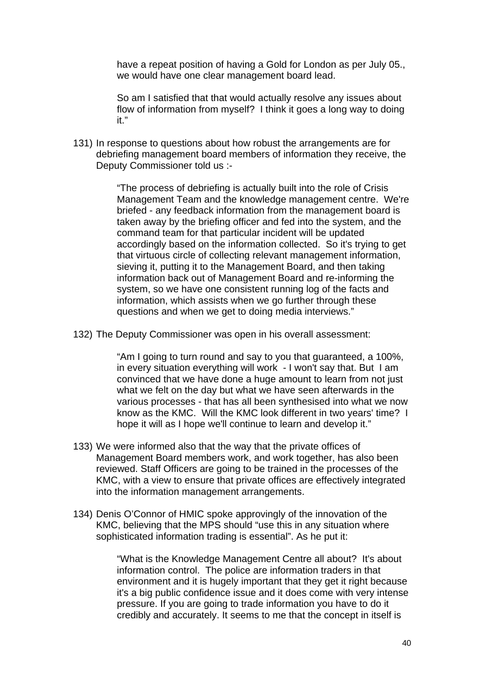have a repeat position of having a Gold for London as per July 05., we would have one clear management board lead.

So am I satisfied that that would actually resolve any issues about flow of information from myself? I think it goes a long way to doing it."

131) In response to questions about how robust the arrangements are for debriefing management board members of information they receive, the Deputy Commissioner told us :-

> "The process of debriefing is actually built into the role of Crisis Management Team and the knowledge management centre. We're briefed - any feedback information from the management board is taken away by the briefing officer and fed into the system, and the command team for that particular incident will be updated accordingly based on the information collected. So it's trying to get that virtuous circle of collecting relevant management information, sieving it, putting it to the Management Board, and then taking information back out of Management Board and re-informing the system, so we have one consistent running log of the facts and information, which assists when we go further through these questions and when we get to doing media interviews."

132) The Deputy Commissioner was open in his overall assessment:

"Am I going to turn round and say to you that guaranteed, a 100%, in every situation everything will work - I won't say that. But I am convinced that we have done a huge amount to learn from not just what we felt on the day but what we have seen afterwards in the various processes - that has all been synthesised into what we now know as the KMC. Will the KMC look different in two years' time? I hope it will as I hope we'll continue to learn and develop it."

- 133) We were informed also that the way that the private offices of Management Board members work, and work together, has also been reviewed. Staff Officers are going to be trained in the processes of the KMC, with a view to ensure that private offices are effectively integrated into the information management arrangements.
- 134) Denis O'Connor of HMIC spoke approvingly of the innovation of the KMC, believing that the MPS should "use this in any situation where sophisticated information trading is essential". As he put it:

"What is the Knowledge Management Centre all about? It's about information control. The police are information traders in that environment and it is hugely important that they get it right because it's a big public confidence issue and it does come with very intense pressure. If you are going to trade information you have to do it credibly and accurately. It seems to me that the concept in itself is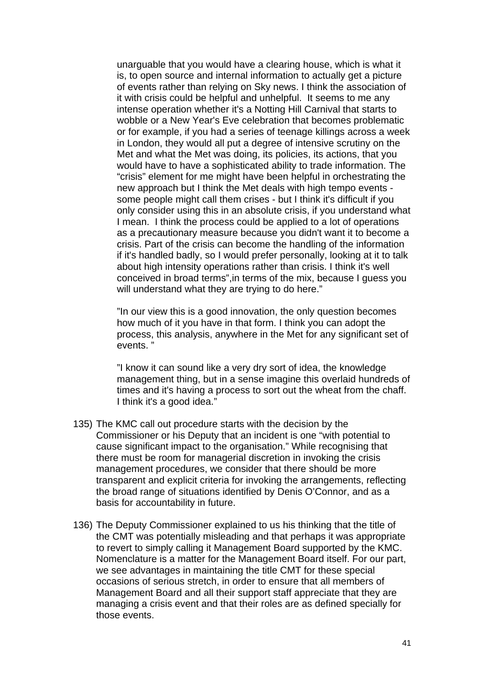unarguable that you would have a clearing house, which is what it is, to open source and internal information to actually get a picture of events rather than relying on Sky news. I think the association of it with crisis could be helpful and unhelpful. It seems to me any intense operation whether it's a Notting Hill Carnival that starts to wobble or a New Year's Eve celebration that becomes problematic or for example, if you had a series of teenage killings across a week in London, they would all put a degree of intensive scrutiny on the Met and what the Met was doing, its policies, its actions, that you would have to have a sophisticated ability to trade information. The "crisis" element for me might have been helpful in orchestrating the new approach but I think the Met deals with high tempo events some people might call them crises - but I think it's difficult if you only consider using this in an absolute crisis, if you understand what I mean. I think the process could be applied to a lot of operations as a precautionary measure because you didn't want it to become a crisis. Part of the crisis can become the handling of the information if it's handled badly, so I would prefer personally, looking at it to talk about high intensity operations rather than crisis. I think it's well conceived in broad terms",in terms of the mix, because I guess you will understand what they are trying to do here."

"In our view this is a good innovation, the only question becomes how much of it you have in that form. I think you can adopt the process, this analysis, anywhere in the Met for any significant set of events. "

"I know it can sound like a very dry sort of idea, the knowledge management thing, but in a sense imagine this overlaid hundreds of times and it's having a process to sort out the wheat from the chaff. I think it's a good idea."

- 135) The KMC call out procedure starts with the decision by the Commissioner or his Deputy that an incident is one "with potential to cause significant impact to the organisation." While recognising that there must be room for managerial discretion in invoking the crisis management procedures, we consider that there should be more transparent and explicit criteria for invoking the arrangements, reflecting the broad range of situations identified by Denis O'Connor, and as a basis for accountability in future.
- 136) The Deputy Commissioner explained to us his thinking that the title of the CMT was potentially misleading and that perhaps it was appropriate to revert to simply calling it Management Board supported by the KMC. Nomenclature is a matter for the Management Board itself. For our part, we see advantages in maintaining the title CMT for these special occasions of serious stretch, in order to ensure that all members of Management Board and all their support staff appreciate that they are managing a crisis event and that their roles are as defined specially for those events.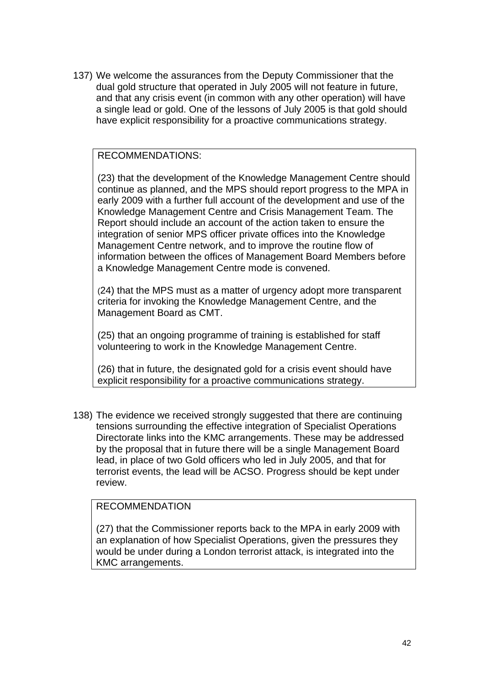137) We welcome the assurances from the Deputy Commissioner that the dual gold structure that operated in July 2005 will not feature in future, and that any crisis event (in common with any other operation) will have a single lead or gold. One of the lessons of July 2005 is that gold should have explicit responsibility for a proactive communications strategy.

# RECOMMENDATIONS:

(23) that the development of the Knowledge Management Centre should continue as planned, and the MPS should report progress to the MPA in early 2009 with a further full account of the development and use of the Knowledge Management Centre and Crisis Management Team. The Report should include an account of the action taken to ensure the integration of senior MPS officer private offices into the Knowledge Management Centre network, and to improve the routine flow of information between the offices of Management Board Members before a Knowledge Management Centre mode is convened.

(24) that the MPS must as a matter of urgency adopt more transparent criteria for invoking the Knowledge Management Centre, and the Management Board as CMT.

(25) that an ongoing programme of training is established for staff volunteering to work in the Knowledge Management Centre.

(26) that in future, the designated gold for a crisis event should have explicit responsibility for a proactive communications strategy.

138) The evidence we received strongly suggested that there are continuing tensions surrounding the effective integration of Specialist Operations Directorate links into the KMC arrangements. These may be addressed by the proposal that in future there will be a single Management Board lead, in place of two Gold officers who led in July 2005, and that for terrorist events, the lead will be ACSO. Progress should be kept under review.

# RECOMMENDATION

(27) that the Commissioner reports back to the MPA in early 2009 with an explanation of how Specialist Operations, given the pressures they would be under during a London terrorist attack, is integrated into the KMC arrangements.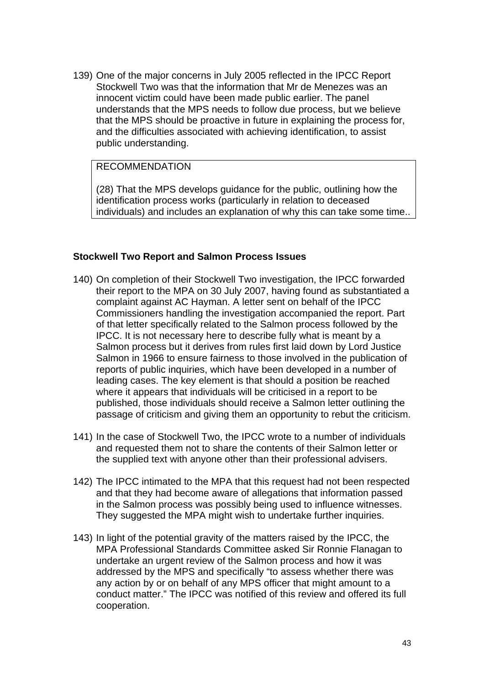139) One of the major concerns in July 2005 reflected in the IPCC Report Stockwell Two was that the information that Mr de Menezes was an innocent victim could have been made public earlier. The panel understands that the MPS needs to follow due process, but we believe that the MPS should be proactive in future in explaining the process for, and the difficulties associated with achieving identification, to assist public understanding.

# RECOMMENDATION

(28) That the MPS develops guidance for the public, outlining how the identification process works (particularly in relation to deceased individuals) and includes an explanation of why this can take some time..

### **Stockwell Two Report and Salmon Process Issues**

- 140) On completion of their Stockwell Two investigation, the IPCC forwarded their report to the MPA on 30 July 2007, having found as substantiated a complaint against AC Hayman. A letter sent on behalf of the IPCC Commissioners handling the investigation accompanied the report. Part of that letter specifically related to the Salmon process followed by the IPCC. It is not necessary here to describe fully what is meant by a Salmon process but it derives from rules first laid down by Lord Justice Salmon in 1966 to ensure fairness to those involved in the publication of reports of public inquiries, which have been developed in a number of leading cases. The key element is that should a position be reached where it appears that individuals will be criticised in a report to be published, those individuals should receive a Salmon letter outlining the passage of criticism and giving them an opportunity to rebut the criticism.
- 141) In the case of Stockwell Two, the IPCC wrote to a number of individuals and requested them not to share the contents of their Salmon letter or the supplied text with anyone other than their professional advisers.
- 142) The IPCC intimated to the MPA that this request had not been respected and that they had become aware of allegations that information passed in the Salmon process was possibly being used to influence witnesses. They suggested the MPA might wish to undertake further inquiries.
- 143) In light of the potential gravity of the matters raised by the IPCC, the MPA Professional Standards Committee asked Sir Ronnie Flanagan to undertake an urgent review of the Salmon process and how it was addressed by the MPS and specifically "to assess whether there was any action by or on behalf of any MPS officer that might amount to a conduct matter." The IPCC was notified of this review and offered its full cooperation.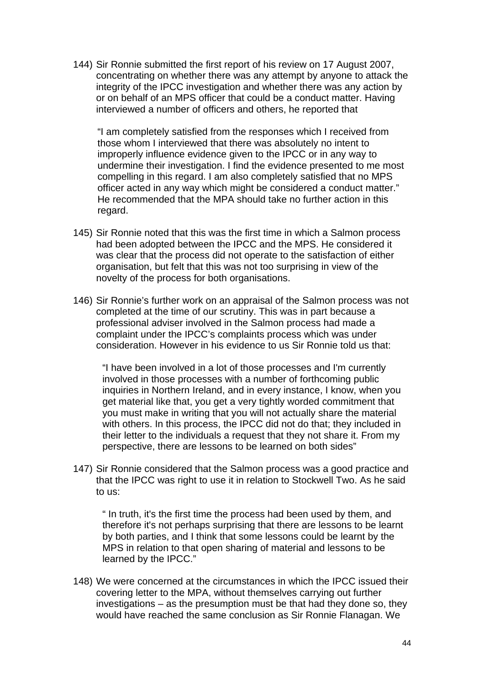144) Sir Ronnie submitted the first report of his review on 17 August 2007, concentrating on whether there was any attempt by anyone to attack the integrity of the IPCC investigation and whether there was any action by or on behalf of an MPS officer that could be a conduct matter. Having interviewed a number of officers and others, he reported that

"I am completely satisfied from the responses which I received from those whom I interviewed that there was absolutely no intent to improperly influence evidence given to the IPCC or in any way to undermine their investigation. I find the evidence presented to me most compelling in this regard. I am also completely satisfied that no MPS officer acted in any way which might be considered a conduct matter." He recommended that the MPA should take no further action in this regard.

- 145) Sir Ronnie noted that this was the first time in which a Salmon process had been adopted between the IPCC and the MPS. He considered it was clear that the process did not operate to the satisfaction of either organisation, but felt that this was not too surprising in view of the novelty of the process for both organisations.
- 146) Sir Ronnie's further work on an appraisal of the Salmon process was not completed at the time of our scrutiny. This was in part because a professional adviser involved in the Salmon process had made a complaint under the IPCC's complaints process which was under consideration. However in his evidence to us Sir Ronnie told us that:

"I have been involved in a lot of those processes and I'm currently involved in those processes with a number of forthcoming public inquiries in Northern Ireland, and in every instance, I know, when you get material like that, you get a very tightly worded commitment that you must make in writing that you will not actually share the material with others. In this process, the IPCC did not do that; they included in their letter to the individuals a request that they not share it. From my perspective, there are lessons to be learned on both sides"

147) Sir Ronnie considered that the Salmon process was a good practice and that the IPCC was right to use it in relation to Stockwell Two. As he said to us:

" In truth, it's the first time the process had been used by them, and therefore it's not perhaps surprising that there are lessons to be learnt by both parties, and I think that some lessons could be learnt by the MPS in relation to that open sharing of material and lessons to be learned by the IPCC."

148) We were concerned at the circumstances in which the IPCC issued their covering letter to the MPA, without themselves carrying out further investigations – as the presumption must be that had they done so, they would have reached the same conclusion as Sir Ronnie Flanagan. We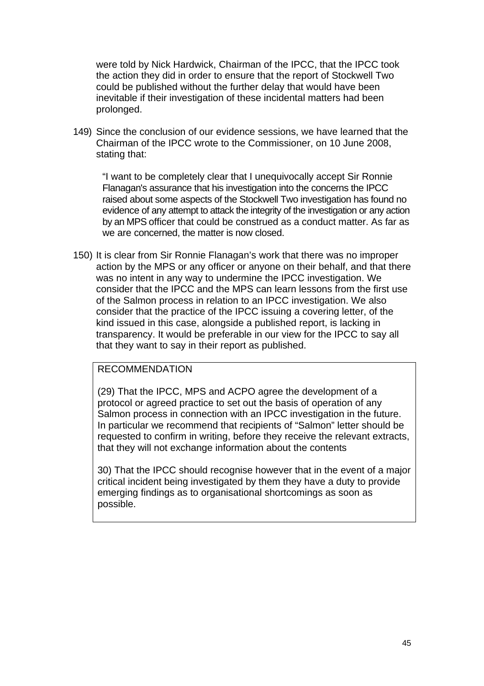were told by Nick Hardwick, Chairman of the IPCC, that the IPCC took the action they did in order to ensure that the report of Stockwell Two could be published without the further delay that would have been inevitable if their investigation of these incidental matters had been prolonged.

149) Since the conclusion of our evidence sessions, we have learned that the Chairman of the IPCC wrote to the Commissioner, on 10 June 2008, stating that:

"I want to be completely clear that I unequivocally accept Sir Ronnie Flanagan's assurance that his investigation into the concerns the IPCC raised about some aspects of the Stockwell Two investigation has found no evidence of any attempt to attack the integrity of the investigation or any action by an MPS officer that could be construed as a conduct matter. As far as we are concerned, the matter is now closed.

150) It is clear from Sir Ronnie Flanagan's work that there was no improper action by the MPS or any officer or anyone on their behalf, and that there was no intent in any way to undermine the IPCC investigation. We consider that the IPCC and the MPS can learn lessons from the first use of the Salmon process in relation to an IPCC investigation. We also consider that the practice of the IPCC issuing a covering letter, of the kind issued in this case, alongside a published report, is lacking in transparency. It would be preferable in our view for the IPCC to say all that they want to say in their report as published.

## RECOMMENDATION

(29) That the IPCC, MPS and ACPO agree the development of a protocol or agreed practice to set out the basis of operation of any Salmon process in connection with an IPCC investigation in the future. In particular we recommend that recipients of "Salmon" letter should be requested to confirm in writing, before they receive the relevant extracts, that they will not exchange information about the contents

30) That the IPCC should recognise however that in the event of a major critical incident being investigated by them they have a duty to provide emerging findings as to organisational shortcomings as soon as possible.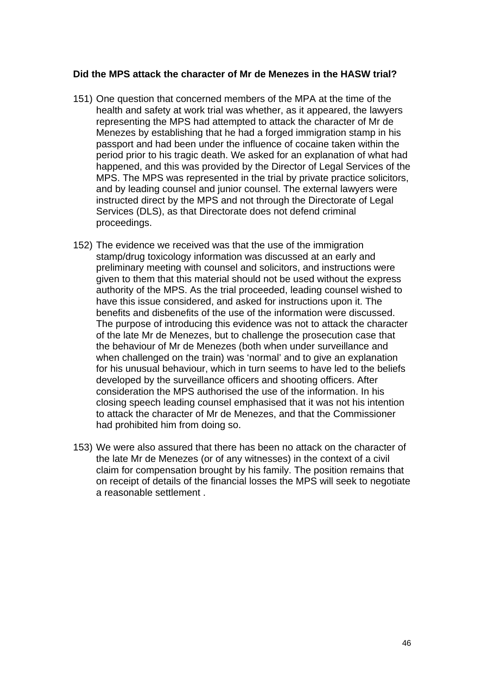### **Did the MPS attack the character of Mr de Menezes in the HASW trial?**

- 151) One question that concerned members of the MPA at the time of the health and safety at work trial was whether, as it appeared, the lawyers representing the MPS had attempted to attack the character of Mr de Menezes by establishing that he had a forged immigration stamp in his passport and had been under the influence of cocaine taken within the period prior to his tragic death. We asked for an explanation of what had happened, and this was provided by the Director of Legal Services of the MPS. The MPS was represented in the trial by private practice solicitors, and by leading counsel and junior counsel. The external lawyers were instructed direct by the MPS and not through the Directorate of Legal Services (DLS), as that Directorate does not defend criminal proceedings.
- 152) The evidence we received was that the use of the immigration stamp/drug toxicology information was discussed at an early and preliminary meeting with counsel and solicitors, and instructions were given to them that this material should not be used without the express authority of the MPS. As the trial proceeded, leading counsel wished to have this issue considered, and asked for instructions upon it. The benefits and disbenefits of the use of the information were discussed. The purpose of introducing this evidence was not to attack the character of the late Mr de Menezes, but to challenge the prosecution case that the behaviour of Mr de Menezes (both when under surveillance and when challenged on the train) was 'normal' and to give an explanation for his unusual behaviour, which in turn seems to have led to the beliefs developed by the surveillance officers and shooting officers. After consideration the MPS authorised the use of the information. In his closing speech leading counsel emphasised that it was not his intention to attack the character of Mr de Menezes, and that the Commissioner had prohibited him from doing so.
- 153) We were also assured that there has been no attack on the character of the late Mr de Menezes (or of any witnesses) in the context of a civil claim for compensation brought by his family. The position remains that on receipt of details of the financial losses the MPS will seek to negotiate a reasonable settlement .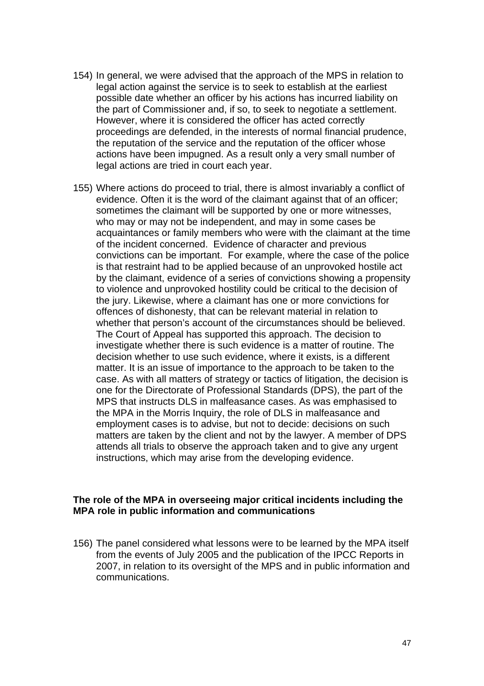- 154) In general, we were advised that the approach of the MPS in relation to legal action against the service is to seek to establish at the earliest possible date whether an officer by his actions has incurred liability on the part of Commissioner and, if so, to seek to negotiate a settlement. However, where it is considered the officer has acted correctly proceedings are defended, in the interests of normal financial prudence, the reputation of the service and the reputation of the officer whose actions have been impugned. As a result only a very small number of legal actions are tried in court each year.
- 155) Where actions do proceed to trial, there is almost invariably a conflict of evidence. Often it is the word of the claimant against that of an officer; sometimes the claimant will be supported by one or more witnesses, who may or may not be independent, and may in some cases be acquaintances or family members who were with the claimant at the time of the incident concerned. Evidence of character and previous convictions can be important. For example, where the case of the police is that restraint had to be applied because of an unprovoked hostile act by the claimant, evidence of a series of convictions showing a propensity to violence and unprovoked hostility could be critical to the decision of the jury. Likewise, where a claimant has one or more convictions for offences of dishonesty, that can be relevant material in relation to whether that person's account of the circumstances should be believed. The Court of Appeal has supported this approach. The decision to investigate whether there is such evidence is a matter of routine. The decision whether to use such evidence, where it exists, is a different matter. It is an issue of importance to the approach to be taken to the case. As with all matters of strategy or tactics of litigation, the decision is one for the Directorate of Professional Standards (DPS), the part of the MPS that instructs DLS in malfeasance cases. As was emphasised to the MPA in the Morris Inquiry, the role of DLS in malfeasance and employment cases is to advise, but not to decide: decisions on such matters are taken by the client and not by the lawyer. A member of DPS attends all trials to observe the approach taken and to give any urgent instructions, which may arise from the developing evidence.

### **The role of the MPA in overseeing major critical incidents including the MPA role in public information and communications**

156) The panel considered what lessons were to be learned by the MPA itself from the events of July 2005 and the publication of the IPCC Reports in 2007, in relation to its oversight of the MPS and in public information and communications.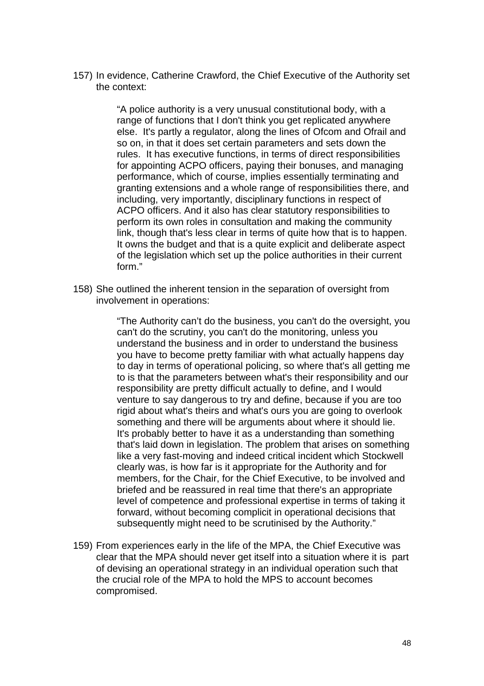157) In evidence, Catherine Crawford, the Chief Executive of the Authority set the context:

> "A police authority is a very unusual constitutional body, with a range of functions that I don't think you get replicated anywhere else. It's partly a regulator, along the lines of Ofcom and Ofrail and so on, in that it does set certain parameters and sets down the rules. It has executive functions, in terms of direct responsibilities for appointing ACPO officers, paying their bonuses, and managing performance, which of course, implies essentially terminating and granting extensions and a whole range of responsibilities there, and including, very importantly, disciplinary functions in respect of ACPO officers. And it also has clear statutory responsibilities to perform its own roles in consultation and making the community link, though that's less clear in terms of quite how that is to happen. It owns the budget and that is a quite explicit and deliberate aspect of the legislation which set up the police authorities in their current form."

158) She outlined the inherent tension in the separation of oversight from involvement in operations:

> "The Authority can't do the business, you can't do the oversight, you can't do the scrutiny, you can't do the monitoring, unless you understand the business and in order to understand the business you have to become pretty familiar with what actually happens day to day in terms of operational policing, so where that's all getting me to is that the parameters between what's their responsibility and our responsibility are pretty difficult actually to define, and I would venture to say dangerous to try and define, because if you are too rigid about what's theirs and what's ours you are going to overlook something and there will be arguments about where it should lie. It's probably better to have it as a understanding than something that's laid down in legislation. The problem that arises on something like a very fast-moving and indeed critical incident which Stockwell clearly was, is how far is it appropriate for the Authority and for members, for the Chair, for the Chief Executive, to be involved and briefed and be reassured in real time that there's an appropriate level of competence and professional expertise in terms of taking it forward, without becoming complicit in operational decisions that subsequently might need to be scrutinised by the Authority."

159) From experiences early in the life of the MPA, the Chief Executive was clear that the MPA should never get itself into a situation where it is part of devising an operational strategy in an individual operation such that the crucial role of the MPA to hold the MPS to account becomes compromised.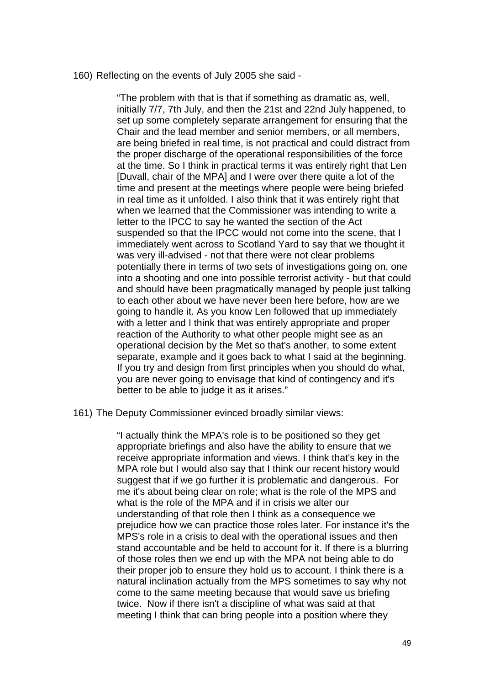160) Reflecting on the events of July 2005 she said -

"The problem with that is that if something as dramatic as, well, initially 7/7, 7th July, and then the 21st and 22nd July happened, to set up some completely separate arrangement for ensuring that the Chair and the lead member and senior members, or all members, are being briefed in real time, is not practical and could distract from the proper discharge of the operational responsibilities of the force at the time. So I think in practical terms it was entirely right that Len [Duvall, chair of the MPA] and I were over there quite a lot of the time and present at the meetings where people were being briefed in real time as it unfolded. I also think that it was entirely right that when we learned that the Commissioner was intending to write a letter to the IPCC to say he wanted the section of the Act suspended so that the IPCC would not come into the scene, that I immediately went across to Scotland Yard to say that we thought it was very ill-advised - not that there were not clear problems potentially there in terms of two sets of investigations going on, one into a shooting and one into possible terrorist activity - but that could and should have been pragmatically managed by people just talking to each other about we have never been here before, how are we going to handle it. As you know Len followed that up immediately with a letter and I think that was entirely appropriate and proper reaction of the Authority to what other people might see as an operational decision by the Met so that's another, to some extent separate, example and it goes back to what I said at the beginning. If you try and design from first principles when you should do what, you are never going to envisage that kind of contingency and it's better to be able to judge it as it arises."

### 161) The Deputy Commissioner evinced broadly similar views:

"I actually think the MPA's role is to be positioned so they get appropriate briefings and also have the ability to ensure that we receive appropriate information and views. I think that's key in the MPA role but I would also say that I think our recent history would suggest that if we go further it is problematic and dangerous. For me it's about being clear on role; what is the role of the MPS and what is the role of the MPA and if in crisis we alter our understanding of that role then I think as a consequence we prejudice how we can practice those roles later. For instance it's the MPS's role in a crisis to deal with the operational issues and then stand accountable and be held to account for it. If there is a blurring of those roles then we end up with the MPA not being able to do their proper job to ensure they hold us to account. I think there is a natural inclination actually from the MPS sometimes to say why not come to the same meeting because that would save us briefing twice. Now if there isn't a discipline of what was said at that meeting I think that can bring people into a position where they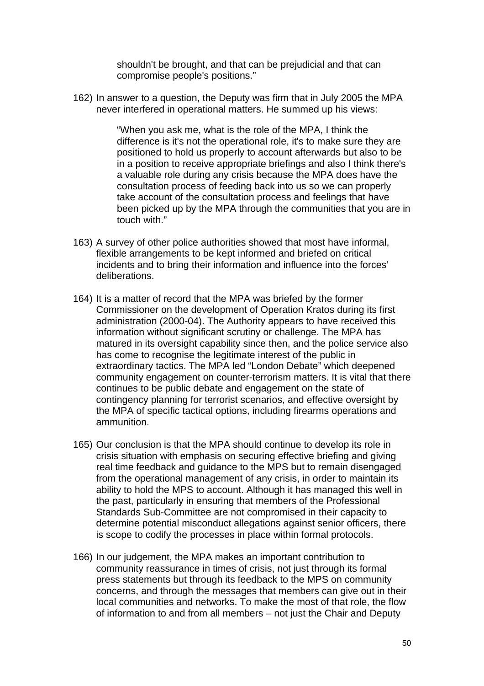shouldn't be brought, and that can be prejudicial and that can compromise people's positions."

162) In answer to a question, the Deputy was firm that in July 2005 the MPA never interfered in operational matters. He summed up his views:

> "When you ask me, what is the role of the MPA, I think the difference is it's not the operational role, it's to make sure they are positioned to hold us properly to account afterwards but also to be in a position to receive appropriate briefings and also I think there's a valuable role during any crisis because the MPA does have the consultation process of feeding back into us so we can properly take account of the consultation process and feelings that have been picked up by the MPA through the communities that you are in touch with."

- 163) A survey of other police authorities showed that most have informal, flexible arrangements to be kept informed and briefed on critical incidents and to bring their information and influence into the forces' deliberations.
- 164) It is a matter of record that the MPA was briefed by the former Commissioner on the development of Operation Kratos during its first administration (2000-04). The Authority appears to have received this information without significant scrutiny or challenge. The MPA has matured in its oversight capability since then, and the police service also has come to recognise the legitimate interest of the public in extraordinary tactics. The MPA led "London Debate" which deepened community engagement on counter-terrorism matters. It is vital that there continues to be public debate and engagement on the state of contingency planning for terrorist scenarios, and effective oversight by the MPA of specific tactical options, including firearms operations and ammunition.
- 165) Our conclusion is that the MPA should continue to develop its role in crisis situation with emphasis on securing effective briefing and giving real time feedback and guidance to the MPS but to remain disengaged from the operational management of any crisis, in order to maintain its ability to hold the MPS to account. Although it has managed this well in the past, particularly in ensuring that members of the Professional Standards Sub-Committee are not compromised in their capacity to determine potential misconduct allegations against senior officers, there is scope to codify the processes in place within formal protocols.
- 166) In our judgement, the MPA makes an important contribution to community reassurance in times of crisis, not just through its formal press statements but through its feedback to the MPS on community concerns, and through the messages that members can give out in their local communities and networks. To make the most of that role, the flow of information to and from all members – not just the Chair and Deputy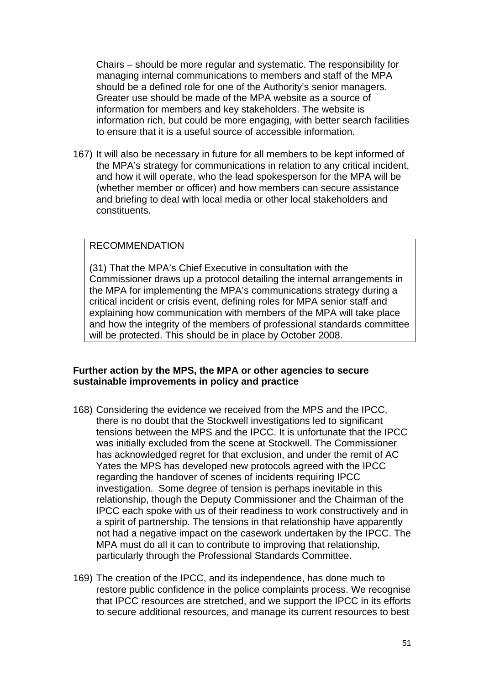Chairs – should be more regular and systematic. The responsibility for managing internal communications to members and staff of the MPA should be a defined role for one of the Authority's senior managers. Greater use should be made of the MPA website as a source of information for members and key stakeholders. The website is information rich, but could be more engaging, with better search facilities to ensure that it is a useful source of accessible information.

167) It will also be necessary in future for all members to be kept informed of the MPA's strategy for communications in relation to any critical incident, and how it will operate, who the lead spokesperson for the MPA will be (whether member or officer) and how members can secure assistance and briefing to deal with local media or other local stakeholders and constituents.

# RECOMMENDATION

(31) That the MPA's Chief Executive in consultation with the Commissioner draws up a protocol detailing the internal arrangements in the MPA for implementing the MPA's communications strategy during a critical incident or crisis event, defining roles for MPA senior staff and explaining how communication with members of the MPA will take place and how the integrity of the members of professional standards committee will be protected. This should be in place by October 2008.

### **Further action by the MPS, the MPA or other agencies to secure sustainable improvements in policy and practice**

- 168) Considering the evidence we received from the MPS and the IPCC, there is no doubt that the Stockwell investigations led to significant tensions between the MPS and the IPCC. It is unfortunate that the IPCC was initially excluded from the scene at Stockwell. The Commissioner has acknowledged regret for that exclusion, and under the remit of AC Yates the MPS has developed new protocols agreed with the IPCC regarding the handover of scenes of incidents requiring IPCC investigation. Some degree of tension is perhaps inevitable in this relationship, though the Deputy Commissioner and the Chairman of the IPCC each spoke with us of their readiness to work constructively and in a spirit of partnership. The tensions in that relationship have apparently not had a negative impact on the casework undertaken by the IPCC. The MPA must do all it can to contribute to improving that relationship, particularly through the Professional Standards Committee.
- 169) The creation of the IPCC, and its independence, has done much to restore public confidence in the police complaints process. We recognise that IPCC resources are stretched, and we support the IPCC in its efforts to secure additional resources, and manage its current resources to best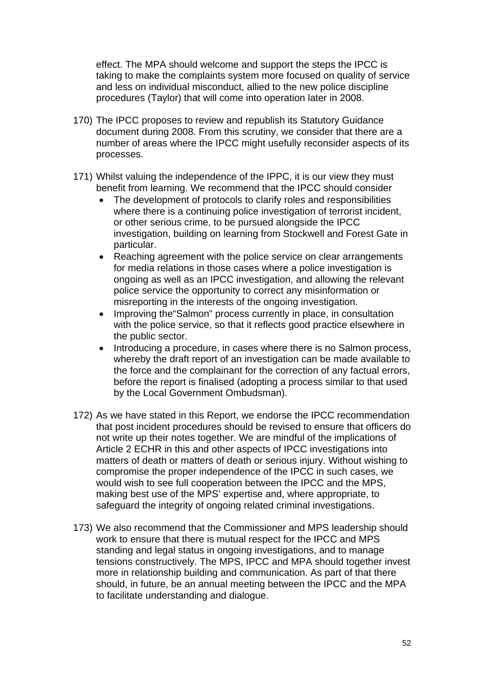effect. The MPA should welcome and support the steps the IPCC is taking to make the complaints system more focused on quality of service and less on individual misconduct, allied to the new police discipline procedures (Taylor) that will come into operation later in 2008.

- 170) The IPCC proposes to review and republish its Statutory Guidance document during 2008. From this scrutiny, we consider that there are a number of areas where the IPCC might usefully reconsider aspects of its processes.
- 171) Whilst valuing the independence of the IPPC, it is our view they must benefit from learning. We recommend that the IPCC should consider
	- The development of protocols to clarify roles and responsibilities where there is a continuing police investigation of terrorist incident, or other serious crime, to be pursued alongside the IPCC investigation, building on learning from Stockwell and Forest Gate in particular.
	- Reaching agreement with the police service on clear arrangements for media relations in those cases where a police investigation is ongoing as well as an IPCC investigation, and allowing the relevant police service the opportunity to correct any misinformation or misreporting in the interests of the ongoing investigation.
	- Improving the "Salmon" process currently in place, in consultation with the police service, so that it reflects good practice elsewhere in the public sector.
	- Introducing a procedure, in cases where there is no Salmon process, whereby the draft report of an investigation can be made available to the force and the complainant for the correction of any factual errors, before the report is finalised (adopting a process similar to that used by the Local Government Ombudsman).
- 172) As we have stated in this Report, we endorse the IPCC recommendation that post incident procedures should be revised to ensure that officers do not write up their notes together. We are mindful of the implications of Article 2 ECHR in this and other aspects of IPCC investigations into matters of death or matters of death or serious injury. Without wishing to compromise the proper independence of the IPCC in such cases, we would wish to see full cooperation between the IPCC and the MPS, making best use of the MPS' expertise and, where appropriate, to safeguard the integrity of ongoing related criminal investigations.
- 173) We also recommend that the Commissioner and MPS leadership should work to ensure that there is mutual respect for the IPCC and MPS standing and legal status in ongoing investigations, and to manage tensions constructively. The MPS, IPCC and MPA should together invest more in relationship building and communication. As part of that there should, in future, be an annual meeting between the IPCC and the MPA to facilitate understanding and dialogue.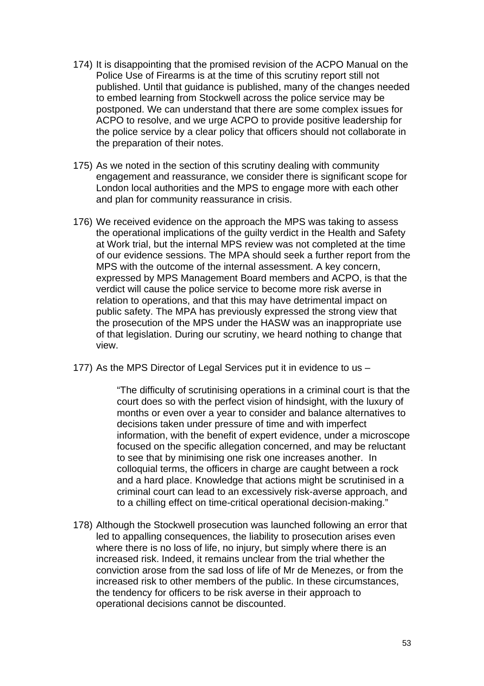- 174) It is disappointing that the promised revision of the ACPO Manual on the Police Use of Firearms is at the time of this scrutiny report still not published. Until that guidance is published, many of the changes needed to embed learning from Stockwell across the police service may be postponed. We can understand that there are some complex issues for ACPO to resolve, and we urge ACPO to provide positive leadership for the police service by a clear policy that officers should not collaborate in the preparation of their notes.
- 175) As we noted in the section of this scrutiny dealing with community engagement and reassurance, we consider there is significant scope for London local authorities and the MPS to engage more with each other and plan for community reassurance in crisis.
- 176) We received evidence on the approach the MPS was taking to assess the operational implications of the guilty verdict in the Health and Safety at Work trial, but the internal MPS review was not completed at the time of our evidence sessions. The MPA should seek a further report from the MPS with the outcome of the internal assessment. A key concern, expressed by MPS Management Board members and ACPO, is that the verdict will cause the police service to become more risk averse in relation to operations, and that this may have detrimental impact on public safety. The MPA has previously expressed the strong view that the prosecution of the MPS under the HASW was an inappropriate use of that legislation. During our scrutiny, we heard nothing to change that view.
- 177) As the MPS Director of Legal Services put it in evidence to us –

"The difficulty of scrutinising operations in a criminal court is that the court does so with the perfect vision of hindsight, with the luxury of months or even over a year to consider and balance alternatives to decisions taken under pressure of time and with imperfect information, with the benefit of expert evidence, under a microscope focused on the specific allegation concerned, and may be reluctant to see that by minimising one risk one increases another. In colloquial terms, the officers in charge are caught between a rock and a hard place. Knowledge that actions might be scrutinised in a criminal court can lead to an excessively risk-averse approach, and to a chilling effect on time-critical operational decision-making."

178) Although the Stockwell prosecution was launched following an error that led to appalling consequences, the liability to prosecution arises even where there is no loss of life, no injury, but simply where there is an increased risk. Indeed, it remains unclear from the trial whether the conviction arose from the sad loss of life of Mr de Menezes, or from the increased risk to other members of the public. In these circumstances, the tendency for officers to be risk averse in their approach to operational decisions cannot be discounted.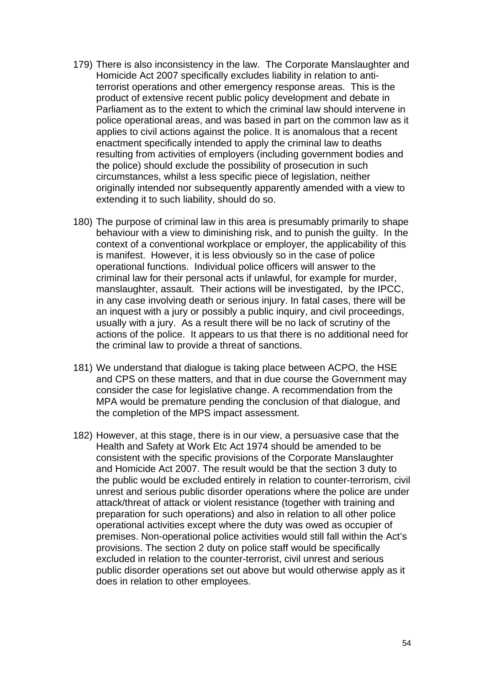- 179) There is also inconsistency in the law. The Corporate Manslaughter and Homicide Act 2007 specifically excludes liability in relation to antiterrorist operations and other emergency response areas. This is the product of extensive recent public policy development and debate in Parliament as to the extent to which the criminal law should intervene in police operational areas, and was based in part on the common law as it applies to civil actions against the police. It is anomalous that a recent enactment specifically intended to apply the criminal law to deaths resulting from activities of employers (including government bodies and the police) should exclude the possibility of prosecution in such circumstances, whilst a less specific piece of legislation, neither originally intended nor subsequently apparently amended with a view to extending it to such liability, should do so.
- 180) The purpose of criminal law in this area is presumably primarily to shape behaviour with a view to diminishing risk, and to punish the guilty. In the context of a conventional workplace or employer, the applicability of this is manifest. However, it is less obviously so in the case of police operational functions. Individual police officers will answer to the criminal law for their personal acts if unlawful, for example for murder, manslaughter, assault. Their actions will be investigated, by the IPCC, in any case involving death or serious injury. In fatal cases, there will be an inquest with a jury or possibly a public inquiry, and civil proceedings, usually with a jury. As a result there will be no lack of scrutiny of the actions of the police. It appears to us that there is no additional need for the criminal law to provide a threat of sanctions.
- 181) We understand that dialogue is taking place between ACPO, the HSE and CPS on these matters, and that in due course the Government may consider the case for legislative change. A recommendation from the MPA would be premature pending the conclusion of that dialogue, and the completion of the MPS impact assessment.
- 182) However, at this stage, there is in our view, a persuasive case that the Health and Safety at Work Etc Act 1974 should be amended to be consistent with the specific provisions of the Corporate Manslaughter and Homicide Act 2007. The result would be that the section 3 duty to the public would be excluded entirely in relation to counter-terrorism, civil unrest and serious public disorder operations where the police are under attack/threat of attack or violent resistance (together with training and preparation for such operations) and also in relation to all other police operational activities except where the duty was owed as occupier of premises. Non-operational police activities would still fall within the Act's provisions. The section 2 duty on police staff would be specifically excluded in relation to the counter-terrorist, civil unrest and serious public disorder operations set out above but would otherwise apply as it does in relation to other employees.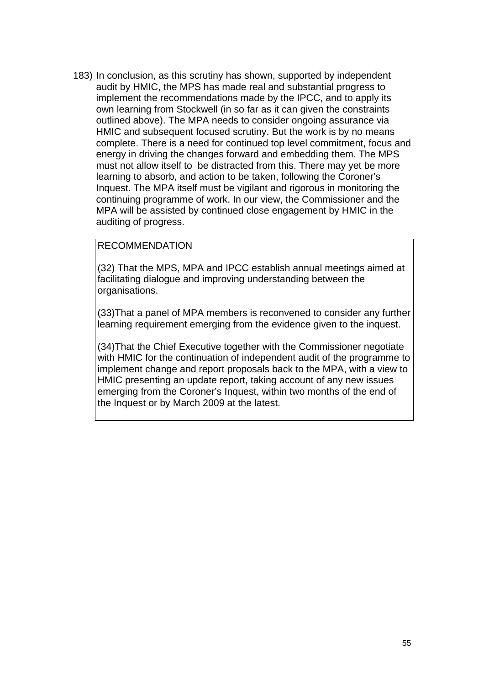183) In conclusion, as this scrutiny has shown, supported by independent audit by HMIC, the MPS has made real and substantial progress to implement the recommendations made by the IPCC, and to apply its own learning from Stockwell (in so far as it can given the constraints outlined above). The MPA needs to consider ongoing assurance via HMIC and subsequent focused scrutiny. But the work is by no means complete. There is a need for continued top level commitment, focus and energy in driving the changes forward and embedding them. The MPS must not allow itself to be distracted from this. There may yet be more learning to absorb, and action to be taken, following the Coroner's Inquest. The MPA itself must be vigilant and rigorous in monitoring the continuing programme of work. In our view, the Commissioner and the MPA will be assisted by continued close engagement by HMIC in the auditing of progress.

## RECOMMENDATION

(32) That the MPS, MPA and IPCC establish annual meetings aimed at facilitating dialogue and improving understanding between the organisations.

(33)That a panel of MPA members is reconvened to consider any further learning requirement emerging from the evidence given to the inquest.

(34)That the Chief Executive together with the Commissioner negotiate with HMIC for the continuation of independent audit of the programme to implement change and report proposals back to the MPA, with a view to HMIC presenting an update report, taking account of any new issues emerging from the Coroner's Inquest, within two months of the end of the Inquest or by March 2009 at the latest.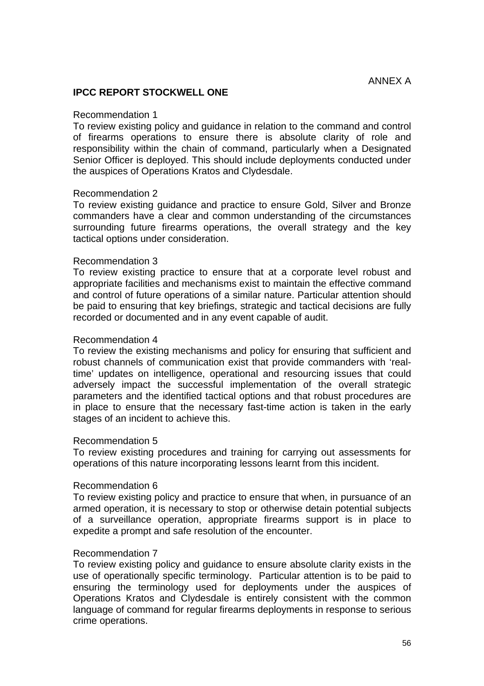## **IPCC REPORT STOCKWELL ONE**

#### Recommendation 1

To review existing policy and guidance in relation to the command and control of firearms operations to ensure there is absolute clarity of role and responsibility within the chain of command, particularly when a Designated Senior Officer is deployed. This should include deployments conducted under the auspices of Operations Kratos and Clydesdale.

### Recommendation 2

To review existing guidance and practice to ensure Gold, Silver and Bronze commanders have a clear and common understanding of the circumstances surrounding future firearms operations, the overall strategy and the key tactical options under consideration.

#### Recommendation 3

To review existing practice to ensure that at a corporate level robust and appropriate facilities and mechanisms exist to maintain the effective command and control of future operations of a similar nature. Particular attention should be paid to ensuring that key briefings, strategic and tactical decisions are fully recorded or documented and in any event capable of audit.

#### Recommendation 4

To review the existing mechanisms and policy for ensuring that sufficient and robust channels of communication exist that provide commanders with 'realtime' updates on intelligence, operational and resourcing issues that could adversely impact the successful implementation of the overall strategic parameters and the identified tactical options and that robust procedures are in place to ensure that the necessary fast-time action is taken in the early stages of an incident to achieve this.

#### Recommendation 5

To review existing procedures and training for carrying out assessments for operations of this nature incorporating lessons learnt from this incident.

#### Recommendation 6

To review existing policy and practice to ensure that when, in pursuance of an armed operation, it is necessary to stop or otherwise detain potential subjects of a surveillance operation, appropriate firearms support is in place to expedite a prompt and safe resolution of the encounter.

### Recommendation 7

To review existing policy and guidance to ensure absolute clarity exists in the use of operationally specific terminology. Particular attention is to be paid to ensuring the terminology used for deployments under the auspices of Operations Kratos and Clydesdale is entirely consistent with the common language of command for regular firearms deployments in response to serious crime operations.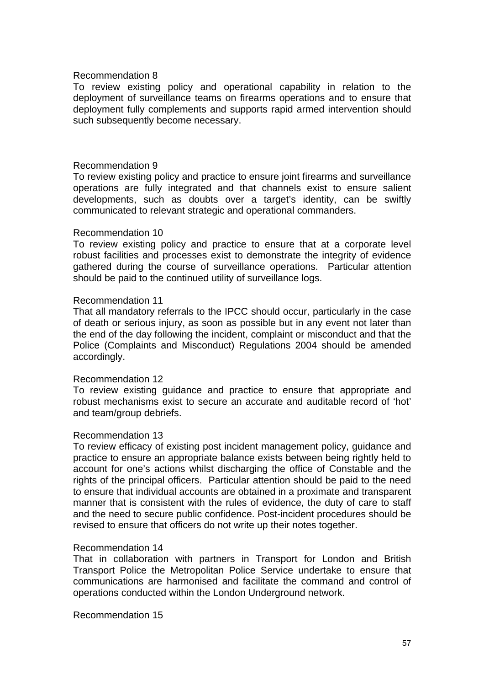### Recommendation 8

To review existing policy and operational capability in relation to the deployment of surveillance teams on firearms operations and to ensure that deployment fully complements and supports rapid armed intervention should such subsequently become necessary.

### Recommendation 9

To review existing policy and practice to ensure joint firearms and surveillance operations are fully integrated and that channels exist to ensure salient developments, such as doubts over a target's identity, can be swiftly communicated to relevant strategic and operational commanders.

### Recommendation 10

To review existing policy and practice to ensure that at a corporate level robust facilities and processes exist to demonstrate the integrity of evidence gathered during the course of surveillance operations. Particular attention should be paid to the continued utility of surveillance logs.

### Recommendation 11

That all mandatory referrals to the IPCC should occur, particularly in the case of death or serious injury, as soon as possible but in any event not later than the end of the day following the incident, complaint or misconduct and that the Police (Complaints and Misconduct) Regulations 2004 should be amended accordingly.

### Recommendation 12

To review existing guidance and practice to ensure that appropriate and robust mechanisms exist to secure an accurate and auditable record of 'hot' and team/group debriefs.

### Recommendation 13

To review efficacy of existing post incident management policy, guidance and practice to ensure an appropriate balance exists between being rightly held to account for one's actions whilst discharging the office of Constable and the rights of the principal officers. Particular attention should be paid to the need to ensure that individual accounts are obtained in a proximate and transparent manner that is consistent with the rules of evidence, the duty of care to staff and the need to secure public confidence. Post-incident procedures should be revised to ensure that officers do not write up their notes together.

### Recommendation 14

That in collaboration with partners in Transport for London and British Transport Police the Metropolitan Police Service undertake to ensure that communications are harmonised and facilitate the command and control of operations conducted within the London Underground network.

Recommendation 15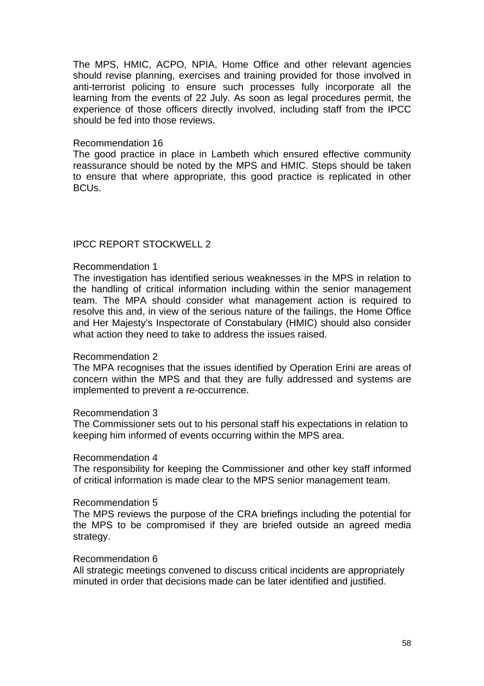The MPS, HMIC, ACPO, NPIA, Home Office and other relevant agencies should revise planning, exercises and training provided for those involved in anti-terrorist policing to ensure such processes fully incorporate all the learning from the events of 22 July. As soon as legal procedures permit, the experience of those officers directly involved, including staff from the IPCC should be fed into those reviews.

### Recommendation 16

The good practice in place in Lambeth which ensured effective community reassurance should be noted by the MPS and HMIC. Steps should be taken to ensure that where appropriate, this good practice is replicated in other BCUs.

## IPCC REPORT STOCKWELL 2

### Recommendation 1

The investigation has identified serious weaknesses in the MPS in relation to the handling of critical information including within the senior management team. The MPA should consider what management action is required to resolve this and, in view of the serious nature of the failings, the Home Office and Her Majesty's Inspectorate of Constabulary (HMIC) should also consider what action they need to take to address the issues raised.

### Recommendation 2

The MPA recognises that the issues identified by Operation Erini are areas of concern within the MPS and that they are fully addressed and systems are implemented to prevent a re-occurrence.

### Recommendation 3

The Commissioner sets out to his personal staff his expectations in relation to keeping him informed of events occurring within the MPS area.

### Recommendation 4

The responsibility for keeping the Commissioner and other key staff informed of critical information is made clear to the MPS senior management team.

### Recommendation 5

The MPS reviews the purpose of the CRA briefings including the potential for the MPS to be compromised if they are briefed outside an agreed media strategy.

### Recommendation 6

All strategic meetings convened to discuss critical incidents are appropriately minuted in order that decisions made can be later identified and justified.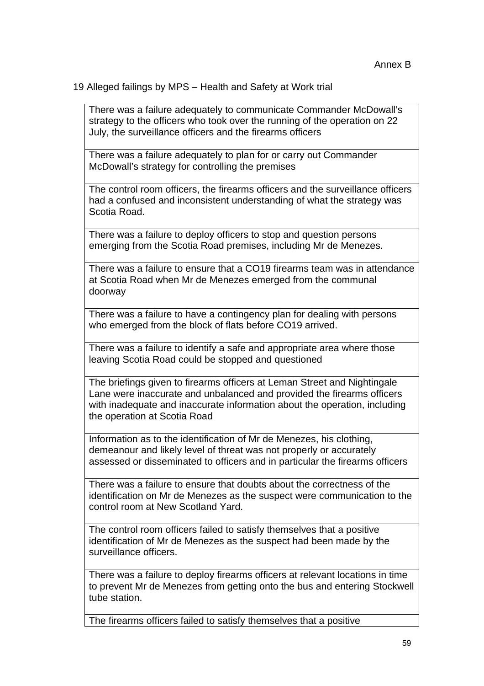19 Alleged failings by MPS – Health and Safety at Work trial

There was a failure adequately to communicate Commander McDowall's strategy to the officers who took over the running of the operation on 22 July, the surveillance officers and the firearms officers

There was a failure adequately to plan for or carry out Commander McDowall's strategy for controlling the premises

The control room officers, the firearms officers and the surveillance officers had a confused and inconsistent understanding of what the strategy was Scotia Road.

There was a failure to deploy officers to stop and question persons emerging from the Scotia Road premises, including Mr de Menezes.

There was a failure to ensure that a CO19 firearms team was in attendance at Scotia Road when Mr de Menezes emerged from the communal doorway

There was a failure to have a contingency plan for dealing with persons who emerged from the block of flats before CO19 arrived.

There was a failure to identify a safe and appropriate area where those leaving Scotia Road could be stopped and questioned

The briefings given to firearms officers at Leman Street and Nightingale Lane were inaccurate and unbalanced and provided the firearms officers with inadequate and inaccurate information about the operation, including the operation at Scotia Road

Information as to the identification of Mr de Menezes, his clothing, demeanour and likely level of threat was not properly or accurately assessed or disseminated to officers and in particular the firearms officers

There was a failure to ensure that doubts about the correctness of the identification on Mr de Menezes as the suspect were communication to the control room at New Scotland Yard.

The control room officers failed to satisfy themselves that a positive identification of Mr de Menezes as the suspect had been made by the surveillance officers.

There was a failure to deploy firearms officers at relevant locations in time to prevent Mr de Menezes from getting onto the bus and entering Stockwell tube station.

The firearms officers failed to satisfy themselves that a positive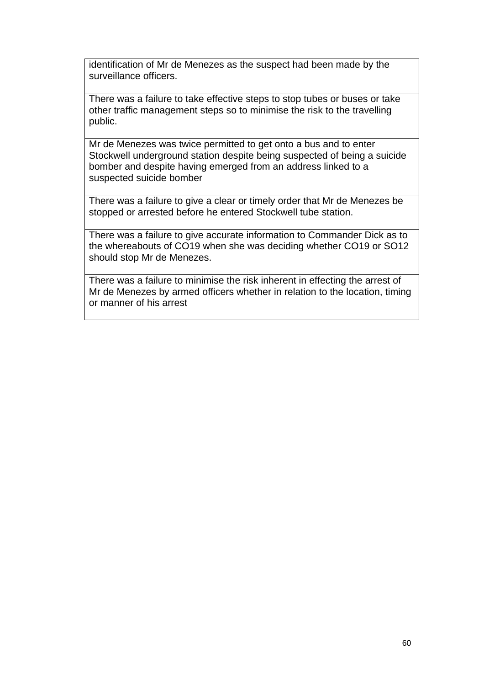identification of Mr de Menezes as the suspect had been made by the surveillance officers.

There was a failure to take effective steps to stop tubes or buses or take other traffic management steps so to minimise the risk to the travelling public.

Mr de Menezes was twice permitted to get onto a bus and to enter Stockwell underground station despite being suspected of being a suicide bomber and despite having emerged from an address linked to a suspected suicide bomber

There was a failure to give a clear or timely order that Mr de Menezes be stopped or arrested before he entered Stockwell tube station.

There was a failure to give accurate information to Commander Dick as to the whereabouts of CO19 when she was deciding whether CO19 or SO12 should stop Mr de Menezes.

There was a failure to minimise the risk inherent in effecting the arrest of Mr de Menezes by armed officers whether in relation to the location, timing or manner of his arrest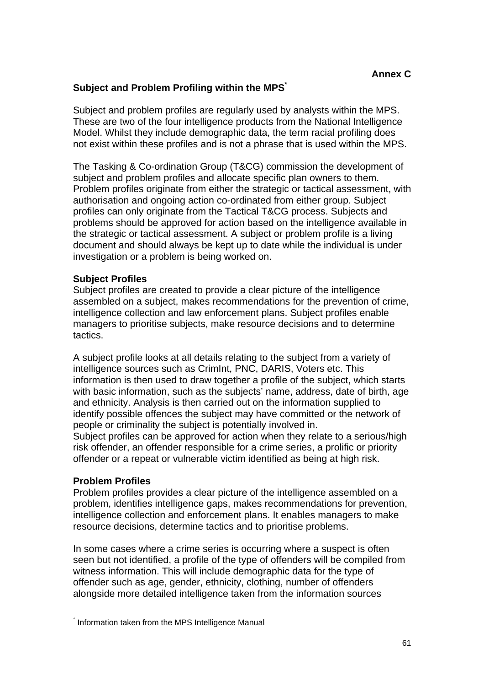# **Subject and Problem Profiling within the MPS\***

Subject and problem profiles are regularly used by analysts within the MPS. These are two of the four intelligence products from the National Intelligence Model. Whilst they include demographic data, the term racial profiling does not exist within these profiles and is not a phrase that is used within the MPS.

The Tasking & Co-ordination Group (T&CG) commission the development of subject and problem profiles and allocate specific plan owners to them. Problem profiles originate from either the strategic or tactical assessment, with authorisation and ongoing action co-ordinated from either group. Subject profiles can only originate from the Tactical T&CG process. Subjects and problems should be approved for action based on the intelligence available in the strategic or tactical assessment. A subject or problem profile is a living document and should always be kept up to date while the individual is under investigation or a problem is being worked on.

## **Subject Profiles**

Subject profiles are created to provide a clear picture of the intelligence assembled on a subject, makes recommendations for the prevention of crime, intelligence collection and law enforcement plans. Subject profiles enable managers to prioritise subjects, make resource decisions and to determine tactics.

A subject profile looks at all details relating to the subject from a variety of intelligence sources such as CrimInt, PNC, DARIS, Voters etc. This information is then used to draw together a profile of the subject, which starts with basic information, such as the subjects' name, address, date of birth, age and ethnicity. Analysis is then carried out on the information supplied to identify possible offences the subject may have committed or the network of people or criminality the subject is potentially involved in. Subject profiles can be approved for action when they relate to a serious/high

risk offender, an offender responsible for a crime series, a prolific or priority offender or a repeat or vulnerable victim identified as being at high risk.

## **Problem Profiles**

Problem profiles provides a clear picture of the intelligence assembled on a problem, identifies intelligence gaps, makes recommendations for prevention, intelligence collection and enforcement plans. It enables managers to make resource decisions, determine tactics and to prioritise problems.

In some cases where a crime series is occurring where a suspect is often seen but not identified, a profile of the type of offenders will be compiled from witness information. This will include demographic data for the type of offender such as age, gender, ethnicity, clothing, number of offenders alongside more detailed intelligence taken from the information sources

 $\overline{a}$ \* Information taken from the MPS Intelligence Manual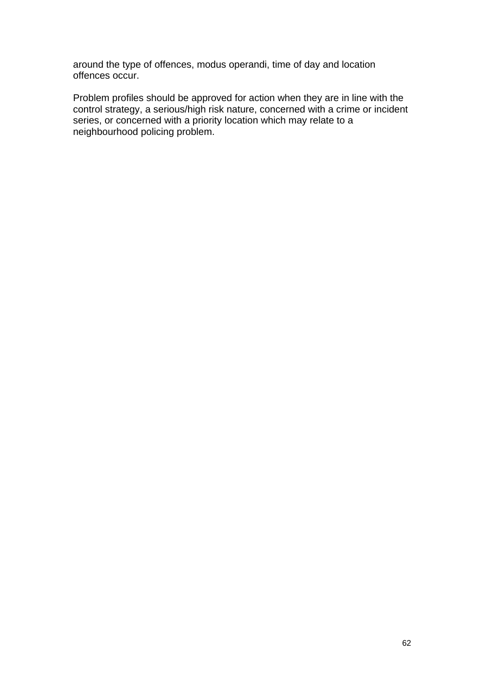around the type of offences, modus operandi, time of day and location offences occur.

Problem profiles should be approved for action when they are in line with the control strategy, a serious/high risk nature, concerned with a crime or incident series, or concerned with a priority location which may relate to a neighbourhood policing problem.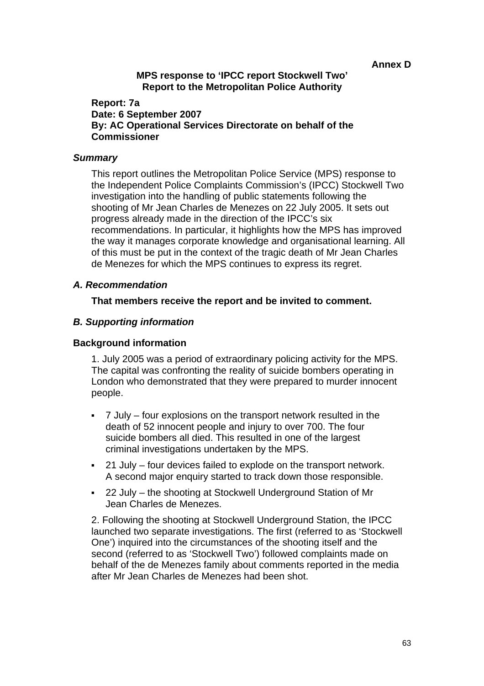**Annex D** 

## **MPS response to 'IPCC report Stockwell Two' Report to the Metropolitan Police Authority**

## **Report: 7a Date: 6 September 2007 By: AC Operational Services Directorate on behalf of the Commissioner**

### *Summary*

This report outlines the Metropolitan Police Service (MPS) response to the Independent Police Complaints Commission's (IPCC) Stockwell Two investigation into the handling of public statements following the shooting of Mr Jean Charles de Menezes on 22 July 2005. It sets out progress already made in the direction of the IPCC's six recommendations. In particular, it highlights how the MPS has improved the way it manages corporate knowledge and organisational learning. All of this must be put in the context of the tragic death of Mr Jean Charles de Menezes for which the MPS continues to express its regret.

## *A. Recommendation*

## **That members receive the report and be invited to comment.**

## *B. Supporting information*

### **Background information**

1. July 2005 was a period of extraordinary policing activity for the MPS. The capital was confronting the reality of suicide bombers operating in London who demonstrated that they were prepared to murder innocent people.

- 7 July four explosions on the transport network resulted in the death of 52 innocent people and injury to over 700. The four suicide bombers all died. This resulted in one of the largest criminal investigations undertaken by the MPS.
- 21 July four devices failed to explode on the transport network. A second major enquiry started to track down those responsible.
- 22 July the shooting at Stockwell Underground Station of Mr Jean Charles de Menezes.

2. Following the shooting at Stockwell Underground Station, the IPCC launched two separate investigations. The first (referred to as 'Stockwell One') inquired into the circumstances of the shooting itself and the second (referred to as 'Stockwell Two') followed complaints made on behalf of the de Menezes family about comments reported in the media after Mr Jean Charles de Menezes had been shot.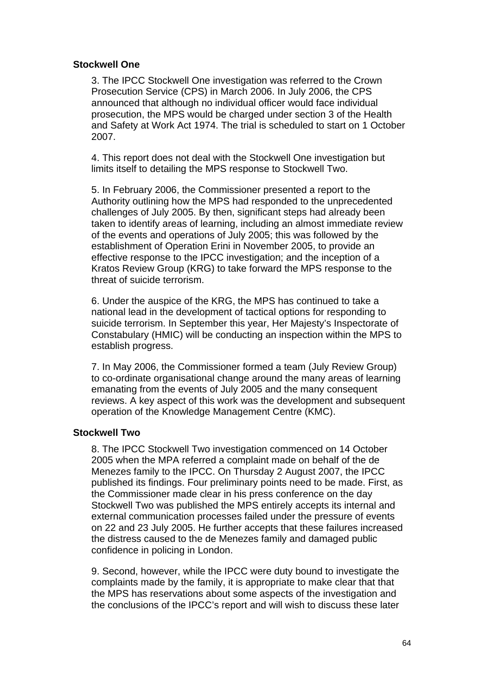### **Stockwell One**

3. The IPCC Stockwell One investigation was referred to the Crown Prosecution Service (CPS) in March 2006. In July 2006, the CPS announced that although no individual officer would face individual prosecution, the MPS would be charged under section 3 of the Health and Safety at Work Act 1974. The trial is scheduled to start on 1 October 2007.

4. This report does not deal with the Stockwell One investigation but limits itself to detailing the MPS response to Stockwell Two.

5. In February 2006, the Commissioner presented a report to the Authority outlining how the MPS had responded to the unprecedented challenges of July 2005. By then, significant steps had already been taken to identify areas of learning, including an almost immediate review of the events and operations of July 2005; this was followed by the establishment of Operation Erini in November 2005, to provide an effective response to the IPCC investigation; and the inception of a Kratos Review Group (KRG) to take forward the MPS response to the threat of suicide terrorism.

6. Under the auspice of the KRG, the MPS has continued to take a national lead in the development of tactical options for responding to suicide terrorism. In September this year, Her Majesty's Inspectorate of Constabulary (HMIC) will be conducting an inspection within the MPS to establish progress.

7. In May 2006, the Commissioner formed a team (July Review Group) to co-ordinate organisational change around the many areas of learning emanating from the events of July 2005 and the many consequent reviews. A key aspect of this work was the development and subsequent operation of the Knowledge Management Centre (KMC).

## **Stockwell Two**

8. The IPCC Stockwell Two investigation commenced on 14 October 2005 when the MPA referred a complaint made on behalf of the de Menezes family to the IPCC. On Thursday 2 August 2007, the IPCC published its findings. Four preliminary points need to be made. First, as the Commissioner made clear in his press conference on the day Stockwell Two was published the MPS entirely accepts its internal and external communication processes failed under the pressure of events on 22 and 23 July 2005. He further accepts that these failures increased the distress caused to the de Menezes family and damaged public confidence in policing in London.

9. Second, however, while the IPCC were duty bound to investigate the complaints made by the family, it is appropriate to make clear that that the MPS has reservations about some aspects of the investigation and the conclusions of the IPCC's report and will wish to discuss these later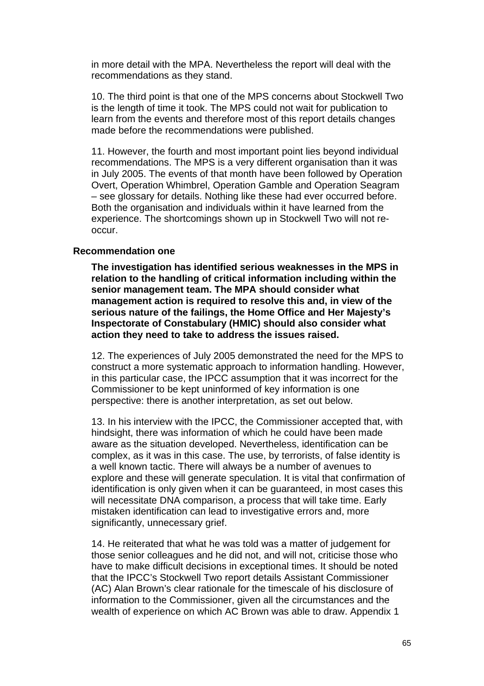in more detail with the MPA. Nevertheless the report will deal with the recommendations as they stand.

10. The third point is that one of the MPS concerns about Stockwell Two is the length of time it took. The MPS could not wait for publication to learn from the events and therefore most of this report details changes made before the recommendations were published.

11. However, the fourth and most important point lies beyond individual recommendations. The MPS is a very different organisation than it was in July 2005. The events of that month have been followed by Operation Overt, Operation Whimbrel, Operation Gamble and Operation Seagram – see glossary for details. Nothing like these had ever occurred before. Both the organisation and individuals within it have learned from the experience. The shortcomings shown up in Stockwell Two will not reoccur.

#### **Recommendation one**

**The investigation has identified serious weaknesses in the MPS in relation to the handling of critical information including within the senior management team. The MPA should consider what management action is required to resolve this and, in view of the serious nature of the failings, the Home Office and Her Majesty's Inspectorate of Constabulary (HMIC) should also consider what action they need to take to address the issues raised.**

12. The experiences of July 2005 demonstrated the need for the MPS to construct a more systematic approach to information handling. However, in this particular case, the IPCC assumption that it was incorrect for the Commissioner to be kept uninformed of key information is one perspective: there is another interpretation, as set out below.

13. In his interview with the IPCC, the Commissioner accepted that, with hindsight, there was information of which he could have been made aware as the situation developed. Nevertheless, identification can be complex, as it was in this case. The use, by terrorists, of false identity is a well known tactic. There will always be a number of avenues to explore and these will generate speculation. It is vital that confirmation of identification is only given when it can be guaranteed, in most cases this will necessitate DNA comparison, a process that will take time. Early mistaken identification can lead to investigative errors and, more significantly, unnecessary grief.

14. He reiterated that what he was told was a matter of judgement for those senior colleagues and he did not, and will not, criticise those who have to make difficult decisions in exceptional times. It should be noted that the IPCC's Stockwell Two report details Assistant Commissioner (AC) Alan Brown's clear rationale for the timescale of his disclosure of information to the Commissioner, given all the circumstances and the wealth of experience on which AC Brown was able to draw. Appendix 1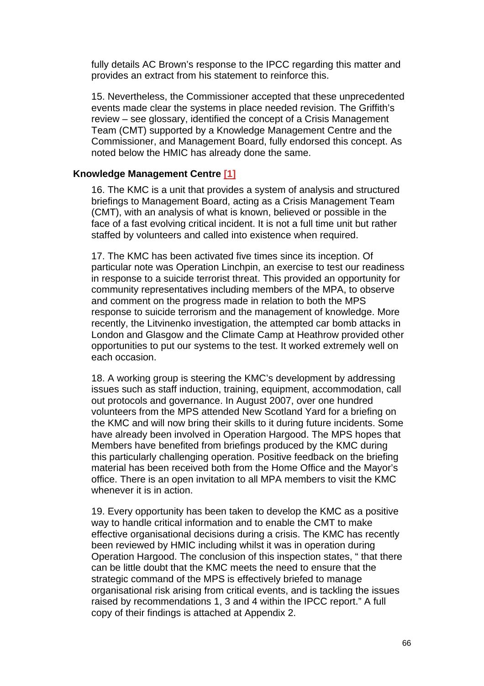fully details AC Brown's response to the IPCC regarding this matter and provides an extract from his statement to reinforce this.

15. Nevertheless, the Commissioner accepted that these unprecedented events made clear the systems in place needed revision. The Griffith's review – see glossary, identified the concept of a Crisis Management Team (CMT) supported by a Knowledge Management Centre and the Commissioner, and Management Board, fully endorsed this concept. As noted below the HMIC has already done the same.

## **Knowledge Management Centre [1]**

16. The KMC is a unit that provides a system of analysis and structured briefings to Management Board, acting as a Crisis Management Team (CMT), with an analysis of what is known, believed or possible in the face of a fast evolving critical incident. It is not a full time unit but rather staffed by volunteers and called into existence when required.

17. The KMC has been activated five times since its inception. Of particular note was Operation Linchpin, an exercise to test our readiness in response to a suicide terrorist threat. This provided an opportunity for community representatives including members of the MPA, to observe and comment on the progress made in relation to both the MPS response to suicide terrorism and the management of knowledge. More recently, the Litvinenko investigation, the attempted car bomb attacks in London and Glasgow and the Climate Camp at Heathrow provided other opportunities to put our systems to the test. It worked extremely well on each occasion.

18. A working group is steering the KMC's development by addressing issues such as staff induction, training, equipment, accommodation, call out protocols and governance. In August 2007, over one hundred volunteers from the MPS attended New Scotland Yard for a briefing on the KMC and will now bring their skills to it during future incidents. Some have already been involved in Operation Hargood. The MPS hopes that Members have benefited from briefings produced by the KMC during this particularly challenging operation. Positive feedback on the briefing material has been received both from the Home Office and the Mayor's office. There is an open invitation to all MPA members to visit the KMC whenever it is in action.

19. Every opportunity has been taken to develop the KMC as a positive way to handle critical information and to enable the CMT to make effective organisational decisions during a crisis. The KMC has recently been reviewed by HMIC including whilst it was in operation during Operation Hargood. The conclusion of this inspection states, " that there can be little doubt that the KMC meets the need to ensure that the strategic command of the MPS is effectively briefed to manage organisational risk arising from critical events, and is tackling the issues raised by recommendations 1, 3 and 4 within the IPCC report." A full copy of their findings is attached at Appendix 2.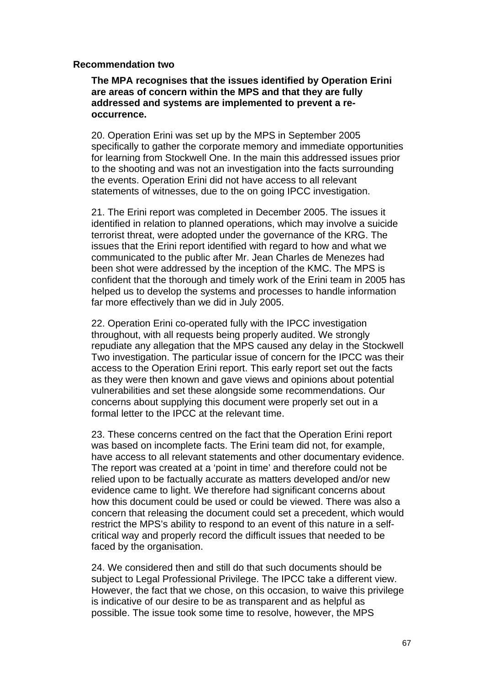### **Recommendation two**

**The MPA recognises that the issues identified by Operation Erini are areas of concern within the MPS and that they are fully addressed and systems are implemented to prevent a reoccurrence.**

20. Operation Erini was set up by the MPS in September 2005 specifically to gather the corporate memory and immediate opportunities for learning from Stockwell One. In the main this addressed issues prior to the shooting and was not an investigation into the facts surrounding the events. Operation Erini did not have access to all relevant statements of witnesses, due to the on going IPCC investigation.

21. The Erini report was completed in December 2005. The issues it identified in relation to planned operations, which may involve a suicide terrorist threat, were adopted under the governance of the KRG. The issues that the Erini report identified with regard to how and what we communicated to the public after Mr. Jean Charles de Menezes had been shot were addressed by the inception of the KMC. The MPS is confident that the thorough and timely work of the Erini team in 2005 has helped us to develop the systems and processes to handle information far more effectively than we did in July 2005.

22. Operation Erini co-operated fully with the IPCC investigation throughout, with all requests being properly audited. We strongly repudiate any allegation that the MPS caused any delay in the Stockwell Two investigation. The particular issue of concern for the IPCC was their access to the Operation Erini report. This early report set out the facts as they were then known and gave views and opinions about potential vulnerabilities and set these alongside some recommendations. Our concerns about supplying this document were properly set out in a formal letter to the IPCC at the relevant time.

23. These concerns centred on the fact that the Operation Erini report was based on incomplete facts. The Erini team did not, for example, have access to all relevant statements and other documentary evidence. The report was created at a 'point in time' and therefore could not be relied upon to be factually accurate as matters developed and/or new evidence came to light. We therefore had significant concerns about how this document could be used or could be viewed. There was also a concern that releasing the document could set a precedent, which would restrict the MPS's ability to respond to an event of this nature in a selfcritical way and properly record the difficult issues that needed to be faced by the organisation.

24. We considered then and still do that such documents should be subject to Legal Professional Privilege. The IPCC take a different view. However, the fact that we chose, on this occasion, to waive this privilege is indicative of our desire to be as transparent and as helpful as possible. The issue took some time to resolve, however, the MPS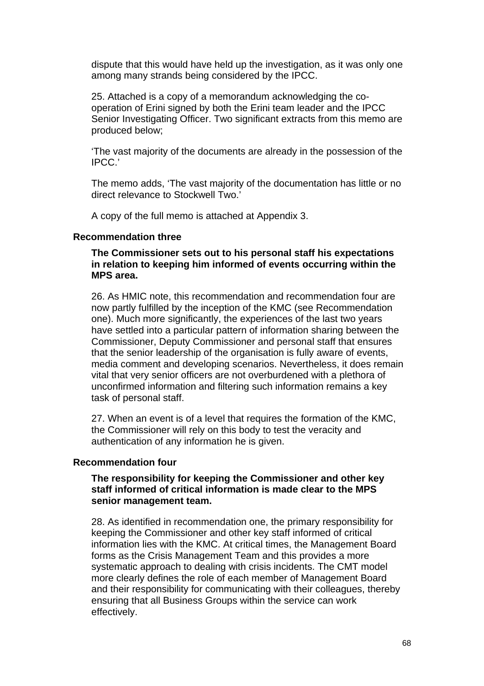dispute that this would have held up the investigation, as it was only one among many strands being considered by the IPCC.

25. Attached is a copy of a memorandum acknowledging the cooperation of Erini signed by both the Erini team leader and the IPCC Senior Investigating Officer. Two significant extracts from this memo are produced below;

'The vast majority of the documents are already in the possession of the IPCC.'

The memo adds, 'The vast majority of the documentation has little or no direct relevance to Stockwell Two.'

A copy of the full memo is attached at Appendix 3.

#### **Recommendation three**

**The Commissioner sets out to his personal staff his expectations in relation to keeping him informed of events occurring within the MPS area.**

26. As HMIC note, this recommendation and recommendation four are now partly fulfilled by the inception of the KMC (see Recommendation one). Much more significantly, the experiences of the last two years have settled into a particular pattern of information sharing between the Commissioner, Deputy Commissioner and personal staff that ensures that the senior leadership of the organisation is fully aware of events, media comment and developing scenarios. Nevertheless, it does remain vital that very senior officers are not overburdened with a plethora of unconfirmed information and filtering such information remains a key task of personal staff.

27. When an event is of a level that requires the formation of the KMC, the Commissioner will rely on this body to test the veracity and authentication of any information he is given.

#### **Recommendation four**

### **The responsibility for keeping the Commissioner and other key staff informed of critical information is made clear to the MPS senior management team.**

28. As identified in recommendation one, the primary responsibility for keeping the Commissioner and other key staff informed of critical information lies with the KMC. At critical times, the Management Board forms as the Crisis Management Team and this provides a more systematic approach to dealing with crisis incidents. The CMT model more clearly defines the role of each member of Management Board and their responsibility for communicating with their colleagues, thereby ensuring that all Business Groups within the service can work effectively.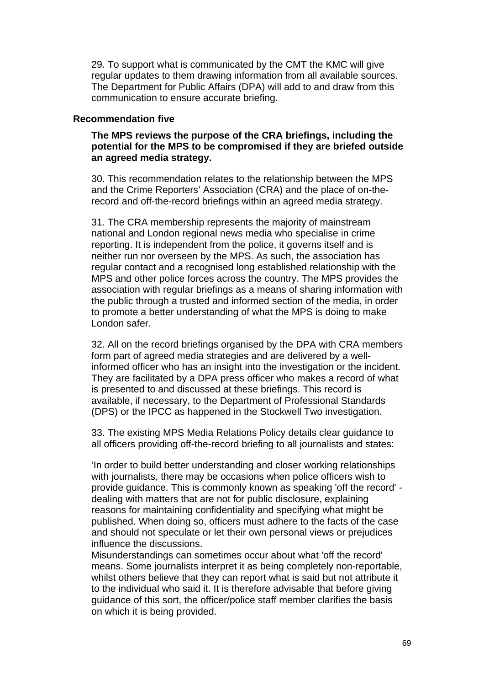29. To support what is communicated by the CMT the KMC will give regular updates to them drawing information from all available sources. The Department for Public Affairs (DPA) will add to and draw from this communication to ensure accurate briefing.

#### **Recommendation five**

**The MPS reviews the purpose of the CRA briefings, including the potential for the MPS to be compromised if they are briefed outside an agreed media strategy.**

30. This recommendation relates to the relationship between the MPS and the Crime Reporters' Association (CRA) and the place of on-therecord and off-the-record briefings within an agreed media strategy.

31. The CRA membership represents the majority of mainstream national and London regional news media who specialise in crime reporting. It is independent from the police, it governs itself and is neither run nor overseen by the MPS. As such, the association has regular contact and a recognised long established relationship with the MPS and other police forces across the country. The MPS provides the association with regular briefings as a means of sharing information with the public through a trusted and informed section of the media, in order to promote a better understanding of what the MPS is doing to make London safer.

32. All on the record briefings organised by the DPA with CRA members form part of agreed media strategies and are delivered by a wellinformed officer who has an insight into the investigation or the incident. They are facilitated by a DPA press officer who makes a record of what is presented to and discussed at these briefings. This record is available, if necessary, to the Department of Professional Standards (DPS) or the IPCC as happened in the Stockwell Two investigation.

33. The existing MPS Media Relations Policy details clear guidance to all officers providing off-the-record briefing to all journalists and states:

'In order to build better understanding and closer working relationships with journalists, there may be occasions when police officers wish to provide guidance. This is commonly known as speaking 'off the record' dealing with matters that are not for public disclosure, explaining reasons for maintaining confidentiality and specifying what might be published. When doing so, officers must adhere to the facts of the case and should not speculate or let their own personal views or prejudices influence the discussions.

Misunderstandings can sometimes occur about what 'off the record' means. Some journalists interpret it as being completely non-reportable. whilst others believe that they can report what is said but not attribute it to the individual who said it. It is therefore advisable that before giving guidance of this sort, the officer/police staff member clarifies the basis on which it is being provided.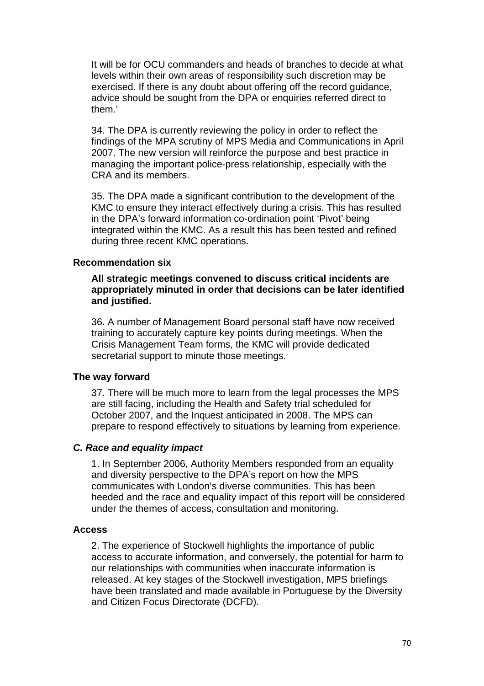It will be for OCU commanders and heads of branches to decide at what levels within their own areas of responsibility such discretion may be exercised. If there is any doubt about offering off the record guidance, advice should be sought from the DPA or enquiries referred direct to them.'

34. The DPA is currently reviewing the policy in order to reflect the findings of the MPA scrutiny of MPS Media and Communications in April 2007. The new version will reinforce the purpose and best practice in managing the important police-press relationship, especially with the CRA and its members.

35. The DPA made a significant contribution to the development of the KMC to ensure they interact effectively during a crisis. This has resulted in the DPA's forward information co-ordination point 'Pivot' being integrated within the KMC. As a result this has been tested and refined during three recent KMC operations.

### **Recommendation six**

**All strategic meetings convened to discuss critical incidents are appropriately minuted in order that decisions can be later identified and justified.**

36. A number of Management Board personal staff have now received training to accurately capture key points during meetings. When the Crisis Management Team forms, the KMC will provide dedicated secretarial support to minute those meetings.

#### **The way forward**

37. There will be much more to learn from the legal processes the MPS are still facing, including the Health and Safety trial scheduled for October 2007, and the Inquest anticipated in 2008. The MPS can prepare to respond effectively to situations by learning from experience.

### *C. Race and equality impact*

1. In September 2006, Authority Members responded from an equality and diversity perspective to the DPA's report on how the MPS communicates with London's diverse communities. This has been heeded and the race and equality impact of this report will be considered under the themes of access, consultation and monitoring.

### **Access**

2. The experience of Stockwell highlights the importance of public access to accurate information, and conversely, the potential for harm to our relationships with communities when inaccurate information is released. At key stages of the Stockwell investigation, MPS briefings have been translated and made available in Portuguese by the Diversity and Citizen Focus Directorate (DCFD).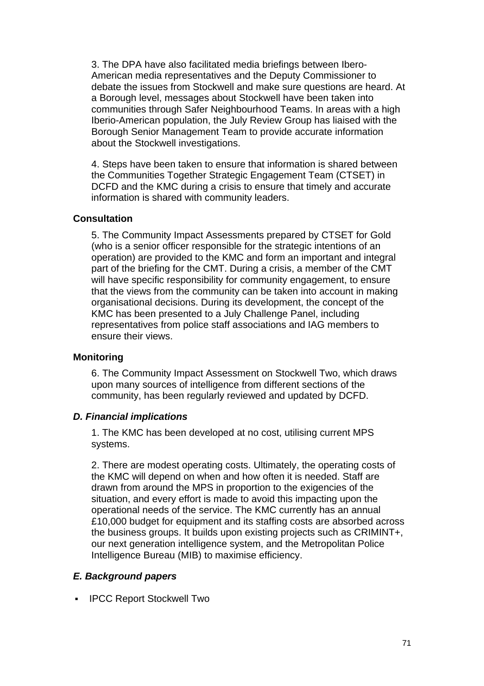3. The DPA have also facilitated media briefings between Ibero-American media representatives and the Deputy Commissioner to debate the issues from Stockwell and make sure questions are heard. At a Borough level, messages about Stockwell have been taken into communities through Safer Neighbourhood Teams. In areas with a high Iberio-American population, the July Review Group has liaised with the Borough Senior Management Team to provide accurate information about the Stockwell investigations.

4. Steps have been taken to ensure that information is shared between the Communities Together Strategic Engagement Team (CTSET) in DCFD and the KMC during a crisis to ensure that timely and accurate information is shared with community leaders.

### **Consultation**

5. The Community Impact Assessments prepared by CTSET for Gold (who is a senior officer responsible for the strategic intentions of an operation) are provided to the KMC and form an important and integral part of the briefing for the CMT. During a crisis, a member of the CMT will have specific responsibility for community engagement, to ensure that the views from the community can be taken into account in making organisational decisions. During its development, the concept of the KMC has been presented to a July Challenge Panel, including representatives from police staff associations and IAG members to ensure their views.

### **Monitoring**

6. The Community Impact Assessment on Stockwell Two, which draws upon many sources of intelligence from different sections of the community, has been regularly reviewed and updated by DCFD.

### *D. Financial implications*

1. The KMC has been developed at no cost, utilising current MPS systems.

2. There are modest operating costs. Ultimately, the operating costs of the KMC will depend on when and how often it is needed. Staff are drawn from around the MPS in proportion to the exigencies of the situation, and every effort is made to avoid this impacting upon the operational needs of the service. The KMC currently has an annual £10,000 budget for equipment and its staffing costs are absorbed across the business groups. It builds upon existing projects such as CRIMINT+, our next generation intelligence system, and the Metropolitan Police Intelligence Bureau (MIB) to maximise efficiency.

### *E. Background papers*

**IPCC Report Stockwell Two**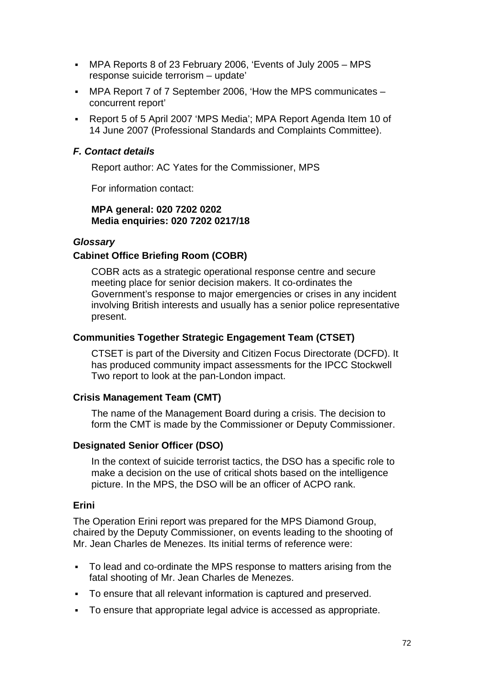- MPA Reports 8 of 23 February 2006, 'Events of July 2005 MPS response suicide terrorism – update'
- MPA Report 7 of 7 September 2006, 'How the MPS communicates concurrent report'
- Report 5 of 5 April 2007 'MPS Media'; MPA Report Agenda Item 10 of 14 June 2007 (Professional Standards and Complaints Committee).

# *F. Contact details*

Report author: AC Yates for the Commissioner, MPS

For information contact:

### **MPA general: 020 7202 0202 Media enquiries: 020 7202 0217/18**

## *Glossary*

# **Cabinet Office Briefing Room (COBR)**

COBR acts as a strategic operational response centre and secure meeting place for senior decision makers. It co-ordinates the Government's response to major emergencies or crises in any incident involving British interests and usually has a senior police representative present.

# **Communities Together Strategic Engagement Team (CTSET)**

CTSET is part of the Diversity and Citizen Focus Directorate (DCFD). It has produced community impact assessments for the IPCC Stockwell Two report to look at the pan-London impact.

## **Crisis Management Team (CMT)**

The name of the Management Board during a crisis. The decision to form the CMT is made by the Commissioner or Deputy Commissioner.

## **Designated Senior Officer (DSO)**

In the context of suicide terrorist tactics, the DSO has a specific role to make a decision on the use of critical shots based on the intelligence picture. In the MPS, the DSO will be an officer of ACPO rank.

## **Erini**

The Operation Erini report was prepared for the MPS Diamond Group, chaired by the Deputy Commissioner, on events leading to the shooting of Mr. Jean Charles de Menezes. Its initial terms of reference were:

- To lead and co-ordinate the MPS response to matters arising from the fatal shooting of Mr. Jean Charles de Menezes.
- To ensure that all relevant information is captured and preserved.
- To ensure that appropriate legal advice is accessed as appropriate.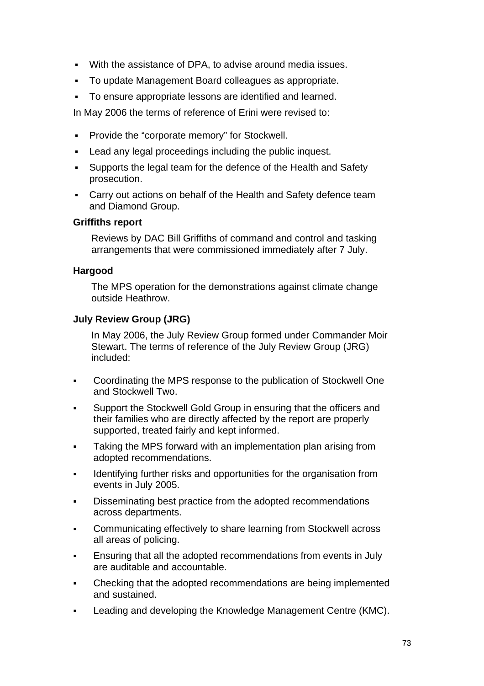- With the assistance of DPA, to advise around media issues.
- To update Management Board colleagues as appropriate.
- To ensure appropriate lessons are identified and learned.

In May 2006 the terms of reference of Erini were revised to:

- **Provide the "corporate memory" for Stockwell.**
- Lead any legal proceedings including the public inquest.
- Supports the legal team for the defence of the Health and Safety prosecution.
- Carry out actions on behalf of the Health and Safety defence team and Diamond Group.

#### **Griffiths report**

Reviews by DAC Bill Griffiths of command and control and tasking arrangements that were commissioned immediately after 7 July.

#### **Hargood**

The MPS operation for the demonstrations against climate change outside Heathrow.

#### **July Review Group (JRG)**

In May 2006, the July Review Group formed under Commander Moir Stewart. The terms of reference of the July Review Group (JRG) included:

- Coordinating the MPS response to the publication of Stockwell One and Stockwell Two.
- Support the Stockwell Gold Group in ensuring that the officers and their families who are directly affected by the report are properly supported, treated fairly and kept informed.
- **Taking the MPS forward with an implementation plan arising from** adopted recommendations.
- Identifying further risks and opportunities for the organisation from events in July 2005.
- Disseminating best practice from the adopted recommendations across departments.
- Communicating effectively to share learning from Stockwell across all areas of policing.
- Ensuring that all the adopted recommendations from events in July are auditable and accountable.
- Checking that the adopted recommendations are being implemented and sustained.
- Leading and developing the Knowledge Management Centre (KMC).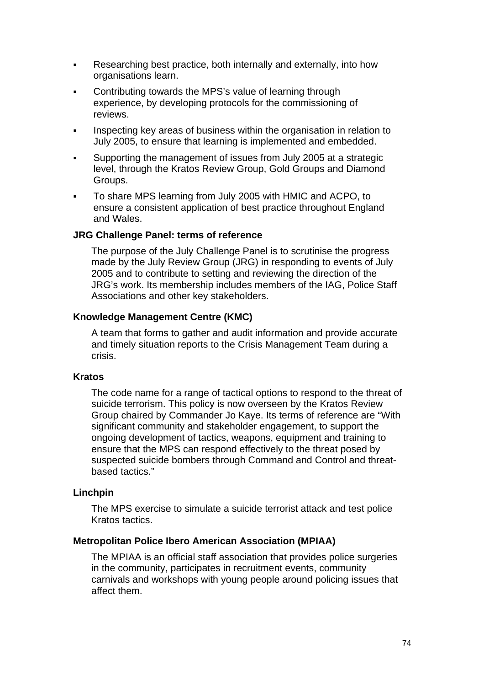- Researching best practice, both internally and externally, into how organisations learn.
- Contributing towards the MPS's value of learning through experience, by developing protocols for the commissioning of reviews.
- Inspecting key areas of business within the organisation in relation to July 2005, to ensure that learning is implemented and embedded.
- Supporting the management of issues from July 2005 at a strategic level, through the Kratos Review Group, Gold Groups and Diamond Groups.
- To share MPS learning from July 2005 with HMIC and ACPO, to ensure a consistent application of best practice throughout England and Wales.

### **JRG Challenge Panel: terms of reference**

The purpose of the July Challenge Panel is to scrutinise the progress made by the July Review Group (JRG) in responding to events of July 2005 and to contribute to setting and reviewing the direction of the JRG's work. Its membership includes members of the IAG, Police Staff Associations and other key stakeholders.

#### **Knowledge Management Centre (KMC)**

A team that forms to gather and audit information and provide accurate and timely situation reports to the Crisis Management Team during a crisis.

#### **Kratos**

The code name for a range of tactical options to respond to the threat of suicide terrorism. This policy is now overseen by the Kratos Review Group chaired by Commander Jo Kaye. Its terms of reference are "With significant community and stakeholder engagement, to support the ongoing development of tactics, weapons, equipment and training to ensure that the MPS can respond effectively to the threat posed by suspected suicide bombers through Command and Control and threatbased tactics."

#### **Linchpin**

The MPS exercise to simulate a suicide terrorist attack and test police Kratos tactics.

#### **Metropolitan Police Ibero American Association (MPIAA)**

The MPIAA is an official staff association that provides police surgeries in the community, participates in recruitment events, community carnivals and workshops with young people around policing issues that affect them.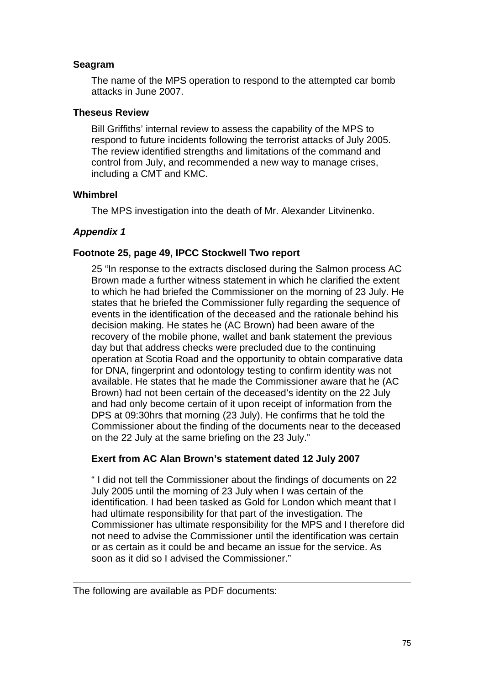#### **Seagram**

The name of the MPS operation to respond to the attempted car bomb attacks in June 2007.

#### **Theseus Review**

Bill Griffiths' internal review to assess the capability of the MPS to respond to future incidents following the terrorist attacks of July 2005. The review identified strengths and limitations of the command and control from July, and recommended a new way to manage crises, including a CMT and KMC.

#### **Whimbrel**

The MPS investigation into the death of Mr. Alexander Litvinenko.

#### *Appendix 1*

#### **Footnote 25, page 49, IPCC Stockwell Two report**

25 "In response to the extracts disclosed during the Salmon process AC Brown made a further witness statement in which he clarified the extent to which he had briefed the Commissioner on the morning of 23 July. He states that he briefed the Commissioner fully regarding the sequence of events in the identification of the deceased and the rationale behind his decision making. He states he (AC Brown) had been aware of the recovery of the mobile phone, wallet and bank statement the previous day but that address checks were precluded due to the continuing operation at Scotia Road and the opportunity to obtain comparative data for DNA, fingerprint and odontology testing to confirm identity was not available. He states that he made the Commissioner aware that he (AC Brown) had not been certain of the deceased's identity on the 22 July and had only become certain of it upon receipt of information from the DPS at 09:30hrs that morning (23 July). He confirms that he told the Commissioner about the finding of the documents near to the deceased on the 22 July at the same briefing on the 23 July."

#### **Exert from AC Alan Brown's statement dated 12 July 2007**

" I did not tell the Commissioner about the findings of documents on 22 July 2005 until the morning of 23 July when I was certain of the identification. I had been tasked as Gold for London which meant that I had ultimate responsibility for that part of the investigation. The Commissioner has ultimate responsibility for the MPS and I therefore did not need to advise the Commissioner until the identification was certain or as certain as it could be and became an issue for the service. As soon as it did so I advised the Commissioner."

The following are available as PDF documents: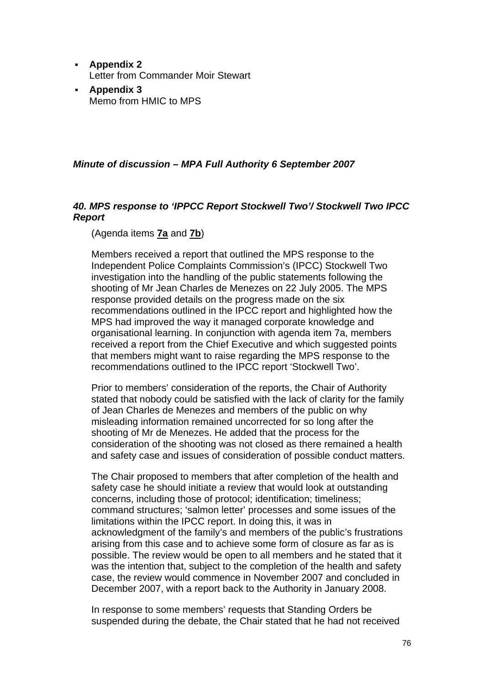- **Appendix 2** Letter from Commander Moir Stewart
- **Appendix 3** Memo from HMIC to MPS

### *Minute of discussion – MPA Full Authority 6 September 2007*

## *40. MPS response to 'IPPCC Report Stockwell Two'/ Stockwell Two IPCC Report*

(Agenda items **7a** and **7b**)

Members received a report that outlined the MPS response to the Independent Police Complaints Commission's (IPCC) Stockwell Two investigation into the handling of the public statements following the shooting of Mr Jean Charles de Menezes on 22 July 2005. The MPS response provided details on the progress made on the six recommendations outlined in the IPCC report and highlighted how the MPS had improved the way it managed corporate knowledge and organisational learning. In conjunction with agenda item 7a, members received a report from the Chief Executive and which suggested points that members might want to raise regarding the MPS response to the recommendations outlined to the IPCC report 'Stockwell Two'.

Prior to members' consideration of the reports, the Chair of Authority stated that nobody could be satisfied with the lack of clarity for the family of Jean Charles de Menezes and members of the public on why misleading information remained uncorrected for so long after the shooting of Mr de Menezes. He added that the process for the consideration of the shooting was not closed as there remained a health and safety case and issues of consideration of possible conduct matters.

The Chair proposed to members that after completion of the health and safety case he should initiate a review that would look at outstanding concerns, including those of protocol; identification; timeliness; command structures; 'salmon letter' processes and some issues of the limitations within the IPCC report. In doing this, it was in acknowledgment of the family's and members of the public's frustrations arising from this case and to achieve some form of closure as far as is possible. The review would be open to all members and he stated that it was the intention that, subject to the completion of the health and safety case, the review would commence in November 2007 and concluded in December 2007, with a report back to the Authority in January 2008.

In response to some members' requests that Standing Orders be suspended during the debate, the Chair stated that he had not received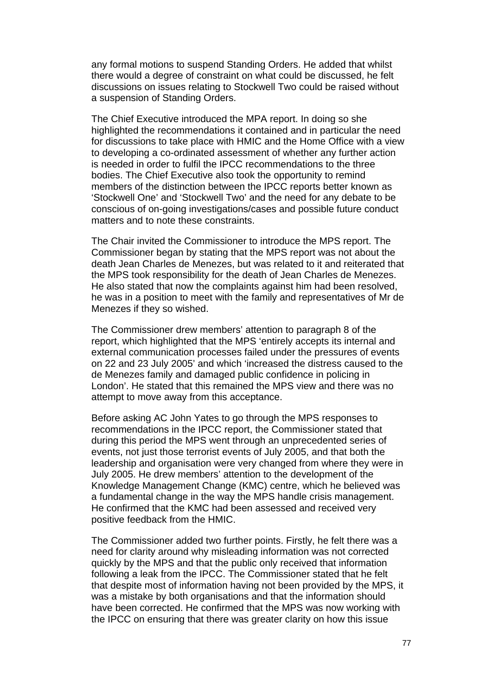any formal motions to suspend Standing Orders. He added that whilst there would a degree of constraint on what could be discussed, he felt discussions on issues relating to Stockwell Two could be raised without a suspension of Standing Orders.

The Chief Executive introduced the MPA report. In doing so she highlighted the recommendations it contained and in particular the need for discussions to take place with HMIC and the Home Office with a view to developing a co-ordinated assessment of whether any further action is needed in order to fulfil the IPCC recommendations to the three bodies. The Chief Executive also took the opportunity to remind members of the distinction between the IPCC reports better known as 'Stockwell One' and 'Stockwell Two' and the need for any debate to be conscious of on-going investigations/cases and possible future conduct matters and to note these constraints.

The Chair invited the Commissioner to introduce the MPS report. The Commissioner began by stating that the MPS report was not about the death Jean Charles de Menezes, but was related to it and reiterated that the MPS took responsibility for the death of Jean Charles de Menezes. He also stated that now the complaints against him had been resolved, he was in a position to meet with the family and representatives of Mr de Menezes if they so wished.

The Commissioner drew members' attention to paragraph 8 of the report, which highlighted that the MPS 'entirely accepts its internal and external communication processes failed under the pressures of events on 22 and 23 July 2005' and which 'increased the distress caused to the de Menezes family and damaged public confidence in policing in London'. He stated that this remained the MPS view and there was no attempt to move away from this acceptance.

Before asking AC John Yates to go through the MPS responses to recommendations in the IPCC report, the Commissioner stated that during this period the MPS went through an unprecedented series of events, not just those terrorist events of July 2005, and that both the leadership and organisation were very changed from where they were in July 2005. He drew members' attention to the development of the Knowledge Management Change (KMC) centre, which he believed was a fundamental change in the way the MPS handle crisis management. He confirmed that the KMC had been assessed and received very positive feedback from the HMIC.

The Commissioner added two further points. Firstly, he felt there was a need for clarity around why misleading information was not corrected quickly by the MPS and that the public only received that information following a leak from the IPCC. The Commissioner stated that he felt that despite most of information having not been provided by the MPS, it was a mistake by both organisations and that the information should have been corrected. He confirmed that the MPS was now working with the IPCC on ensuring that there was greater clarity on how this issue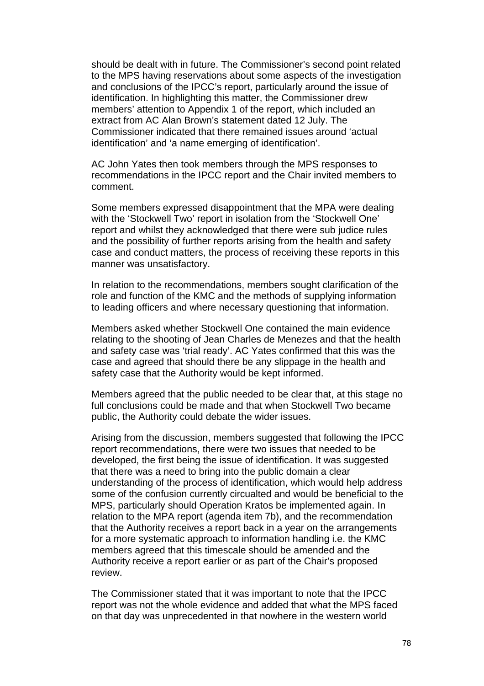should be dealt with in future. The Commissioner's second point related to the MPS having reservations about some aspects of the investigation and conclusions of the IPCC's report, particularly around the issue of identification. In highlighting this matter, the Commissioner drew members' attention to Appendix 1 of the report, which included an extract from AC Alan Brown's statement dated 12 July. The Commissioner indicated that there remained issues around 'actual identification' and 'a name emerging of identification'.

AC John Yates then took members through the MPS responses to recommendations in the IPCC report and the Chair invited members to comment.

Some members expressed disappointment that the MPA were dealing with the 'Stockwell Two' report in isolation from the 'Stockwell One' report and whilst they acknowledged that there were sub judice rules and the possibility of further reports arising from the health and safety case and conduct matters, the process of receiving these reports in this manner was unsatisfactory.

In relation to the recommendations, members sought clarification of the role and function of the KMC and the methods of supplying information to leading officers and where necessary questioning that information.

Members asked whether Stockwell One contained the main evidence relating to the shooting of Jean Charles de Menezes and that the health and safety case was 'trial ready'. AC Yates confirmed that this was the case and agreed that should there be any slippage in the health and safety case that the Authority would be kept informed.

Members agreed that the public needed to be clear that, at this stage no full conclusions could be made and that when Stockwell Two became public, the Authority could debate the wider issues.

Arising from the discussion, members suggested that following the IPCC report recommendations, there were two issues that needed to be developed, the first being the issue of identification. It was suggested that there was a need to bring into the public domain a clear understanding of the process of identification, which would help address some of the confusion currently circualted and would be beneficial to the MPS, particularly should Operation Kratos be implemented again. In relation to the MPA report (agenda item 7b), and the recommendation that the Authority receives a report back in a year on the arrangements for a more systematic approach to information handling i.e. the KMC members agreed that this timescale should be amended and the Authority receive a report earlier or as part of the Chair's proposed review.

The Commissioner stated that it was important to note that the IPCC report was not the whole evidence and added that what the MPS faced on that day was unprecedented in that nowhere in the western world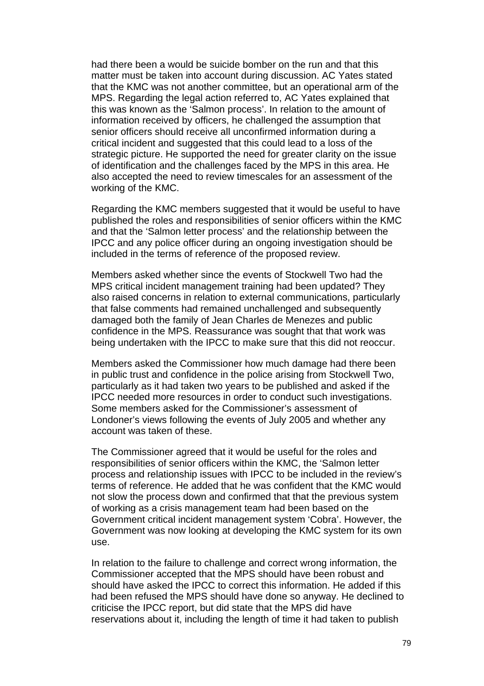had there been a would be suicide bomber on the run and that this matter must be taken into account during discussion. AC Yates stated that the KMC was not another committee, but an operational arm of the MPS. Regarding the legal action referred to, AC Yates explained that this was known as the 'Salmon process'. In relation to the amount of information received by officers, he challenged the assumption that senior officers should receive all unconfirmed information during a critical incident and suggested that this could lead to a loss of the strategic picture. He supported the need for greater clarity on the issue of identification and the challenges faced by the MPS in this area. He also accepted the need to review timescales for an assessment of the working of the KMC.

Regarding the KMC members suggested that it would be useful to have published the roles and responsibilities of senior officers within the KMC and that the 'Salmon letter process' and the relationship between the IPCC and any police officer during an ongoing investigation should be included in the terms of reference of the proposed review.

Members asked whether since the events of Stockwell Two had the MPS critical incident management training had been updated? They also raised concerns in relation to external communications, particularly that false comments had remained unchallenged and subsequently damaged both the family of Jean Charles de Menezes and public confidence in the MPS. Reassurance was sought that that work was being undertaken with the IPCC to make sure that this did not reoccur.

Members asked the Commissioner how much damage had there been in public trust and confidence in the police arising from Stockwell Two, particularly as it had taken two years to be published and asked if the IPCC needed more resources in order to conduct such investigations. Some members asked for the Commissioner's assessment of Londoner's views following the events of July 2005 and whether any account was taken of these.

The Commissioner agreed that it would be useful for the roles and responsibilities of senior officers within the KMC, the 'Salmon letter process and relationship issues with IPCC to be included in the review's terms of reference. He added that he was confident that the KMC would not slow the process down and confirmed that that the previous system of working as a crisis management team had been based on the Government critical incident management system 'Cobra'. However, the Government was now looking at developing the KMC system for its own use.

In relation to the failure to challenge and correct wrong information, the Commissioner accepted that the MPS should have been robust and should have asked the IPCC to correct this information. He added if this had been refused the MPS should have done so anyway. He declined to criticise the IPCC report, but did state that the MPS did have reservations about it, including the length of time it had taken to publish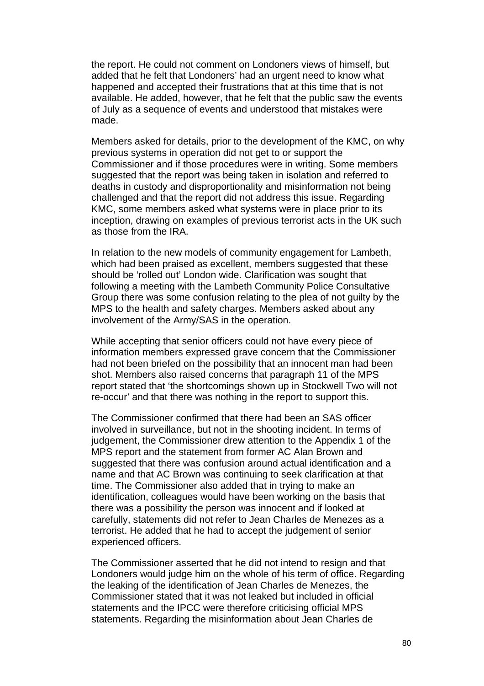the report. He could not comment on Londoners views of himself, but added that he felt that Londoners' had an urgent need to know what happened and accepted their frustrations that at this time that is not available. He added, however, that he felt that the public saw the events of July as a sequence of events and understood that mistakes were made.

Members asked for details, prior to the development of the KMC, on why previous systems in operation did not get to or support the Commissioner and if those procedures were in writing. Some members suggested that the report was being taken in isolation and referred to deaths in custody and disproportionality and misinformation not being challenged and that the report did not address this issue. Regarding KMC, some members asked what systems were in place prior to its inception, drawing on examples of previous terrorist acts in the UK such as those from the IRA.

In relation to the new models of community engagement for Lambeth, which had been praised as excellent, members suggested that these should be 'rolled out' London wide. Clarification was sought that following a meeting with the Lambeth Community Police Consultative Group there was some confusion relating to the plea of not guilty by the MPS to the health and safety charges. Members asked about any involvement of the Army/SAS in the operation.

While accepting that senior officers could not have every piece of information members expressed grave concern that the Commissioner had not been briefed on the possibility that an innocent man had been shot. Members also raised concerns that paragraph 11 of the MPS report stated that 'the shortcomings shown up in Stockwell Two will not re-occur' and that there was nothing in the report to support this.

The Commissioner confirmed that there had been an SAS officer involved in surveillance, but not in the shooting incident. In terms of judgement, the Commissioner drew attention to the Appendix 1 of the MPS report and the statement from former AC Alan Brown and suggested that there was confusion around actual identification and a name and that AC Brown was continuing to seek clarification at that time. The Commissioner also added that in trying to make an identification, colleagues would have been working on the basis that there was a possibility the person was innocent and if looked at carefully, statements did not refer to Jean Charles de Menezes as a terrorist. He added that he had to accept the judgement of senior experienced officers.

The Commissioner asserted that he did not intend to resign and that Londoners would judge him on the whole of his term of office. Regarding the leaking of the identification of Jean Charles de Menezes, the Commissioner stated that it was not leaked but included in official statements and the IPCC were therefore criticising official MPS statements. Regarding the misinformation about Jean Charles de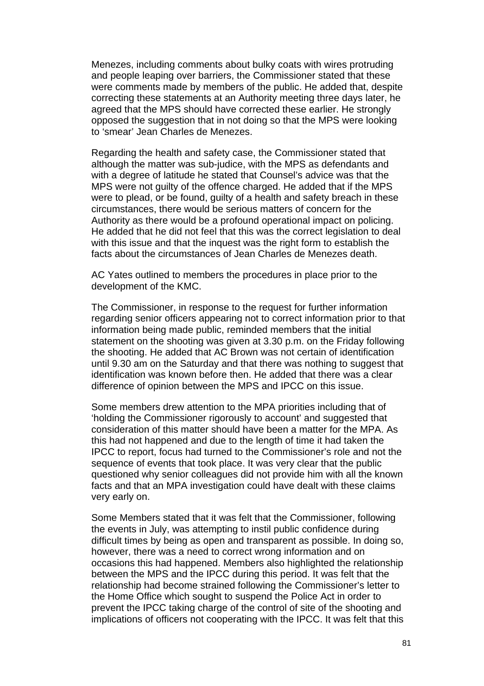Menezes, including comments about bulky coats with wires protruding and people leaping over barriers, the Commissioner stated that these were comments made by members of the public. He added that, despite correcting these statements at an Authority meeting three days later, he agreed that the MPS should have corrected these earlier. He strongly opposed the suggestion that in not doing so that the MPS were looking to 'smear' Jean Charles de Menezes.

Regarding the health and safety case, the Commissioner stated that although the matter was sub-judice, with the MPS as defendants and with a degree of latitude he stated that Counsel's advice was that the MPS were not guilty of the offence charged. He added that if the MPS were to plead, or be found, guilty of a health and safety breach in these circumstances, there would be serious matters of concern for the Authority as there would be a profound operational impact on policing. He added that he did not feel that this was the correct legislation to deal with this issue and that the inquest was the right form to establish the facts about the circumstances of Jean Charles de Menezes death.

AC Yates outlined to members the procedures in place prior to the development of the KMC.

The Commissioner, in response to the request for further information regarding senior officers appearing not to correct information prior to that information being made public, reminded members that the initial statement on the shooting was given at 3.30 p.m. on the Friday following the shooting. He added that AC Brown was not certain of identification until 9.30 am on the Saturday and that there was nothing to suggest that identification was known before then. He added that there was a clear difference of opinion between the MPS and IPCC on this issue.

Some members drew attention to the MPA priorities including that of 'holding the Commissioner rigorously to account' and suggested that consideration of this matter should have been a matter for the MPA. As this had not happened and due to the length of time it had taken the IPCC to report, focus had turned to the Commissioner's role and not the sequence of events that took place. It was very clear that the public questioned why senior colleagues did not provide him with all the known facts and that an MPA investigation could have dealt with these claims very early on.

Some Members stated that it was felt that the Commissioner, following the events in July, was attempting to instil public confidence during difficult times by being as open and transparent as possible. In doing so, however, there was a need to correct wrong information and on occasions this had happened. Members also highlighted the relationship between the MPS and the IPCC during this period. It was felt that the relationship had become strained following the Commissioner's letter to the Home Office which sought to suspend the Police Act in order to prevent the IPCC taking charge of the control of site of the shooting and implications of officers not cooperating with the IPCC. It was felt that this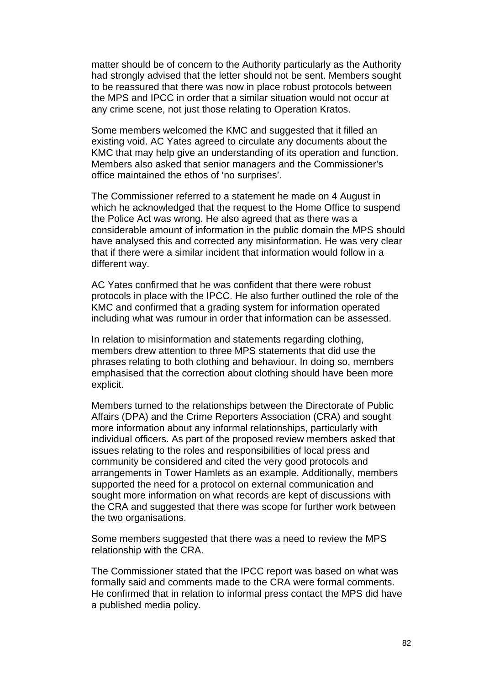matter should be of concern to the Authority particularly as the Authority had strongly advised that the letter should not be sent. Members sought to be reassured that there was now in place robust protocols between the MPS and IPCC in order that a similar situation would not occur at any crime scene, not just those relating to Operation Kratos.

Some members welcomed the KMC and suggested that it filled an existing void. AC Yates agreed to circulate any documents about the KMC that may help give an understanding of its operation and function. Members also asked that senior managers and the Commissioner's office maintained the ethos of 'no surprises'.

The Commissioner referred to a statement he made on 4 August in which he acknowledged that the request to the Home Office to suspend the Police Act was wrong. He also agreed that as there was a considerable amount of information in the public domain the MPS should have analysed this and corrected any misinformation. He was very clear that if there were a similar incident that information would follow in a different way.

AC Yates confirmed that he was confident that there were robust protocols in place with the IPCC. He also further outlined the role of the KMC and confirmed that a grading system for information operated including what was rumour in order that information can be assessed.

In relation to misinformation and statements regarding clothing. members drew attention to three MPS statements that did use the phrases relating to both clothing and behaviour. In doing so, members emphasised that the correction about clothing should have been more explicit.

Members turned to the relationships between the Directorate of Public Affairs (DPA) and the Crime Reporters Association (CRA) and sought more information about any informal relationships, particularly with individual officers. As part of the proposed review members asked that issues relating to the roles and responsibilities of local press and community be considered and cited the very good protocols and arrangements in Tower Hamlets as an example. Additionally, members supported the need for a protocol on external communication and sought more information on what records are kept of discussions with the CRA and suggested that there was scope for further work between the two organisations.

Some members suggested that there was a need to review the MPS relationship with the CRA.

The Commissioner stated that the IPCC report was based on what was formally said and comments made to the CRA were formal comments. He confirmed that in relation to informal press contact the MPS did have a published media policy.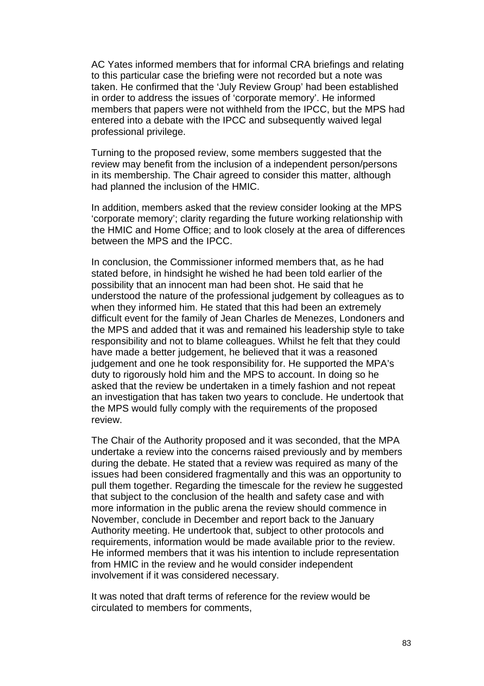AC Yates informed members that for informal CRA briefings and relating to this particular case the briefing were not recorded but a note was taken. He confirmed that the 'July Review Group' had been established in order to address the issues of 'corporate memory'. He informed members that papers were not withheld from the IPCC, but the MPS had entered into a debate with the IPCC and subsequently waived legal professional privilege.

Turning to the proposed review, some members suggested that the review may benefit from the inclusion of a independent person/persons in its membership. The Chair agreed to consider this matter, although had planned the inclusion of the HMIC.

In addition, members asked that the review consider looking at the MPS 'corporate memory'; clarity regarding the future working relationship with the HMIC and Home Office; and to look closely at the area of differences between the MPS and the IPCC.

In conclusion, the Commissioner informed members that, as he had stated before, in hindsight he wished he had been told earlier of the possibility that an innocent man had been shot. He said that he understood the nature of the professional judgement by colleagues as to when they informed him. He stated that this had been an extremely difficult event for the family of Jean Charles de Menezes, Londoners and the MPS and added that it was and remained his leadership style to take responsibility and not to blame colleagues. Whilst he felt that they could have made a better judgement, he believed that it was a reasoned judgement and one he took responsibility for. He supported the MPA's duty to rigorously hold him and the MPS to account. In doing so he asked that the review be undertaken in a timely fashion and not repeat an investigation that has taken two years to conclude. He undertook that the MPS would fully comply with the requirements of the proposed review.

The Chair of the Authority proposed and it was seconded, that the MPA undertake a review into the concerns raised previously and by members during the debate. He stated that a review was required as many of the issues had been considered fragmentally and this was an opportunity to pull them together. Regarding the timescale for the review he suggested that subject to the conclusion of the health and safety case and with more information in the public arena the review should commence in November, conclude in December and report back to the January Authority meeting. He undertook that, subject to other protocols and requirements, information would be made available prior to the review. He informed members that it was his intention to include representation from HMIC in the review and he would consider independent involvement if it was considered necessary.

It was noted that draft terms of reference for the review would be circulated to members for comments,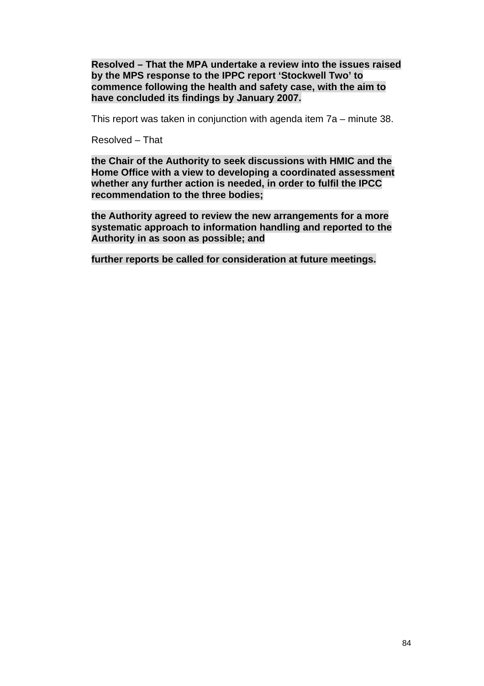**Resolved – That the MPA undertake a review into the issues raised by the MPS response to the IPPC report 'Stockwell Two' to commence following the health and safety case, with the aim to have concluded its findings by January 2007.** 

This report was taken in conjunction with agenda item 7a – minute 38.

Resolved – That

**the Chair of the Authority to seek discussions with HMIC and the Home Office with a view to developing a coordinated assessment whether any further action is needed, in order to fulfil the IPCC recommendation to the three bodies;** 

**the Authority agreed to review the new arrangements for a more systematic approach to information handling and reported to the Authority in as soon as possible; and** 

**further reports be called for consideration at future meetings.**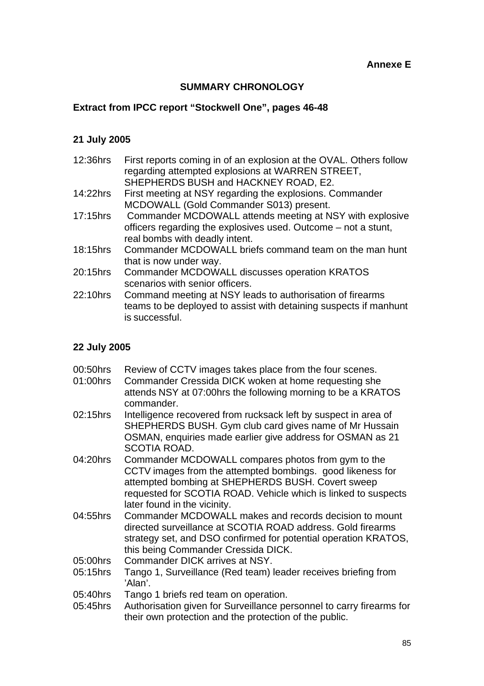## **Annexe E**

# **SUMMARY CHRONOLOGY**

# **Extract from IPCC report "Stockwell One", pages 46-48**

## **21 July 2005**

| 12:36hrs | First reports coming in of an explosion at the OVAL. Others follow<br>regarding attempted explosions at WARREN STREET, |
|----------|------------------------------------------------------------------------------------------------------------------------|
|          | SHEPHERDS BUSH and HACKNEY ROAD, E2.                                                                                   |
| 14:22hrs | First meeting at NSY regarding the explosions. Commander                                                               |
|          | MCDOWALL (Gold Commander S013) present.                                                                                |
| 17:15hrs | Commander MCDOWALL attends meeting at NSY with explosive                                                               |
|          | officers regarding the explosives used. Outcome – not a stunt,                                                         |
|          | real bombs with deadly intent.                                                                                         |
| 18:15hrs | Commander MCDOWALL briefs command team on the man hunt                                                                 |
|          | that is now under way.                                                                                                 |
| 20:15hrs | Commander MCDOWALL discusses operation KRATOS                                                                          |
|          | scenarios with senior officers.                                                                                        |
| 22:10hrs | Command meeting at NSY leads to authorisation of firearms                                                              |
|          | teams to be deployed to assist with detaining suspects if manhunt                                                      |
|          | is successful.                                                                                                         |
|          |                                                                                                                        |

# **22 July 2005**

| 00:50hrs | Review of CCTV images takes place from the four scenes.                                                                        |
|----------|--------------------------------------------------------------------------------------------------------------------------------|
| 01:00hrs | Commander Cressida DICK woken at home requesting she                                                                           |
|          | attends NSY at 07:00hrs the following morning to be a KRATOS<br>commander.                                                     |
| 02:15hrs | Intelligence recovered from rucksack left by suspect in area of                                                                |
|          | SHEPHERDS BUSH. Gym club card gives name of Mr Hussain                                                                         |
|          | OSMAN, enquiries made earlier give address for OSMAN as 21<br>SCOTIA ROAD.                                                     |
| 04:20hrs | Commander MCDOWALL compares photos from gym to the                                                                             |
|          | CCTV images from the attempted bombings. good likeness for                                                                     |
|          | attempted bombing at SHEPHERDS BUSH. Covert sweep                                                                              |
|          | requested for SCOTIA ROAD. Vehicle which is linked to suspects                                                                 |
|          | later found in the vicinity.                                                                                                   |
| 04:55hrs | Commander MCDOWALL makes and records decision to mount                                                                         |
|          | directed surveillance at SCOTIA ROAD address. Gold firearms                                                                    |
|          | strategy set, and DSO confirmed for potential operation KRATOS,                                                                |
|          | this being Commander Cressida DICK.                                                                                            |
| 05:00hrs | Commander DICK arrives at NSY.                                                                                                 |
| 05:15hrs | Tango 1, Surveillance (Red team) leader receives briefing from<br>'Alan'.                                                      |
| 05:40hrs | Tango 1 briefs red team on operation.                                                                                          |
| 05:45hrs | Authorisation given for Surveillance personnel to carry firearms for<br>their own protection and the protection of the public. |